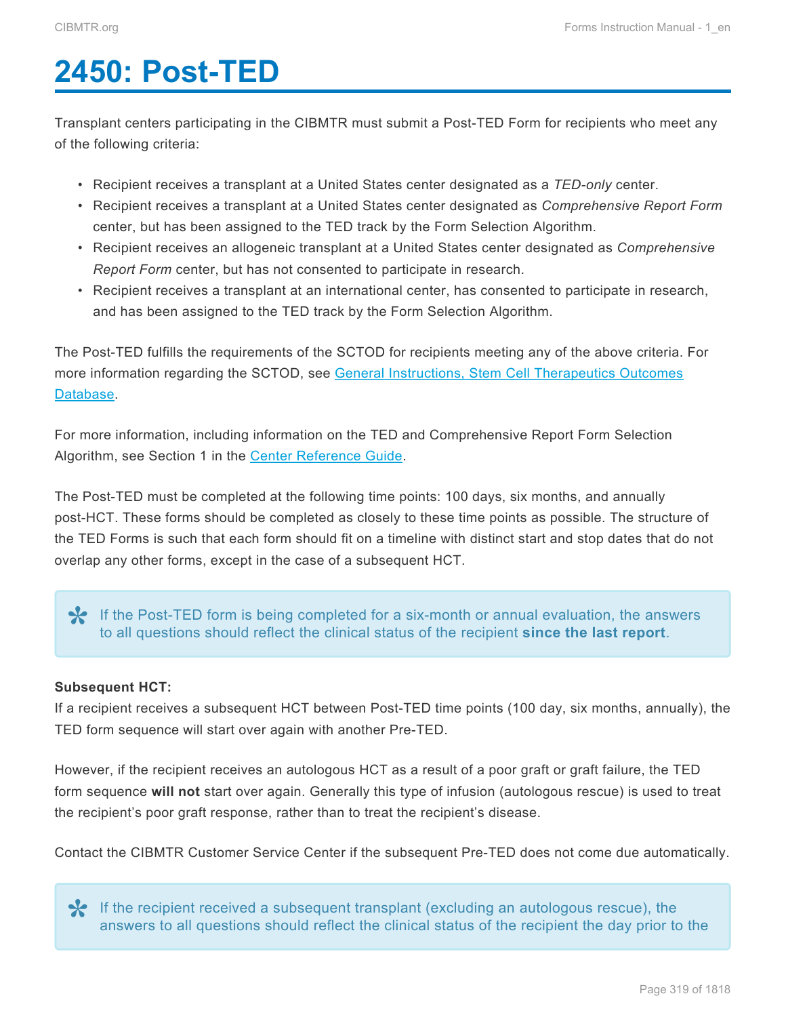# <span id="page-0-0"></span>**2450: Post-TED**

Transplant centers participating in the CIBMTR must submit a Post-TED Form for recipients who meet any of the following criteria:

- Recipient receives a transplant at a United States center designated as a *TED-only* center.
- Recipient receives a transplant at a United States center designated as *Comprehensive Report Form* center, but has been assigned to the TED track by the Form Selection Algorithm.
- Recipient receives an allogeneic transplant at a United States center designated as *Comprehensive Report Form* center, but has not consented to participate in research.
- Recipient receives a transplant at an international center, has consented to participate in research, and has been assigned to the TED track by the Form Selection Algorithm.

The Post-TED fulfills the requirements of the SCTOD for recipients meeting any of the above criteria. For more information regarding the SCTOD, see [General Instructions, Stem Cell Therapeutics Outcomes](https://www.cibmtr.org/DataManagement/TrainingReference/Manuals/DataManagement/Documents/section2.pdf) [Database](https://www.cibmtr.org/DataManagement/TrainingReference/Manuals/DataManagement/Documents/section2.pdf).

For more information, including information on the TED and Comprehensive Report Form Selection Algorithm, see Section 1 in the **Center Reference Guide**.

The Post-TED must be completed at the following time points: 100 days, six months, and annually post-HCT. These forms should be completed as closely to these time points as possible. The structure of the TED Forms is such that each form should fit on a timeline with distinct start and stop dates that do not overlap any other forms, except in the case of a subsequent HCT.

If the Post-TED form is being completed for a six-month or annual evaluation, the answers to all questions should reflect the clinical status of the recipient **since the last report**.

#### **Subsequent HCT:**

If a recipient receives a subsequent HCT between Post-TED time points (100 day, six months, annually), the TED form sequence will start over again with another Pre-TED.

However, if the recipient receives an autologous HCT as a result of a poor graft or graft failure, the TED form sequence **will not** start over again. Generally this type of infusion (autologous rescue) is used to treat the recipient's poor graft response, rather than to treat the recipient's disease.

Contact the CIBMTR Customer Service Center if the subsequent Pre-TED does not come due automatically.

If the recipient received a subsequent transplant (excluding an autologous rescue), the **\*** answers to all questions should reflect the clinical status of the recipient the day prior to the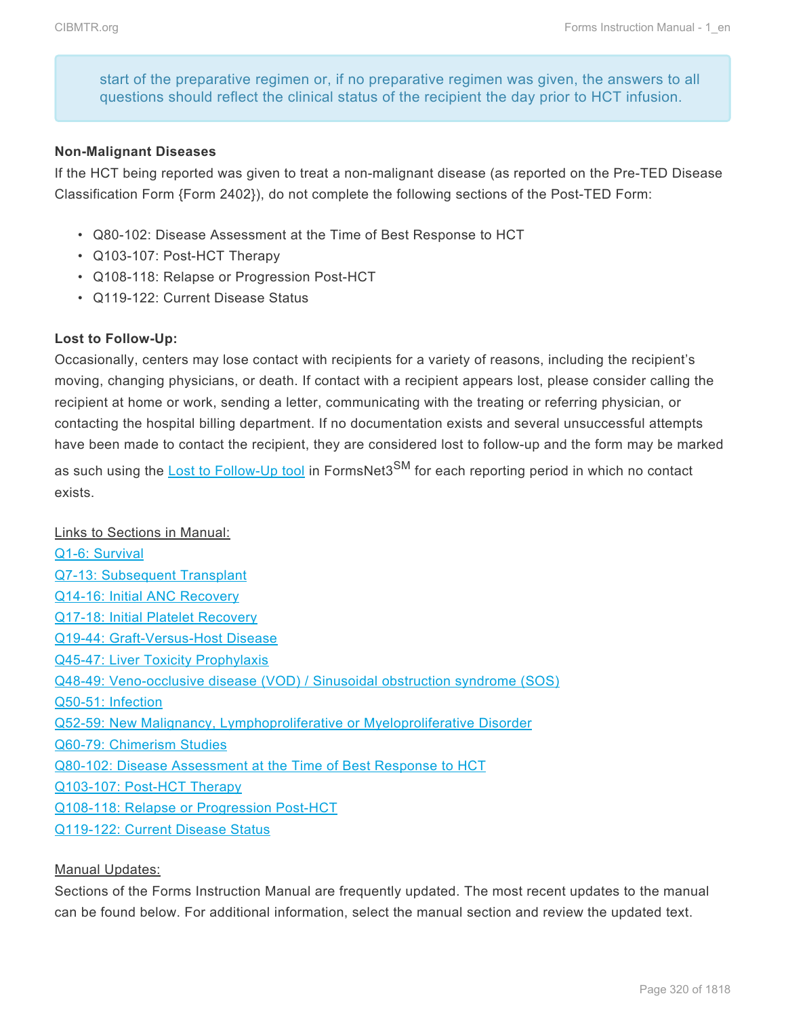start of the preparative regimen or, if no preparative regimen was given, the answers to all questions should reflect the clinical status of the recipient the day prior to HCT infusion.

#### **Non-Malignant Diseases**

If the HCT being reported was given to treat a non-malignant disease (as reported on the Pre-TED Disease Classification Form {Form 2402}), do not complete the following sections of the Post-TED Form:

- Q80-102: Disease Assessment at the Time of Best Response to HCT
- Q103-107: Post-HCT Therapy
- Q108-118: Relapse or Progression Post-HCT
- Q119-122: Current Disease Status

#### **Lost to Follow-Up:**

Occasionally, centers may lose contact with recipients for a variety of reasons, including the recipient's moving, changing physicians, or death. If contact with a recipient appears lost, please consider calling the recipient at home or work, sending a letter, communicating with the treating or referring physician, or contacting the hospital billing department. If no documentation exists and several unsuccessful attempts have been made to contact the recipient, they are considered lost to follow-up and the form may be marked as such using the [Lost to Follow-Up tool](http://www.cibmtr.org/DataManagement/SystemApplications/FormsNet3/Pages/default.aspx) in FormsNet3<sup>SM</sup> for each reporting period in which no contact exists.

#### Links to Sections in Manual:

[Q1-6: Survival](#page-9-0) [Q7-13: Subsequent Transplant](#page-16-0) [Q14-16: Initial](#page-19-0) ANC Recovery [Q17-18: Initial Platelet Recovery](#page-23-0) [Q19-44: Graft-Versus-Host Disease](#page-26-0) [Q45-47: Liver Toxicity Prophylaxis](#page-45-0) [Q48-49: Veno-occlusive disease \(VOD\) / Sinusoidal obstruction syndrome \(SOS\)](#page-46-0) [Q50-51: Infection](#page-47-0) [Q52-59: New Malignancy, Lymphoproliferative or Myeloproliferative Disorder](#page-48-0) [Q60-79: Chimerism Studies](#page-51-0) [Q80-102: Disease Assessment at the Time of Best Response to](#page-56-0) HCT [Q103-107: Post-HCT](#page-69-0) Therapy [Q108-118: Relapse or Progression Post-HCT](#page-72-0) [Q119-122: Current Disease Status](#page-79-0)

#### Manual Updates:

Sections of the Forms Instruction Manual are frequently updated. The most recent updates to the manual can be found below. For additional information, select the manual section and review the updated text.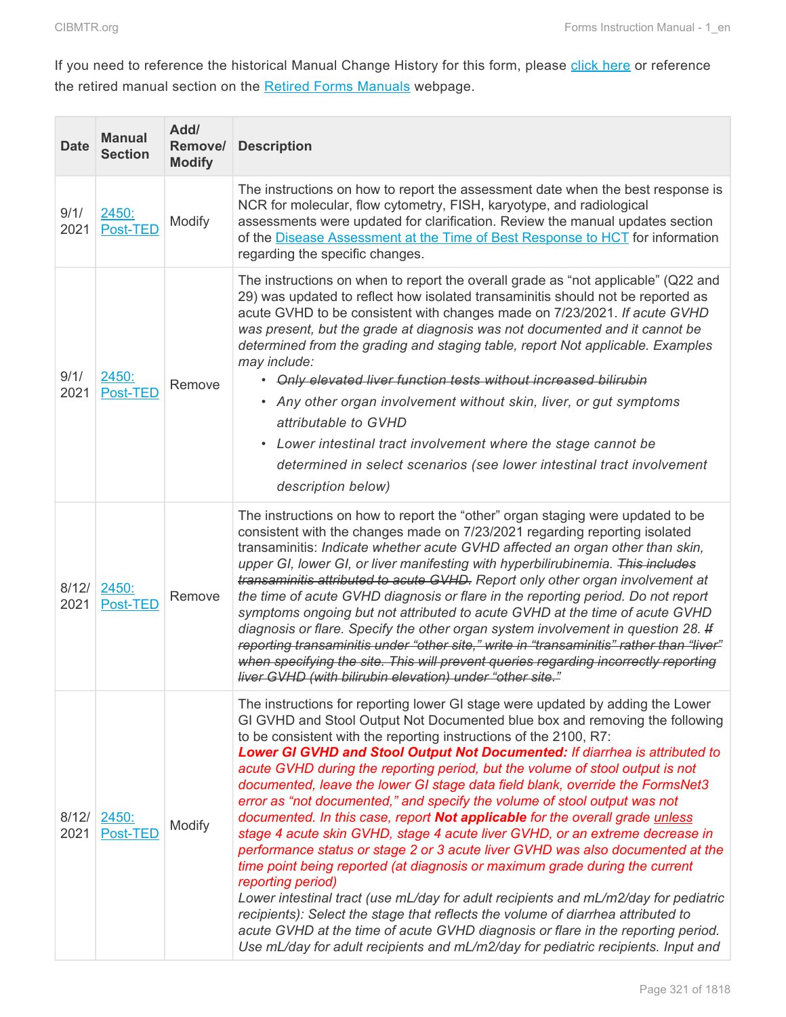the control of the control

**COL** 

 $\mathcal{L}_{\mathcal{A}}$ 

If you need to reference the historical Manual Change History for this form, please [click here](http://www.cibmtr.org/DataManagement/TrainingReference/Manuals/Retired%20Forms%20Manuals/Documents/2450.Post-TED%20Data%20Manual%20Change%20History%20through%203.31.15.pdf) or reference the retired manual section on the **[Retired Forms Manuals](http://www.cibmtr.org/DataManagement/TrainingReference/Manuals/Retired%20Forms%20Manuals/pages/index.aspx)** webpage.

| <b>Date</b>   | <b>Manual</b><br><b>Section</b> | Add/<br>Remove/<br><b>Modify</b> | <b>Description</b>                                                                                                                                                                                                                                                                                                                                                                                                                                                                                                                                                                                                                                                                                                                                                                                                                                                                                                                                                                                                                                                                                                                                                                                                                                                         |  |  |  |
|---------------|---------------------------------|----------------------------------|----------------------------------------------------------------------------------------------------------------------------------------------------------------------------------------------------------------------------------------------------------------------------------------------------------------------------------------------------------------------------------------------------------------------------------------------------------------------------------------------------------------------------------------------------------------------------------------------------------------------------------------------------------------------------------------------------------------------------------------------------------------------------------------------------------------------------------------------------------------------------------------------------------------------------------------------------------------------------------------------------------------------------------------------------------------------------------------------------------------------------------------------------------------------------------------------------------------------------------------------------------------------------|--|--|--|
| 9/1/<br>2021  | 2450:<br>Post-TED               | Modify                           | The instructions on how to report the assessment date when the best response is<br>NCR for molecular, flow cytometry, FISH, karyotype, and radiological<br>assessments were updated for clarification. Review the manual updates section<br>of the Disease Assessment at the Time of Best Response to HCT for information<br>regarding the specific changes.                                                                                                                                                                                                                                                                                                                                                                                                                                                                                                                                                                                                                                                                                                                                                                                                                                                                                                               |  |  |  |
| 9/1/<br>2021  | 2450:<br>Post-TED               | Remove                           | The instructions on when to report the overall grade as "not applicable" (Q22 and<br>29) was updated to reflect how isolated transaminitis should not be reported as<br>acute GVHD to be consistent with changes made on 7/23/2021. If acute GVHD<br>was present, but the grade at diagnosis was not documented and it cannot be<br>determined from the grading and staging table, report Not applicable. Examples<br>may include:<br>• Only elevated liver function tests without increased bilirubin<br>• Any other organ involvement without skin, liver, or gut symptoms<br>attributable to GVHD<br>Lower intestinal tract involvement where the stage cannot be<br>$\bullet$<br>determined in select scenarios (see lower intestinal tract involvement<br>description below)                                                                                                                                                                                                                                                                                                                                                                                                                                                                                          |  |  |  |
| 8/12/<br>2021 | 2450:<br>Post-TED               | Remove                           | The instructions on how to report the "other" organ staging were updated to be<br>consistent with the changes made on 7/23/2021 regarding reporting isolated<br>transaminitis: Indicate whether acute GVHD affected an organ other than skin,<br>upper GI, lower GI, or liver manifesting with hyperbilirubinemia. This includes<br>transaminitis attributed to acute GVHD. Report only other organ involvement at<br>the time of acute GVHD diagnosis or flare in the reporting period. Do not report<br>symptoms ongoing but not attributed to acute GVHD at the time of acute GVHD<br>diagnosis or flare. Specify the other organ system involvement in question 28. If<br>reporting transaminitis under "other site," write in "transaminitis" rather than "liver"<br>when specifying the site. This will prevent queries regarding incorrectly reporting<br>liver GVHD (with bilirubin elevation) under "other site."                                                                                                                                                                                                                                                                                                                                                 |  |  |  |
| 8/12/<br>2021 | 2450:<br>Post-TED               | Modify                           | The instructions for reporting lower GI stage were updated by adding the Lower<br>GI GVHD and Stool Output Not Documented blue box and removing the following<br>to be consistent with the reporting instructions of the 2100, R7:<br>Lower GI GVHD and Stool Output Not Documented: If diarrhea is attributed to<br>acute GVHD during the reporting period, but the volume of stool output is not<br>documented, leave the lower GI stage data field blank, override the FormsNet3<br>error as "not documented," and specify the volume of stool output was not<br>documented. In this case, report Not applicable for the overall grade unless<br>stage 4 acute skin GVHD, stage 4 acute liver GVHD, or an extreme decrease in<br>performance status or stage 2 or 3 acute liver GVHD was also documented at the<br>time point being reported (at diagnosis or maximum grade during the current<br>reporting period)<br>Lower intestinal tract (use mL/day for adult recipients and mL/m2/day for pediatric<br>recipients): Select the stage that reflects the volume of diarrhea attributed to<br>acute GVHD at the time of acute GVHD diagnosis or flare in the reporting period.<br>Use mL/day for adult recipients and mL/m2/day for pediatric recipients. Input and |  |  |  |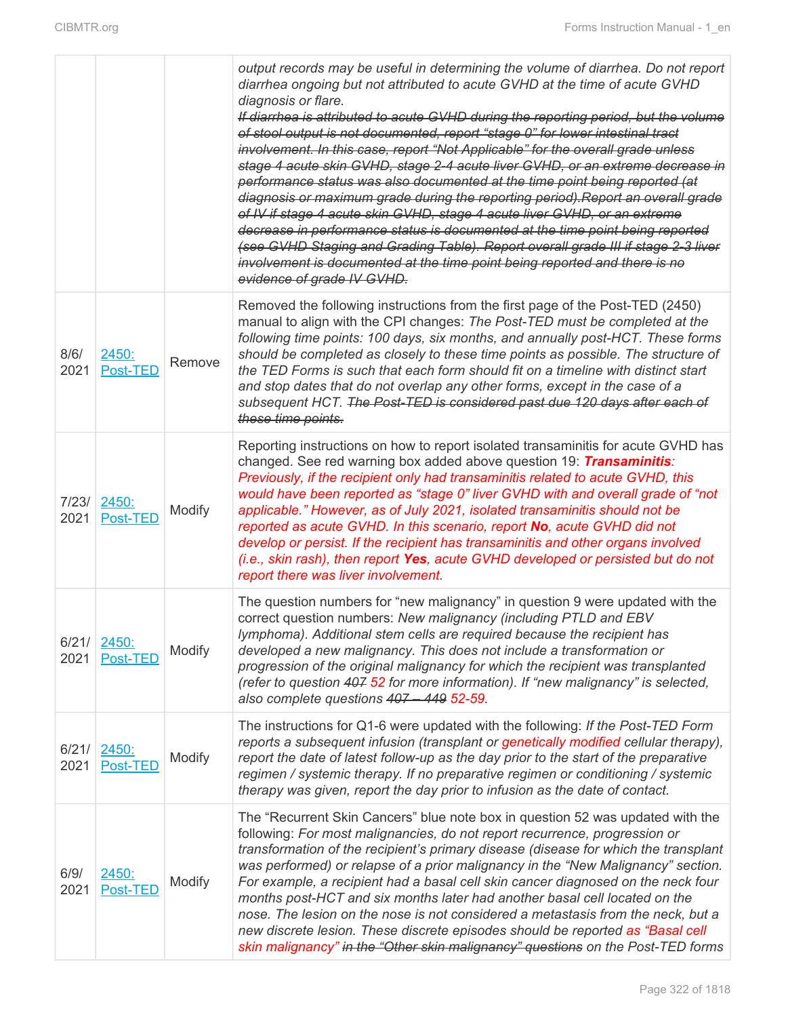|               |                   |        | output records may be useful in determining the volume of diarrhea. Do not report<br>diarrhea ongoing but not attributed to acute GVHD at the time of acute GVHD<br>diagnosis or flare.<br>If diarrhea is attributed to acute GVHD during the reporting period, but the volume<br>of stool output is not documented, report "stage 0" for lower intestinal tract<br>involvement. In this case, report "Not Applicable" for the overall grade unless<br>stage 4 acute skin GVHD, stage 2-4 acute liver GVHD, or an extreme decrease in<br>performance status was also documented at the time point being reported (at<br>diagnosis or maximum grade during the reporting period). Report an overall grade<br>of IV if stage 4 acute skin GVHD, stage 4 acute liver GVHD, or an extreme<br>decrease in performance status is documented at the time point being reported<br>(see GVHD Staging and Grading Table). Report overall grade III if stage 2-3 liver<br>involvement is documented at the time point being reported and there is no<br>evidence of grade IV GVHD. |
|---------------|-------------------|--------|-------------------------------------------------------------------------------------------------------------------------------------------------------------------------------------------------------------------------------------------------------------------------------------------------------------------------------------------------------------------------------------------------------------------------------------------------------------------------------------------------------------------------------------------------------------------------------------------------------------------------------------------------------------------------------------------------------------------------------------------------------------------------------------------------------------------------------------------------------------------------------------------------------------------------------------------------------------------------------------------------------------------------------------------------------------------------|
| 8/6/<br>2021  | 2450:<br>Post-TED | Remove | Removed the following instructions from the first page of the Post-TED (2450)<br>manual to align with the CPI changes: The Post-TED must be completed at the<br>following time points: 100 days, six months, and annually post-HCT. These forms<br>should be completed as closely to these time points as possible. The structure of<br>the TED Forms is such that each form should fit on a timeline with distinct start<br>and stop dates that do not overlap any other forms, except in the case of a<br>subsequent HCT. The Post-TED is considered past due 120 days after each of<br>these time points.                                                                                                                                                                                                                                                                                                                                                                                                                                                            |
| 7/23/<br>2021 | 2450:<br>Post-TED | Modify | Reporting instructions on how to report isolated transaminitis for acute GVHD has<br>changed. See red warning box added above question 19: <b>Transaminitis</b> :<br>Previously, if the recipient only had transaminitis related to acute GVHD, this<br>would have been reported as "stage 0" liver GVHD with and overall grade of "not<br>applicable." However, as of July 2021, isolated transaminitis should not be<br>reported as acute GVHD. In this scenario, report No, acute GVHD did not<br>develop or persist. If the recipient has transaminitis and other organs involved<br>(i.e., skin rash), then report Yes, acute GVHD developed or persisted but do not<br>report there was liver involvement.                                                                                                                                                                                                                                                                                                                                                        |
| 6/21/<br>2021 | 2450:<br>Post-TED | Modify | The question numbers for "new malignancy" in question 9 were updated with the<br>correct question numbers: New malignancy (including PTLD and EBV<br>lymphoma). Additional stem cells are required because the recipient has<br>developed a new malignancy. This does not include a transformation or<br>progression of the original malignancy for which the recipient was transplanted<br>(refer to question 407 52 for more information). If "new malignancy" is selected,<br>also complete questions 407 - 449 52-59.                                                                                                                                                                                                                                                                                                                                                                                                                                                                                                                                               |
| 6/21/<br>2021 | 2450:<br>Post-TED | Modify | The instructions for Q1-6 were updated with the following: If the Post-TED Form<br>reports a subsequent infusion (transplant or genetically modified cellular therapy),<br>report the date of latest follow-up as the day prior to the start of the preparative<br>regimen / systemic therapy. If no preparative regimen or conditioning / systemic<br>therapy was given, report the day prior to infusion as the date of contact.                                                                                                                                                                                                                                                                                                                                                                                                                                                                                                                                                                                                                                      |
| 6/9/<br>2021  | 2450:<br>Post-TED | Modify | The "Recurrent Skin Cancers" blue note box in question 52 was updated with the<br>following: For most malignancies, do not report recurrence, progression or<br>transformation of the recipient's primary disease (disease for which the transplant<br>was performed) or relapse of a prior malignancy in the "New Malignancy" section.<br>For example, a recipient had a basal cell skin cancer diagnosed on the neck four<br>months post-HCT and six months later had another basal cell located on the<br>nose. The lesion on the nose is not considered a metastasis from the neck, but a<br>new discrete lesion. These discrete episodes should be reported as "Basal cell<br>skin malignancy" in the "Other skin malignancy" questions on the Post-TED forms                                                                                                                                                                                                                                                                                                      |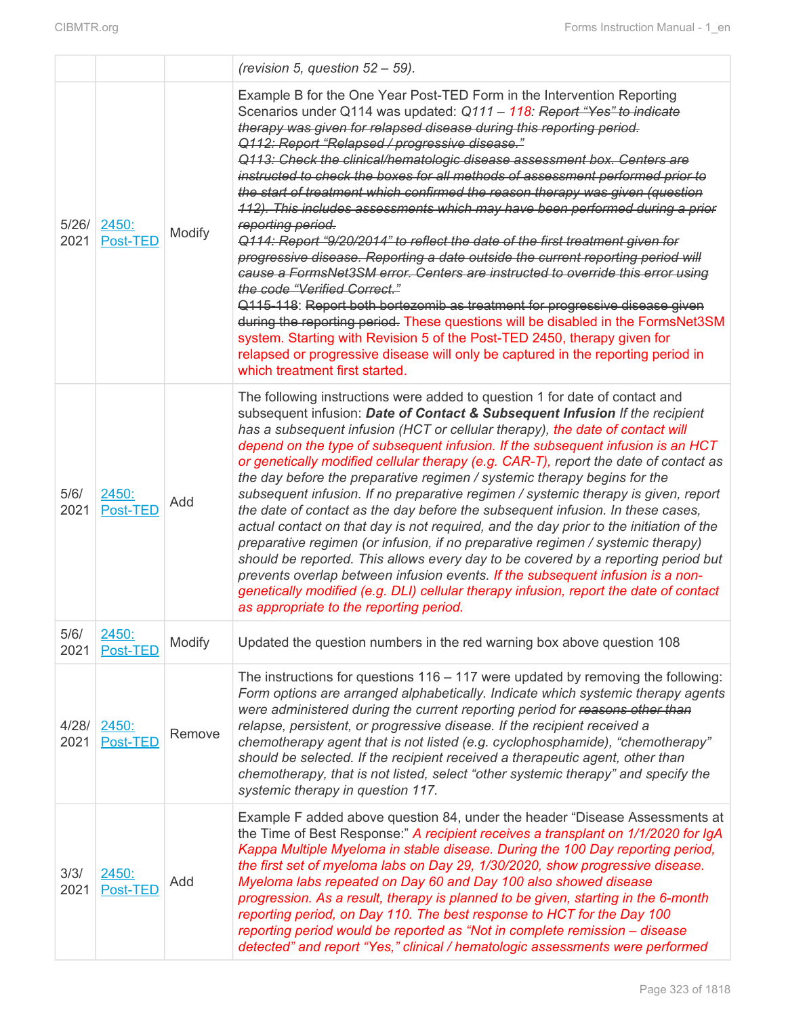|               |                           |        | (revision 5, question $52 - 59$ ).                                                                                                                                                                                                                                                                                                                                                                                                                                                                                                                                                                                                                                                                                                                                                                                                                                                                                                                                                                                                                                                                                                                                                                                                                                                        |  |  |  |
|---------------|---------------------------|--------|-------------------------------------------------------------------------------------------------------------------------------------------------------------------------------------------------------------------------------------------------------------------------------------------------------------------------------------------------------------------------------------------------------------------------------------------------------------------------------------------------------------------------------------------------------------------------------------------------------------------------------------------------------------------------------------------------------------------------------------------------------------------------------------------------------------------------------------------------------------------------------------------------------------------------------------------------------------------------------------------------------------------------------------------------------------------------------------------------------------------------------------------------------------------------------------------------------------------------------------------------------------------------------------------|--|--|--|
| 5/26/<br>2021 | 2450:<br>Post-TED         | Modify | Example B for the One Year Post-TED Form in the Intervention Reporting<br>Scenarios under Q114 was updated: Q111 - 118: Report "Yes" to indicate<br>therapy was given for relapsed disease during this reporting period.<br>Q112: Report "Relapsed / progressive disease."<br>Q113: Check the clinical/hematologic disease assessment box. Centers are<br>instructed to check the boxes for all methods of assessment performed prior to<br>the start of treatment which confirmed the reason therapy was given (question<br>112). This includes assessments which may have been performed during a prior<br>reporting period.<br>Q114: Report "9/20/2014" to reflect the date of the first treatment given for<br>progressive disease. Reporting a date outside the current reporting period will<br>cause a FormsNet3SM error. Centers are instructed to override this error using<br>the code "Verified Correct."<br>Q115-118: Report both bortezomib as treatment for progressive disease given<br>during the reporting period. These questions will be disabled in the FormsNet3SM<br>system. Starting with Revision 5 of the Post-TED 2450, therapy given for<br>relapsed or progressive disease will only be captured in the reporting period in<br>which treatment first started. |  |  |  |
| 5/6/<br>2021  | 2450:<br>Post-TED         | Add    | The following instructions were added to question 1 for date of contact and<br>subsequent infusion: Date of Contact & Subsequent Infusion If the recipient<br>has a subsequent infusion (HCT or cellular therapy), the date of contact will<br>depend on the type of subsequent infusion. If the subsequent infusion is an HCT<br>or genetically modified cellular therapy (e.g. CAR-T), report the date of contact as<br>the day before the preparative regimen / systemic therapy begins for the<br>subsequent infusion. If no preparative regimen / systemic therapy is given, report<br>the date of contact as the day before the subsequent infusion. In these cases,<br>actual contact on that day is not required, and the day prior to the initiation of the<br>preparative regimen (or infusion, if no preparative regimen / systemic therapy)<br>should be reported. This allows every day to be covered by a reporting period but<br>prevents overlap between infusion events. If the subsequent infusion is a non-<br>genetically modified (e.g. DLI) cellular therapy infusion, report the date of contact<br>as appropriate to the reporting period.                                                                                                                        |  |  |  |
| 5/6/<br>2021  | <u> 2450:</u><br>Post-TED | Modify | Updated the question numbers in the red warning box above question 108                                                                                                                                                                                                                                                                                                                                                                                                                                                                                                                                                                                                                                                                                                                                                                                                                                                                                                                                                                                                                                                                                                                                                                                                                    |  |  |  |
| 4/28/<br>2021 | 2450:<br>Post-TED         | Remove | The instructions for questions $116 - 117$ were updated by removing the following:<br>Form options are arranged alphabetically. Indicate which systemic therapy agents<br>were administered during the current reporting period for reasons other than<br>relapse, persistent, or progressive disease. If the recipient received a<br>chemotherapy agent that is not listed (e.g. cyclophosphamide), "chemotherapy"<br>should be selected. If the recipient received a therapeutic agent, other than<br>chemotherapy, that is not listed, select "other systemic therapy" and specify the<br>systemic therapy in question 117.                                                                                                                                                                                                                                                                                                                                                                                                                                                                                                                                                                                                                                                            |  |  |  |
| 3/3/<br>2021  | 2450:<br>Post-TED         | Add    | Example F added above question 84, under the header "Disease Assessments at<br>the Time of Best Response:" A recipient receives a transplant on 1/1/2020 for IgA<br>Kappa Multiple Myeloma in stable disease. During the 100 Day reporting period,<br>the first set of myeloma labs on Day 29, 1/30/2020, show progressive disease.<br>Myeloma labs repeated on Day 60 and Day 100 also showed disease<br>progression. As a result, therapy is planned to be given, starting in the 6-month<br>reporting period, on Day 110. The best response to HCT for the Day 100<br>reporting period would be reported as "Not in complete remission - disease<br>detected" and report "Yes," clinical / hematologic assessments were performed                                                                                                                                                                                                                                                                                                                                                                                                                                                                                                                                                      |  |  |  |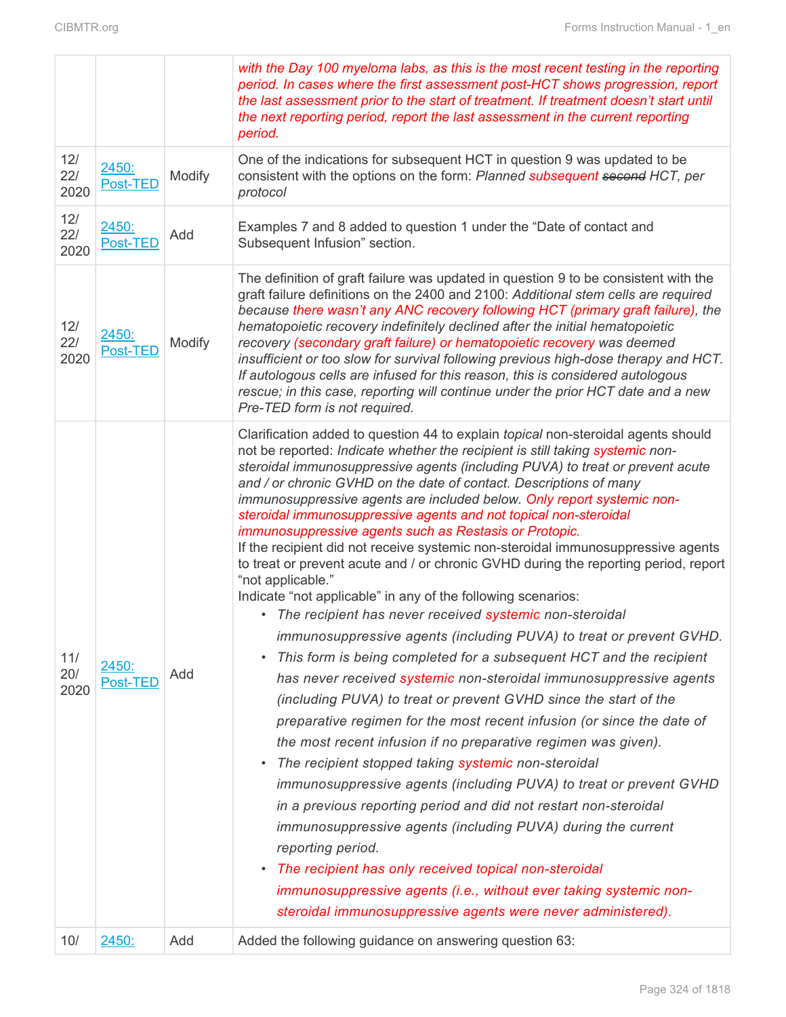|            |      |                   |        | with the Day 100 myeloma labs, as this is the most recent testing in the reporting<br>period. In cases where the first assessment post-HCT shows progression, report<br>the last assessment prior to the start of treatment. If treatment doesn't start until<br>the next reporting period, report the last assessment in the current reporting<br>period.                                                                                                                                                                                                                                                                                                                                                                                                                                                                                                                                                                                                                                                                                                                                                                                                                                                                                                                                                                                                                                                                                                                                                                                                                                                                                                                                                                                                                                                                    |  |  |  |
|------------|------|-------------------|--------|-------------------------------------------------------------------------------------------------------------------------------------------------------------------------------------------------------------------------------------------------------------------------------------------------------------------------------------------------------------------------------------------------------------------------------------------------------------------------------------------------------------------------------------------------------------------------------------------------------------------------------------------------------------------------------------------------------------------------------------------------------------------------------------------------------------------------------------------------------------------------------------------------------------------------------------------------------------------------------------------------------------------------------------------------------------------------------------------------------------------------------------------------------------------------------------------------------------------------------------------------------------------------------------------------------------------------------------------------------------------------------------------------------------------------------------------------------------------------------------------------------------------------------------------------------------------------------------------------------------------------------------------------------------------------------------------------------------------------------------------------------------------------------------------------------------------------------|--|--|--|
| 12/<br>22/ | 2020 | 2450:<br>Post-TED | Modify | One of the indications for subsequent HCT in question 9 was updated to be<br>consistent with the options on the form: Planned subsequent second HCT, per<br>protocol                                                                                                                                                                                                                                                                                                                                                                                                                                                                                                                                                                                                                                                                                                                                                                                                                                                                                                                                                                                                                                                                                                                                                                                                                                                                                                                                                                                                                                                                                                                                                                                                                                                          |  |  |  |
| 12/<br>22/ | 2020 | 2450:<br>Post-TED | Add    | Examples 7 and 8 added to question 1 under the "Date of contact and<br>Subsequent Infusion" section.                                                                                                                                                                                                                                                                                                                                                                                                                                                                                                                                                                                                                                                                                                                                                                                                                                                                                                                                                                                                                                                                                                                                                                                                                                                                                                                                                                                                                                                                                                                                                                                                                                                                                                                          |  |  |  |
| 12/<br>22/ | 2020 | 2450:<br>Post-TED | Modify | The definition of graft failure was updated in question 9 to be consistent with the<br>graft failure definitions on the 2400 and 2100: Additional stem cells are required<br>because there wasn't any ANC recovery following HCT (primary graft failure), the<br>hematopoietic recovery indefinitely declined after the initial hematopoietic<br>recovery (secondary graft failure) or hematopoietic recovery was deemed<br>insufficient or too slow for survival following previous high-dose therapy and HCT.<br>If autologous cells are infused for this reason, this is considered autologous<br>rescue; in this case, reporting will continue under the prior HCT date and a new<br>Pre-TED form is not required.                                                                                                                                                                                                                                                                                                                                                                                                                                                                                                                                                                                                                                                                                                                                                                                                                                                                                                                                                                                                                                                                                                        |  |  |  |
| 11/<br>20/ | 2020 | 2450:<br>Post-TED | Add    | Clarification added to question 44 to explain topical non-steroidal agents should<br>not be reported: Indicate whether the recipient is still taking systemic non-<br>steroidal immunosuppressive agents (including PUVA) to treat or prevent acute<br>and / or chronic GVHD on the date of contact. Descriptions of many<br>immunosuppressive agents are included below. Only report systemic non-<br>steroidal immunosuppressive agents and not topical non-steroidal<br>immunosuppressive agents such as Restasis or Protopic.<br>If the recipient did not receive systemic non-steroidal immunosuppressive agents<br>to treat or prevent acute and / or chronic GVHD during the reporting period, report<br>"not applicable."<br>Indicate "not applicable" in any of the following scenarios:<br>• The recipient has never received systemic non-steroidal<br>immunosuppressive agents (including PUVA) to treat or prevent GVHD.<br>This form is being completed for a subsequent HCT and the recipient<br>$\bullet$<br>has never received systemic non-steroidal immunosuppressive agents<br>(including PUVA) to treat or prevent GVHD since the start of the<br>preparative regimen for the most recent infusion (or since the date of<br>the most recent infusion if no preparative regimen was given).<br>The recipient stopped taking systemic non-steroidal<br>$\bullet$<br>immunosuppressive agents (including PUVA) to treat or prevent GVHD<br>in a previous reporting period and did not restart non-steroidal<br>immunosuppressive agents (including PUVA) during the current<br>reporting period.<br>The recipient has only received topical non-steroidal<br>$\bullet$<br>immunosuppressive agents (i.e., without ever taking systemic non-<br>steroidal immunosuppressive agents were never administered). |  |  |  |
| 10/        |      | 2450:             | Add    | Added the following guidance on answering question 63:                                                                                                                                                                                                                                                                                                                                                                                                                                                                                                                                                                                                                                                                                                                                                                                                                                                                                                                                                                                                                                                                                                                                                                                                                                                                                                                                                                                                                                                                                                                                                                                                                                                                                                                                                                        |  |  |  |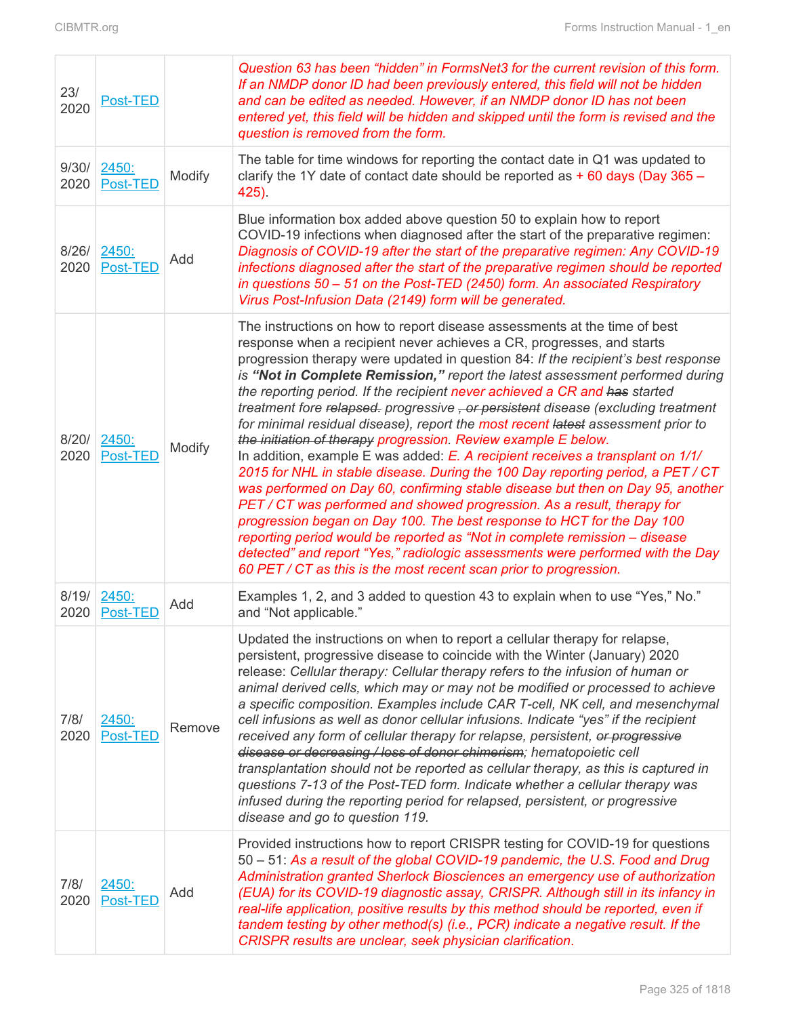| 23/<br>2020   | Post-TED          |        | Question 63 has been "hidden" in FormsNet3 for the current revision of this form.<br>If an NMDP donor ID had been previously entered, this field will not be hidden<br>and can be edited as needed. However, if an NMDP donor ID has not been<br>entered yet, this field will be hidden and skipped until the form is revised and the<br>question is removed from the form.                                                                                                                                                                                                                                                                                                                                                                                                                                                                                                                                                                                                                                                                                                                                                                                                                                                                                                                      |
|---------------|-------------------|--------|--------------------------------------------------------------------------------------------------------------------------------------------------------------------------------------------------------------------------------------------------------------------------------------------------------------------------------------------------------------------------------------------------------------------------------------------------------------------------------------------------------------------------------------------------------------------------------------------------------------------------------------------------------------------------------------------------------------------------------------------------------------------------------------------------------------------------------------------------------------------------------------------------------------------------------------------------------------------------------------------------------------------------------------------------------------------------------------------------------------------------------------------------------------------------------------------------------------------------------------------------------------------------------------------------|
| 9/30/<br>2020 | 2450:<br>Post-TED | Modify | The table for time windows for reporting the contact date in Q1 was updated to<br>clarify the 1Y date of contact date should be reported as $+60$ days (Day 365 -<br>425).                                                                                                                                                                                                                                                                                                                                                                                                                                                                                                                                                                                                                                                                                                                                                                                                                                                                                                                                                                                                                                                                                                                       |
| 8/26/<br>2020 | 2450:<br>Post-TED | Add    | Blue information box added above question 50 to explain how to report<br>COVID-19 infections when diagnosed after the start of the preparative regimen:<br>Diagnosis of COVID-19 after the start of the preparative regimen: Any COVID-19<br>infections diagnosed after the start of the preparative regimen should be reported<br>in questions 50 - 51 on the Post-TED (2450) form. An associated Respiratory<br>Virus Post-Infusion Data (2149) form will be generated.                                                                                                                                                                                                                                                                                                                                                                                                                                                                                                                                                                                                                                                                                                                                                                                                                        |
| 8/20/<br>2020 | 2450:<br>Post-TED | Modify | The instructions on how to report disease assessments at the time of best<br>response when a recipient never achieves a CR, progresses, and starts<br>progression therapy were updated in question 84: If the recipient's best response<br>is "Not in Complete Remission," report the latest assessment performed during<br>the reporting period. If the recipient never achieved a CR and has started<br>treatment fore relapsed. progressive , or persistent disease (excluding treatment<br>for minimal residual disease), report the most recent latest assessment prior to<br>the initiation of therapy progression. Review example E below.<br>In addition, example E was added: E. A recipient receives a transplant on 1/1/<br>2015 for NHL in stable disease. During the 100 Day reporting period, a PET / CT<br>was performed on Day 60, confirming stable disease but then on Day 95, another<br>PET/CT was performed and showed progression. As a result, therapy for<br>progression began on Day 100. The best response to HCT for the Day 100<br>reporting period would be reported as "Not in complete remission – disease<br>detected" and report "Yes," radiologic assessments were performed with the Day<br>60 PET / CT as this is the most recent scan prior to progression. |
| 8/19/<br>2020 | 2450:<br>Post-TED | Add    | Examples 1, 2, and 3 added to question 43 to explain when to use "Yes," No."<br>and "Not applicable."                                                                                                                                                                                                                                                                                                                                                                                                                                                                                                                                                                                                                                                                                                                                                                                                                                                                                                                                                                                                                                                                                                                                                                                            |
| 7/8/<br>2020  | 2450:<br>Post-TED | Remove | Updated the instructions on when to report a cellular therapy for relapse,<br>persistent, progressive disease to coincide with the Winter (January) 2020<br>release: Cellular therapy: Cellular therapy refers to the infusion of human or<br>animal derived cells, which may or may not be modified or processed to achieve<br>a specific composition. Examples include CAR T-cell, NK cell, and mesenchymal<br>cell infusions as well as donor cellular infusions. Indicate "yes" if the recipient<br>received any form of cellular therapy for relapse, persistent, or progressive<br>disease or decreasing / loss of donor chimerism; hematopoietic cell<br>transplantation should not be reported as cellular therapy, as this is captured in<br>questions 7-13 of the Post-TED form. Indicate whether a cellular therapy was<br>infused during the reporting period for relapsed, persistent, or progressive<br>disease and go to question 119.                                                                                                                                                                                                                                                                                                                                            |
| 7/8/<br>2020  | 2450:<br>Post-TED | Add    | Provided instructions how to report CRISPR testing for COVID-19 for questions<br>50 – 51: As a result of the global COVID-19 pandemic, the U.S. Food and Drug<br>Administration granted Sherlock Biosciences an emergency use of authorization<br>(EUA) for its COVID-19 diagnostic assay, CRISPR. Although still in its infancy in<br>real-life application, positive results by this method should be reported, even if<br>tandem testing by other method(s) (i.e., PCR) indicate a negative result. If the<br>CRISPR results are unclear, seek physician clarification.                                                                                                                                                                                                                                                                                                                                                                                                                                                                                                                                                                                                                                                                                                                       |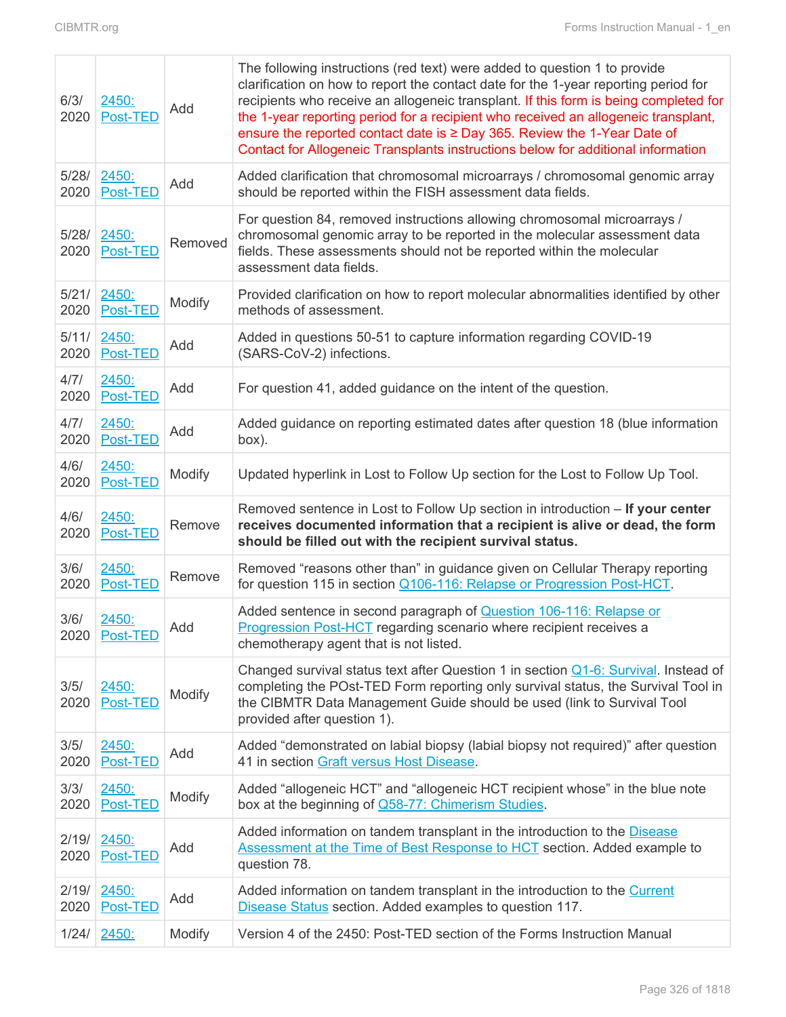| 6/3/<br>2020  | 2450:<br>Post-TED | Add     | The following instructions (red text) were added to question 1 to provide<br>clarification on how to report the contact date for the 1-year reporting period for<br>recipients who receive an allogeneic transplant. If this form is being completed for<br>the 1-year reporting period for a recipient who received an allogeneic transplant,<br>ensure the reported contact date is $\geq$ Day 365. Review the 1-Year Date of<br>Contact for Allogeneic Transplants instructions below for additional information |  |
|---------------|-------------------|---------|---------------------------------------------------------------------------------------------------------------------------------------------------------------------------------------------------------------------------------------------------------------------------------------------------------------------------------------------------------------------------------------------------------------------------------------------------------------------------------------------------------------------|--|
| 5/28/<br>2020 | 2450:<br>Post-TED | Add     | Added clarification that chromosomal microarrays / chromosomal genomic array<br>should be reported within the FISH assessment data fields.                                                                                                                                                                                                                                                                                                                                                                          |  |
| 5/28/<br>2020 | 2450:<br>Post-TED | Removed | For question 84, removed instructions allowing chromosomal microarrays /<br>chromosomal genomic array to be reported in the molecular assessment data<br>fields. These assessments should not be reported within the molecular<br>assessment data fields.                                                                                                                                                                                                                                                           |  |
| 5/21/<br>2020 | 2450:<br>Post-TED | Modify  | Provided clarification on how to report molecular abnormalities identified by other<br>methods of assessment.                                                                                                                                                                                                                                                                                                                                                                                                       |  |
| 5/11/<br>2020 | 2450:<br>Post-TED | Add     | Added in questions 50-51 to capture information regarding COVID-19<br>(SARS-CoV-2) infections.                                                                                                                                                                                                                                                                                                                                                                                                                      |  |
| 4/7/<br>2020  | 2450:<br>Post-TED | Add     | For question 41, added guidance on the intent of the question.                                                                                                                                                                                                                                                                                                                                                                                                                                                      |  |
| 4/7/<br>2020  | 2450:<br>Post-TED | Add     | Added guidance on reporting estimated dates after question 18 (blue information<br>box).                                                                                                                                                                                                                                                                                                                                                                                                                            |  |
| 4/6/<br>2020  | 2450:<br>Post-TED | Modify  | Updated hyperlink in Lost to Follow Up section for the Lost to Follow Up Tool.                                                                                                                                                                                                                                                                                                                                                                                                                                      |  |
|               |                   |         | Removed sentence in Lost to Follow Up section in introduction - If your center<br>should be filled out with the recipient survival status.                                                                                                                                                                                                                                                                                                                                                                          |  |
| 4/6/<br>2020  | 2450:<br>Post-TED | Remove  | receives documented information that a recipient is alive or dead, the form                                                                                                                                                                                                                                                                                                                                                                                                                                         |  |
| 3/6/<br>2020  | 2450:<br>Post-TED | Remove  | Removed "reasons other than" in guidance given on Cellular Therapy reporting<br>for question 115 in section Q106-116: Relapse or Progression Post-HCT.                                                                                                                                                                                                                                                                                                                                                              |  |
| 3/6/<br>2020  | 2450:<br>Post-TED | Add     | Added sentence in second paragraph of <b>Question 106-116: Relapse or</b><br><b>Progression Post-HCT</b> regarding scenario where recipient receives a<br>chemotherapy agent that is not listed.                                                                                                                                                                                                                                                                                                                    |  |
| 3/5/<br>2020  | 2450:<br>Post-TED | Modify  | Changed survival status text after Question 1 in section Q1-6: Survival. Instead of<br>completing the POst-TED Form reporting only survival status, the Survival Tool in<br>the CIBMTR Data Management Guide should be used (link to Survival Tool<br>provided after question 1).                                                                                                                                                                                                                                   |  |
| 3/5/<br>2020  | 2450:<br>Post-TED | Add     | Added "demonstrated on labial biopsy (labial biopsy not required)" after question<br>41 in section Graft versus Host Disease.                                                                                                                                                                                                                                                                                                                                                                                       |  |
| 3/3/<br>2020  | 2450:<br>Post-TED | Modify  | Added "allogeneic HCT" and "allogeneic HCT recipient whose" in the blue note<br>box at the beginning of Q58-77: Chimerism Studies.                                                                                                                                                                                                                                                                                                                                                                                  |  |
| 2/19/<br>2020 | 2450:<br>Post-TED | Add     | Added information on tandem transplant in the introduction to the Disease<br>Assessment at the Time of Best Response to HCT section. Added example to<br>question 78.                                                                                                                                                                                                                                                                                                                                               |  |
| 2/19/<br>2020 | 2450:<br>Post-TED | Add     | Added information on tandem transplant in the introduction to the Current<br>Disease Status section. Added examples to question 117.                                                                                                                                                                                                                                                                                                                                                                                |  |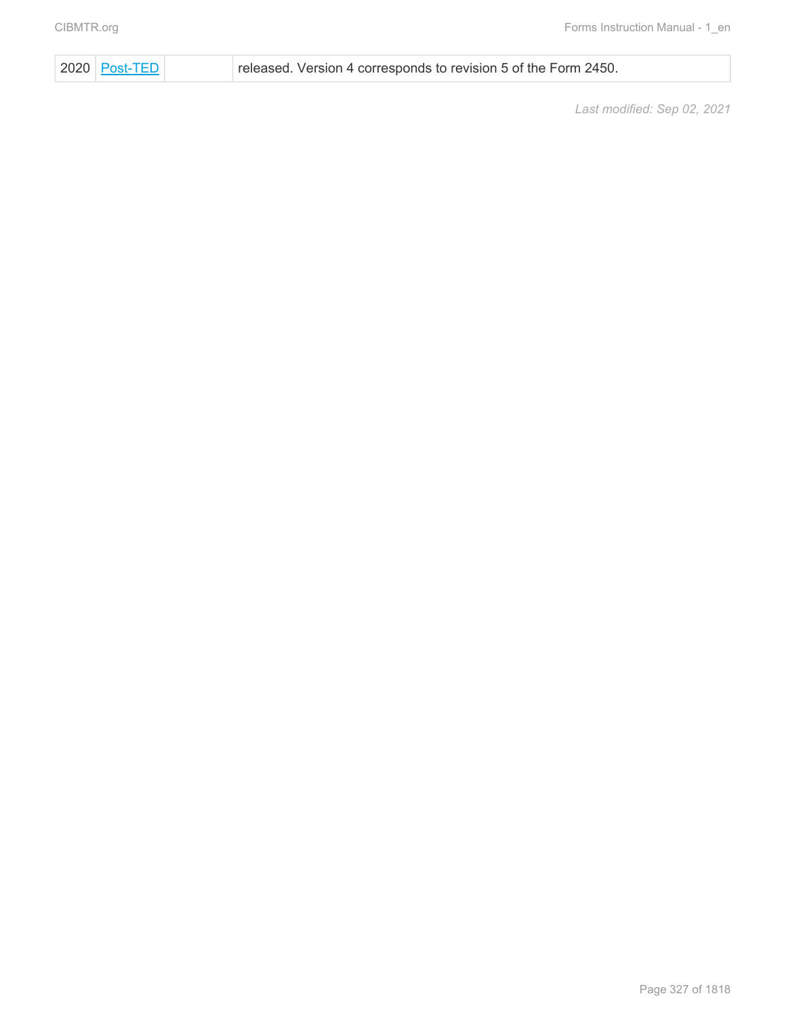2020 [Post-TED](#page-0-0) released. Version 4 corresponds to revision 5 of the Form 2450.

*Last modified: Sep 02, 2021*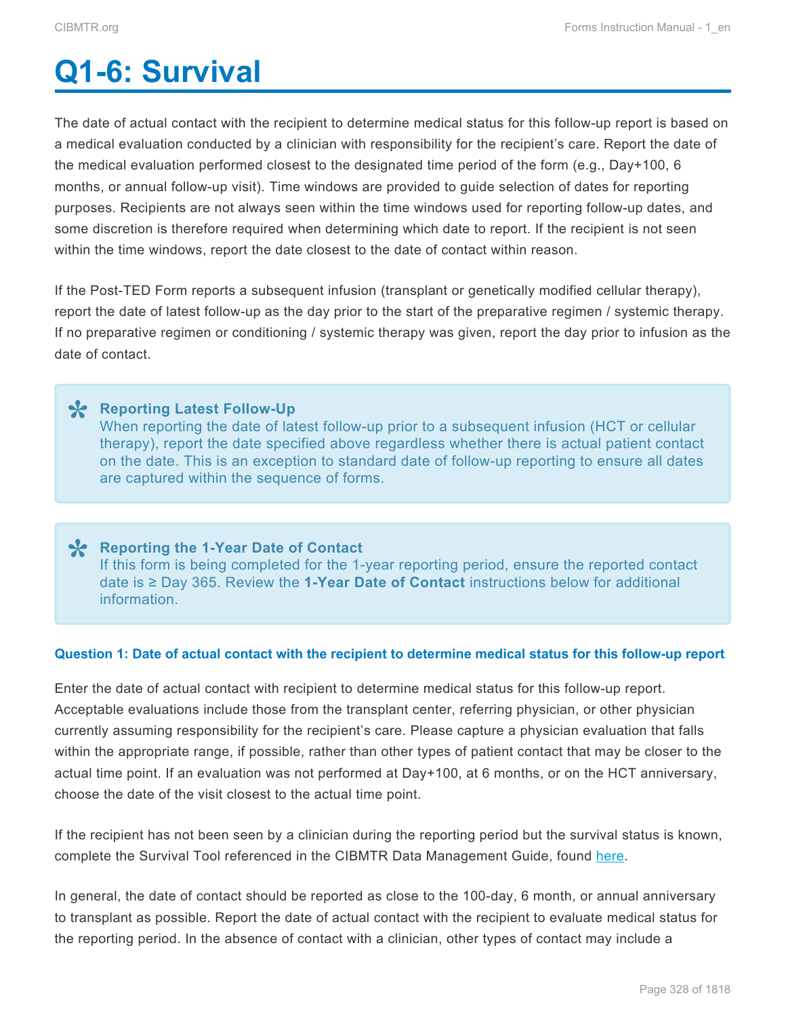# <span id="page-9-0"></span>**Q1-6: Survival**

The date of actual contact with the recipient to determine medical status for this follow-up report is based on a medical evaluation conducted by a clinician with responsibility for the recipient's care. Report the date of the medical evaluation performed closest to the designated time period of the form (e.g., Day+100, 6 months, or annual follow-up visit). Time windows are provided to guide selection of dates for reporting purposes. Recipients are not always seen within the time windows used for reporting follow-up dates, and some discretion is therefore required when determining which date to report. If the recipient is not seen within the time windows, report the date closest to the date of contact within reason.

If the Post-TED Form reports a subsequent infusion (transplant or genetically modified cellular therapy), report the date of latest follow-up as the day prior to the start of the preparative regimen / systemic therapy. If no preparative regimen or conditioning / systemic therapy was given, report the day prior to infusion as the date of contact.

**X** Reporting Latest Follow-Up<br>
When reporting the date of la<br>
there we are the date and When reporting the date of latest follow-up prior to a subsequent infusion (HCT or cellular therapy), report the date specified above regardless whether there is actual patient contact on the date. This is an exception to standard date of follow-up reporting to ensure all dates are captured within the sequence of forms.

**X** Reporting the 1-Year Date of Contact<br>
If this form is being completed for the 1-If this form is being completed for the 1-year reporting period, ensure the reported contact date is ≥ Day 365. Review the **1-Year Date of Contact** instructions below for additional information.

#### **Question 1: Date of actual contact with the recipient to determine medical status for this follow-up report**

Enter the date of actual contact with recipient to determine medical status for this follow-up report. Acceptable evaluations include those from the transplant center, referring physician, or other physician currently assuming responsibility for the recipient's care. Please capture a physician evaluation that falls within the appropriate range, if possible, rather than other types of patient contact that may be closer to the actual time point. If an evaluation was not performed at Day+100, at 6 months, or on the HCT anniversary, choose the date of the visit closest to the actual time point.

If the recipient has not been seen by a clinician during the reporting period but the survival status is known, complete the Survival Tool referenced in the CIBMTR Data Management Guide, found [here.](http://www.manula.com/manuals/cibmtr/training-and-reference/1/en/topic/survival-form-status)

In general, the date of contact should be reported as close to the 100-day, 6 month, or annual anniversary to transplant as possible. Report the date of actual contact with the recipient to evaluate medical status for the reporting period. In the absence of contact with a clinician, other types of contact may include a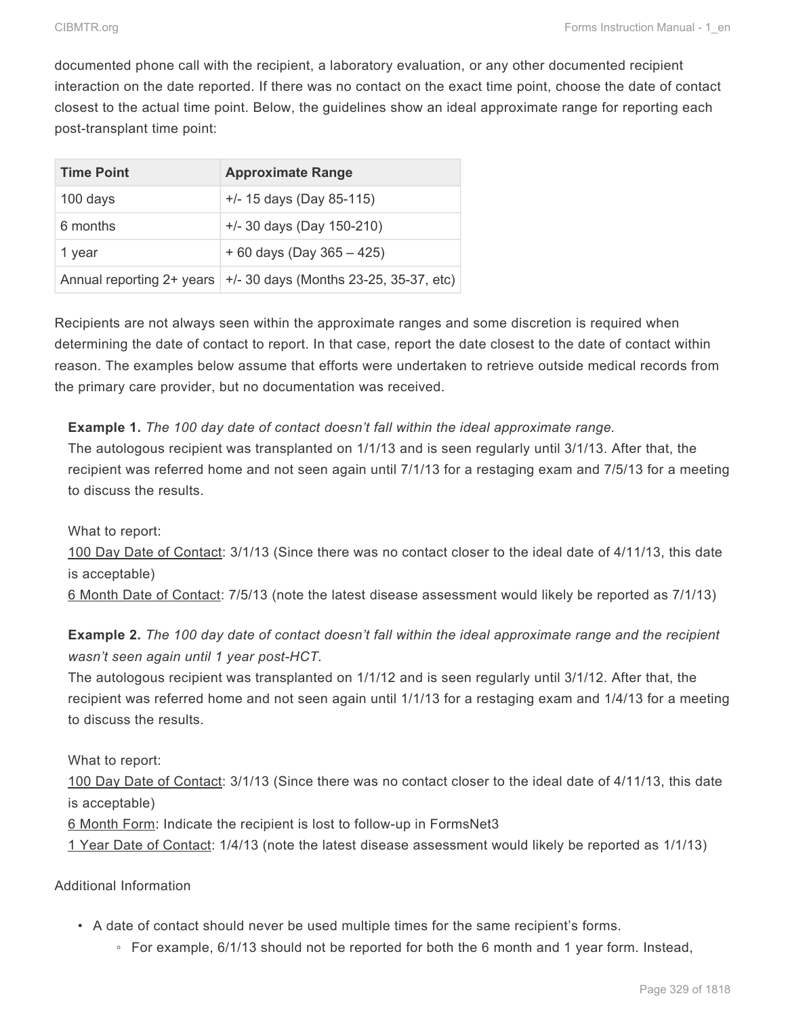documented phone call with the recipient, a laboratory evaluation, or any other documented recipient interaction on the date reported. If there was no contact on the exact time point, choose the date of contact closest to the actual time point. Below, the guidelines show an ideal approximate range for reporting each post-transplant time point:

| <b>Time Point</b>         | <b>Approximate Range</b>                 |
|---------------------------|------------------------------------------|
| 100 days                  | $+/- 15$ days (Day 85-115)               |
| 6 months                  | $+/-$ 30 days (Day 150-210)              |
| 1 year                    | $+60$ days (Day 365 - 425)               |
| Annual reporting 2+ years | $+/-$ 30 days (Months 23-25, 35-37, etc) |

Recipients are not always seen within the approximate ranges and some discretion is required when determining the date of contact to report. In that case, report the date closest to the date of contact within reason. The examples below assume that efforts were undertaken to retrieve outside medical records from the primary care provider, but no documentation was received.

## **Example 1.** *The 100 day date of contact doesn't fall within the ideal approximate range.* The autologous recipient was transplanted on 1/1/13 and is seen regularly until 3/1/13. After that, the recipient was referred home and not seen again until 7/1/13 for a restaging exam and 7/5/13 for a meeting to discuss the results.

What to report:

100 Day Date of Contact: 3/1/13 (Since there was no contact closer to the ideal date of 4/11/13, this date is acceptable)

6 Month Date of Contact: 7/5/13 (note the latest disease assessment would likely be reported as 7/1/13)

**Example 2.** *The 100 day date of contact doesn't fall within the ideal approximate range and the recipient wasn't seen again until 1 year post-HCT.*

The autologous recipient was transplanted on 1/1/12 and is seen regularly until 3/1/12. After that, the recipient was referred home and not seen again until 1/1/13 for a restaging exam and 1/4/13 for a meeting to discuss the results.

What to report:

100 Day Date of Contact: 3/1/13 (Since there was no contact closer to the ideal date of 4/11/13, this date is acceptable)

6 Month Form: Indicate the recipient is lost to follow-up in FormsNet3

1 Year Date of Contact: 1/4/13 (note the latest disease assessment would likely be reported as 1/1/13)

Additional Information

- A date of contact should never be used multiple times for the same recipient's forms.
	- For example, 6/1/13 should not be reported for both the 6 month and 1 year form. Instead,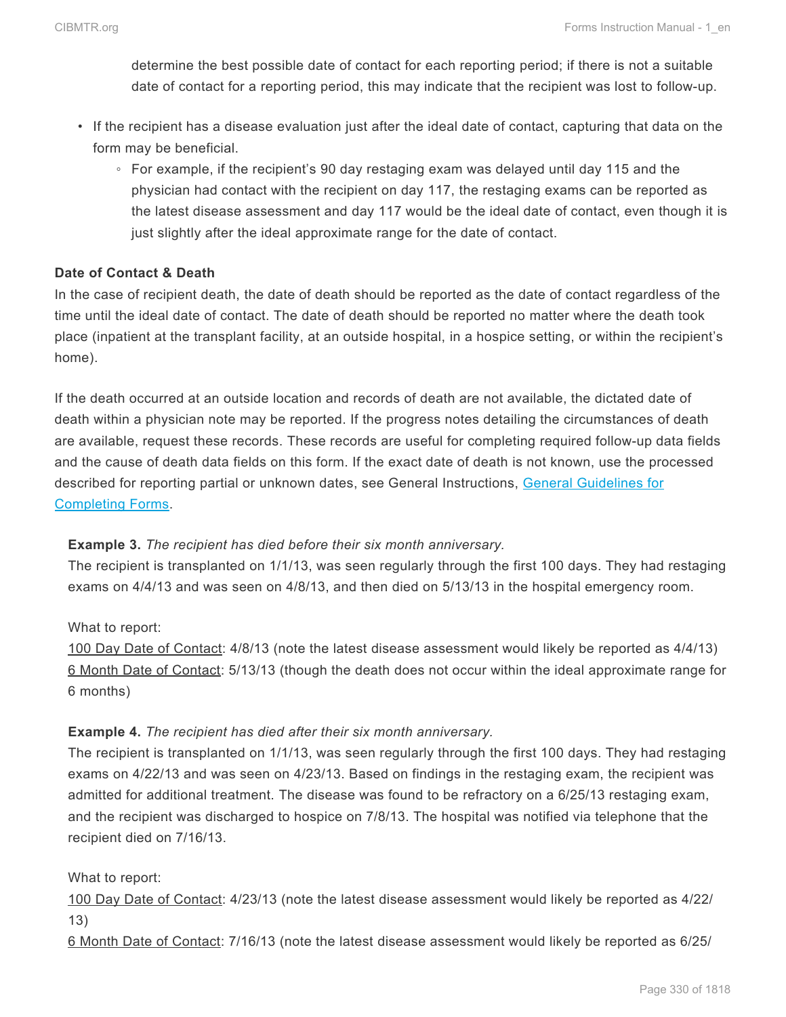determine the best possible date of contact for each reporting period; if there is not a suitable date of contact for a reporting period, this may indicate that the recipient was lost to follow-up.

- If the recipient has a disease evaluation just after the ideal date of contact, capturing that data on the form may be beneficial.
	- For example, if the recipient's 90 day restaging exam was delayed until day 115 and the physician had contact with the recipient on day 117, the restaging exams can be reported as the latest disease assessment and day 117 would be the ideal date of contact, even though it is just slightly after the ideal approximate range for the date of contact.

#### **Date of Contact & Death**

In the case of recipient death, the date of death should be reported as the date of contact regardless of the time until the ideal date of contact. The date of death should be reported no matter where the death took place (inpatient at the transplant facility, at an outside hospital, in a hospice setting, or within the recipient's home).

If the death occurred at an outside location and records of death are not available, the dictated date of death within a physician note may be reported. If the progress notes detailing the circumstances of death are available, request these records. These records are useful for completing required follow-up data fields and the cause of death data fields on this form. If the exact date of death is not known, use the processed described for reporting partial or unknown dates, see General Instructions, General Guidelines for Completing Forms.

#### **Example 3.** *The recipient has died before their six month anniversary.*

The recipient is transplanted on 1/1/13, was seen regularly through the first 100 days. They had restaging exams on 4/4/13 and was seen on 4/8/13, and then died on 5/13/13 in the hospital emergency room.

What to report:

100 Day Date of Contact: 4/8/13 (note the latest disease assessment would likely be reported as 4/4/13) 6 Month Date of Contact: 5/13/13 (though the death does not occur within the ideal approximate range for 6 months)

#### **Example 4.** *The recipient has died after their six month anniversary.*

The recipient is transplanted on 1/1/13, was seen regularly through the first 100 days. They had restaging exams on 4/22/13 and was seen on 4/23/13. Based on findings in the restaging exam, the recipient was admitted for additional treatment. The disease was found to be refractory on a 6/25/13 restaging exam, and the recipient was discharged to hospice on 7/8/13. The hospital was notified via telephone that the recipient died on 7/16/13.

#### What to report:

100 Day Date of Contact: 4/23/13 (note the latest disease assessment would likely be reported as 4/22/ 13)

6 Month Date of Contact: 7/16/13 (note the latest disease assessment would likely be reported as 6/25/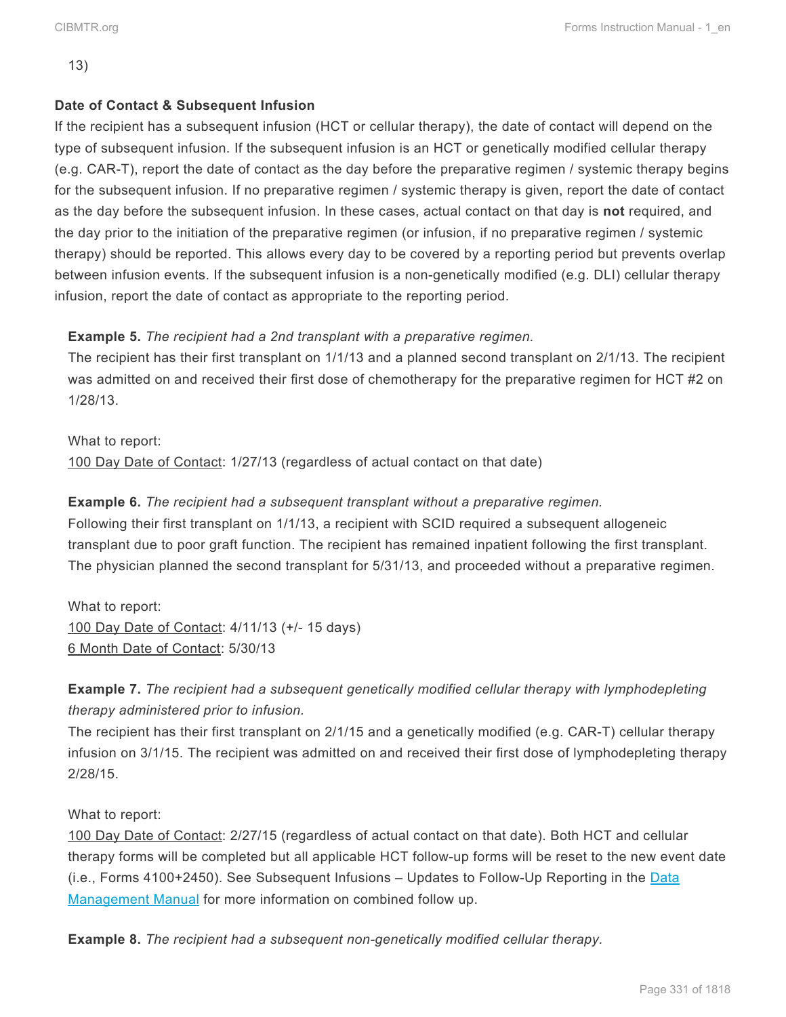13)

#### **Date of Contact & Subsequent Infusion**

If the recipient has a subsequent infusion (HCT or cellular therapy), the date of contact will depend on the type of subsequent infusion. If the subsequent infusion is an HCT or genetically modified cellular therapy (e.g. CAR-T), report the date of contact as the day before the preparative regimen / systemic therapy begins for the subsequent infusion. If no preparative regimen / systemic therapy is given, report the date of contact as the day before the subsequent infusion. In these cases, actual contact on that day is **not** required, and the day prior to the initiation of the preparative regimen (or infusion, if no preparative regimen / systemic therapy) should be reported. This allows every day to be covered by a reporting period but prevents overlap between infusion events. If the subsequent infusion is a non-genetically modified (e.g. DLI) cellular therapy infusion, report the date of contact as appropriate to the reporting period.

#### **Example 5.** *The recipient had a 2nd transplant with a preparative regimen.*

The recipient has their first transplant on 1/1/13 and a planned second transplant on 2/1/13. The recipient was admitted on and received their first dose of chemotherapy for the preparative regimen for HCT #2 on 1/28/13.

What to report: 100 Day Date of Contact: 1/27/13 (regardless of actual contact on that date)

**Example 6.** *The recipient had a subsequent transplant without a preparative regimen.* Following their first transplant on 1/1/13, a recipient with SCID required a subsequent allogeneic transplant due to poor graft function. The recipient has remained inpatient following the first transplant. The physician planned the second transplant for 5/31/13, and proceeded without a preparative regimen.

What to report: 100 Day Date of Contact: 4/11/13 (+/- 15 days) 6 Month Date of Contact: 5/30/13

**Example 7.** *The recipient had a subsequent genetically modified cellular therapy with lymphodepleting therapy administered prior to infusion.*

The recipient has their first transplant on 2/1/15 and a genetically modified (e.g. CAR-T) cellular therapy infusion on 3/1/15. The recipient was admitted on and received their first dose of lymphodepleting therapy 2/28/15.

#### What to report:

100 Day Date of Contact: 2/27/15 (regardless of actual contact on that date). Both HCT and cellular therapy forms will be completed but all applicable HCT follow-up forms will be reset to the new event date  $(i.e.,$  Forms 4100+2450). See Subsequent Infusions  $-$  Updates to Follow-Up Reporting in the [Data](https://manula.com/manuals/cibmtr/training-and-reference/1/en/topic/getting-started) [Management Manual](https://manula.com/manuals/cibmtr/training-and-reference/1/en/topic/getting-started) for more information on combined follow up.

**Example 8.** *The recipient had a subsequent non-genetically modified cellular therapy.*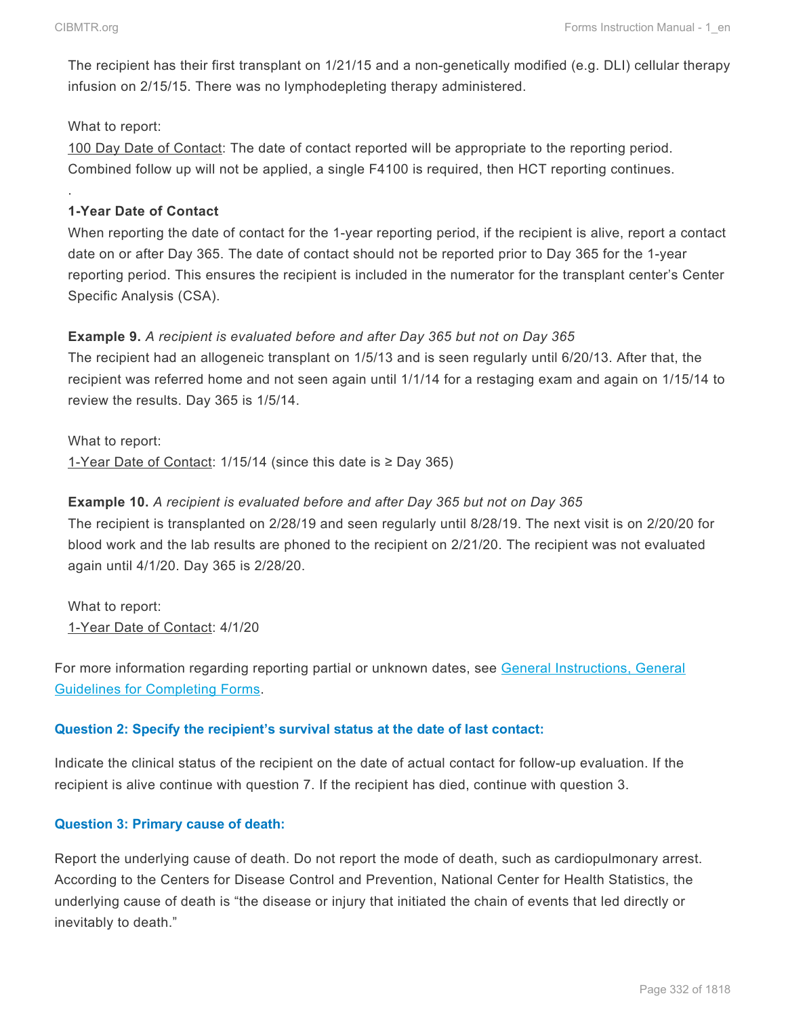.

The recipient has their first transplant on 1/21/15 and a non-genetically modified (e.g. DLI) cellular therapy infusion on 2/15/15. There was no lymphodepleting therapy administered.

#### What to report:

100 Day Date of Contact: The date of contact reported will be appropriate to the reporting period. Combined follow up will not be applied, a single F4100 is required, then HCT reporting continues.

#### **1-Year Date of Contact**

When reporting the date of contact for the 1-year reporting period, if the recipient is alive, report a contact date on or after Day 365. The date of contact should not be reported prior to Day 365 for the 1-year reporting period. This ensures the recipient is included in the numerator for the transplant center's Center Specific Analysis (CSA).

#### **Example 9.** *A recipient is evaluated before and after Day 365 but not on Day 365*

The recipient had an allogeneic transplant on 1/5/13 and is seen regularly until 6/20/13. After that, the recipient was referred home and not seen again until 1/1/14 for a restaging exam and again on 1/15/14 to review the results. Day 365 is 1/5/14.

What to report: 1-Year Date of Contact: 1/15/14 (since this date is ≥ Day 365)

#### **Example 10.** *A recipient is evaluated before and after Day 365 but not on Day 365*

The recipient is transplanted on 2/28/19 and seen regularly until 8/28/19. The next visit is on 2/20/20 for blood work and the lab results are phoned to the recipient on 2/21/20. The recipient was not evaluated again until 4/1/20. Day 365 is 2/28/20.

What to report: 1-Year Date of Contact: 4/1/20

For more information regarding reporting partial or unknown dates, see General Instructions, General Guidelines for Completing Forms.

## **Question 2: Specify the recipient's survival status at the date of last contact:**

Indicate the clinical status of the recipient on the date of actual contact for follow-up evaluation. If the recipient is alive continue with question 7. If the recipient has died, continue with question 3.

## **Question 3: Primary cause of death:**

Report the underlying cause of death. Do not report the mode of death, such as cardiopulmonary arrest. According to the Centers for Disease Control and Prevention, National Center for Health Statistics, the underlying cause of death is "the disease or injury that initiated the chain of events that led directly or inevitably to death."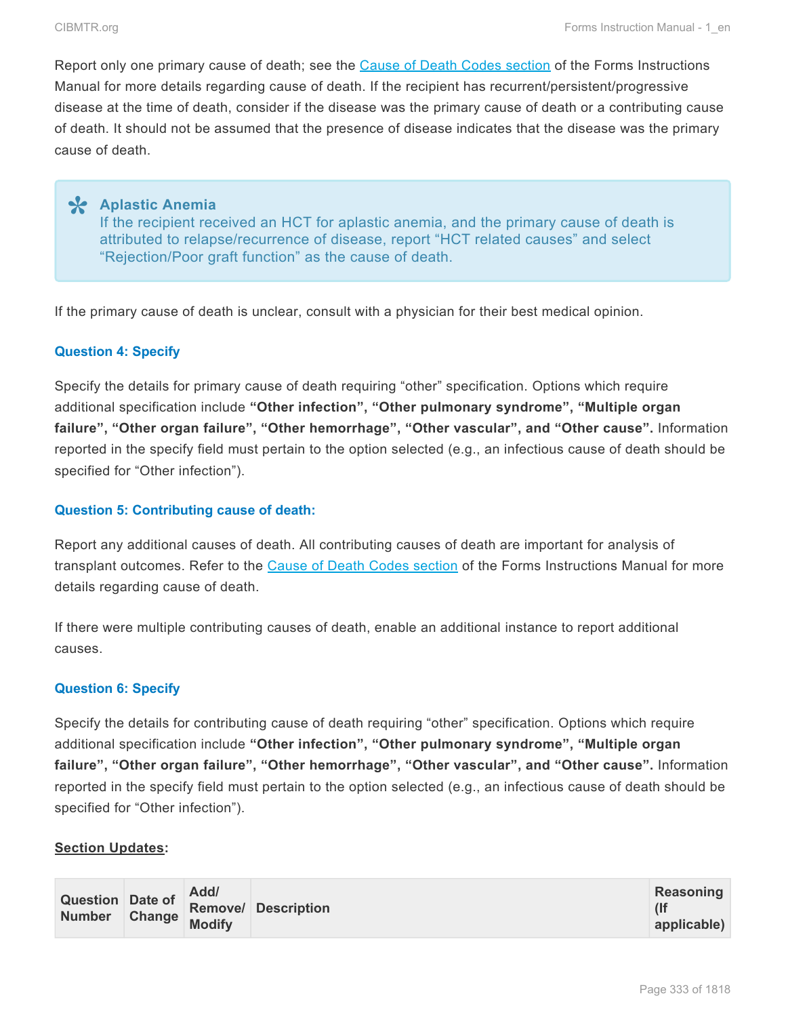Report only one primary cause of death; see the Cause of Death Codes section of the Forms Instructions Manual for more details regarding cause of death. If the recipient has recurrent/persistent/progressive disease at the time of death, consider if the disease was the primary cause of death or a contributing cause of death. It should not be assumed that the presence of disease indicates that the disease was the primary cause of death.

**Aplastic Anemia \*** If the recipient received an HCT for aplastic anemia, and the primary cause of death is attributed to relapse/recurrence of disease, report "HCT related causes" and select "Rejection/Poor graft function" as the cause of death.

If the primary cause of death is unclear, consult with a physician for their best medical opinion.

#### **Question 4: Specify**

Specify the details for primary cause of death requiring "other" specification. Options which require additional specification include **"Other infection", "Other pulmonary syndrome", "Multiple organ failure", "Other organ failure", "Other hemorrhage", "Other vascular", and "Other cause".** Information reported in the specify field must pertain to the option selected (e.g., an infectious cause of death should be specified for "Other infection").

#### **Question 5: Contributing cause of death:**

Report any additional causes of death. All contributing causes of death are important for analysis of transplant outcomes. Refer to the Cause of Death Codes section of the Forms Instructions Manual for more details regarding cause of death.

If there were multiple contributing causes of death, enable an additional instance to report additional causes.

#### **Question 6: Specify**

Specify the details for contributing cause of death requiring "other" specification. Options which require additional specification include **"Other infection", "Other pulmonary syndrome", "Multiple organ failure", "Other organ failure", "Other hemorrhage", "Other vascular", and "Other cause".** Information reported in the specify field must pertain to the option selected (e.g., an infectious cause of death should be specified for "Other infection").

#### **Section Updates:**

| Question Date of Removel Description<br>Number Change Modify |  | Add/ | Reasoning |
|--------------------------------------------------------------|--|------|-----------|
|                                                              |  |      |           |
|                                                              |  |      |           |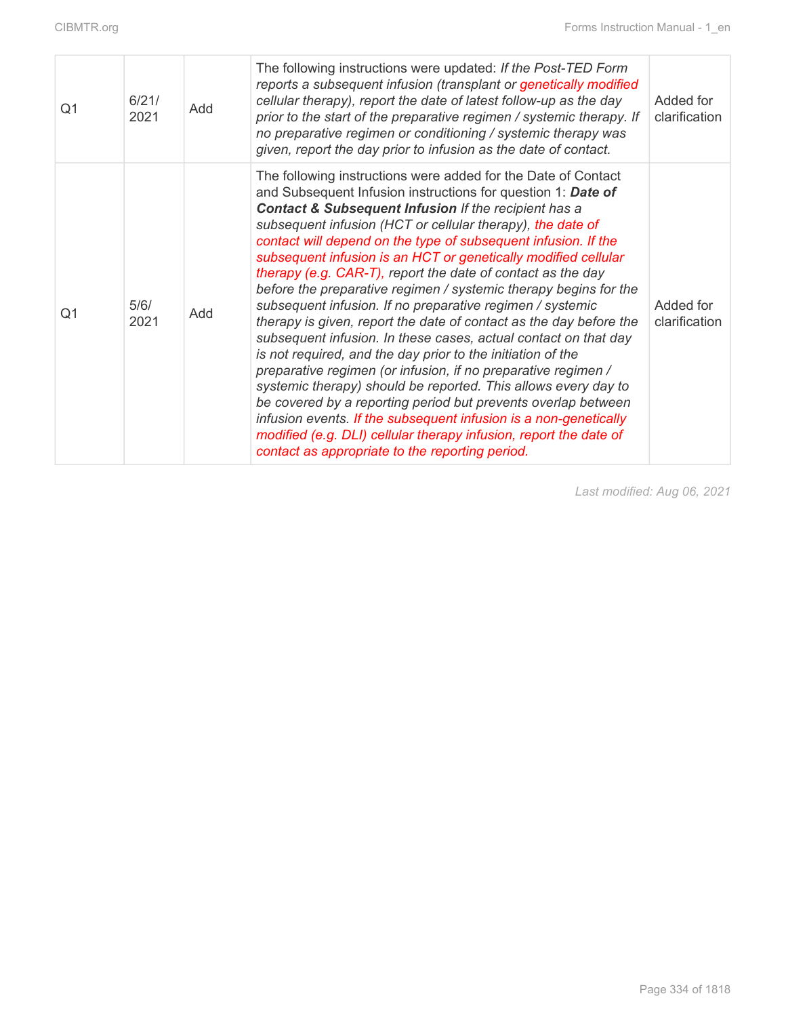| Q <sub>1</sub> | 6/21/<br>2021 | Add | The following instructions were updated: If the Post-TED Form<br>reports a subsequent infusion (transplant or genetically modified<br>cellular therapy), report the date of latest follow-up as the day<br>prior to the start of the preparative regimen / systemic therapy. If<br>no preparative regimen or conditioning / systemic therapy was<br>given, report the day prior to infusion as the date of contact.                                                                                                                                                                                                                                                                                                                                                                                                                                                                                                                                                                                                                                                                                                                                                                                        | Added for<br>clarification |
|----------------|---------------|-----|------------------------------------------------------------------------------------------------------------------------------------------------------------------------------------------------------------------------------------------------------------------------------------------------------------------------------------------------------------------------------------------------------------------------------------------------------------------------------------------------------------------------------------------------------------------------------------------------------------------------------------------------------------------------------------------------------------------------------------------------------------------------------------------------------------------------------------------------------------------------------------------------------------------------------------------------------------------------------------------------------------------------------------------------------------------------------------------------------------------------------------------------------------------------------------------------------------|----------------------------|
| Q1             | 5/6/<br>2021  | Add | The following instructions were added for the Date of Contact<br>and Subsequent Infusion instructions for question 1: Date of<br><b>Contact &amp; Subsequent Infusion If the recipient has a</b><br>subsequent infusion (HCT or cellular therapy), the date of<br>contact will depend on the type of subsequent infusion. If the<br>subsequent infusion is an HCT or genetically modified cellular<br>therapy (e.g. CAR-T), report the date of contact as the day<br>before the preparative regimen / systemic therapy begins for the<br>subsequent infusion. If no preparative regimen / systemic<br>therapy is given, report the date of contact as the day before the<br>subsequent infusion. In these cases, actual contact on that day<br>is not required, and the day prior to the initiation of the<br>preparative regimen (or infusion, if no preparative regimen /<br>systemic therapy) should be reported. This allows every day to<br>be covered by a reporting period but prevents overlap between<br>infusion events. If the subsequent infusion is a non-genetically<br>modified (e.g. DLI) cellular therapy infusion, report the date of<br>contact as appropriate to the reporting period. | Added for<br>clarification |

*Last modified: Aug 06, 2021*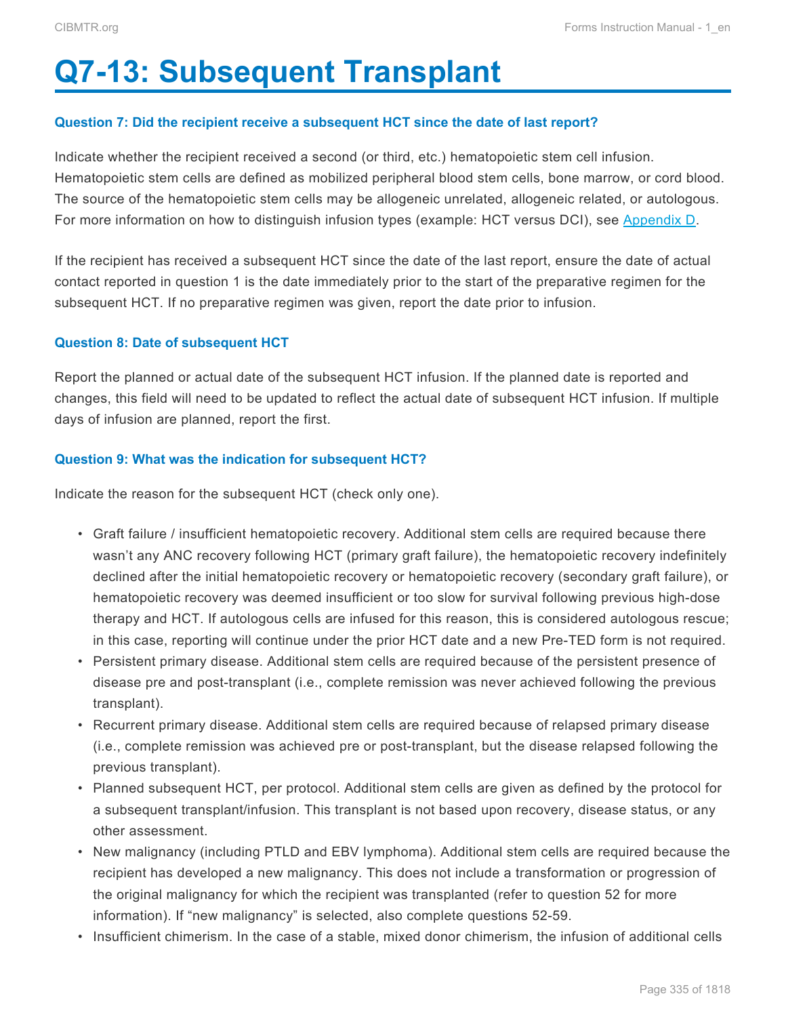# <span id="page-16-0"></span>**Q7-13: Subsequent Transplant**

#### **Question 7: Did the recipient receive a subsequent HCT since the date of last report?**

Indicate whether the recipient received a second (or third, etc.) hematopoietic stem cell infusion. Hematopoietic stem cells are defined as mobilized peripheral blood stem cells, bone marrow, or cord blood. The source of the hematopoietic stem cells may be allogeneic unrelated, allogeneic related, or autologous. For more information on how to distinguish infusion types (example: HCT versus DCI), see Appendix D.

If the recipient has received a subsequent HCT since the date of the last report, ensure the date of actual contact reported in question 1 is the date immediately prior to the start of the preparative regimen for the subsequent HCT. If no preparative regimen was given, report the date prior to infusion.

#### **Question 8: Date of subsequent HCT**

Report the planned or actual date of the subsequent HCT infusion. If the planned date is reported and changes, this field will need to be updated to reflect the actual date of subsequent HCT infusion. If multiple days of infusion are planned, report the first.

#### **Question 9: What was the indication for subsequent HCT?**

Indicate the reason for the subsequent HCT (check only one).

- Graft failure / insufficient hematopoietic recovery. Additional stem cells are required because there wasn't any ANC recovery following HCT (primary graft failure), the hematopoietic recovery indefinitely declined after the initial hematopoietic recovery or hematopoietic recovery (secondary graft failure), or hematopoietic recovery was deemed insufficient or too slow for survival following previous high-dose therapy and HCT. If autologous cells are infused for this reason, this is considered autologous rescue; in this case, reporting will continue under the prior HCT date and a new Pre-TED form is not required.
- Persistent primary disease. Additional stem cells are required because of the persistent presence of disease pre and post-transplant (i.e., complete remission was never achieved following the previous transplant).
- Recurrent primary disease. Additional stem cells are required because of relapsed primary disease (i.e., complete remission was achieved pre or post-transplant, but the disease relapsed following the previous transplant).
- Planned subsequent HCT, per protocol. Additional stem cells are given as defined by the protocol for a subsequent transplant/infusion. This transplant is not based upon recovery, disease status, or any other assessment.
- New malignancy (including PTLD and EBV lymphoma). Additional stem cells are required because the recipient has developed a new malignancy. This does not include a transformation or progression of the original malignancy for which the recipient was transplanted (refer to question 52 for more information). If "new malignancy" is selected, also complete questions 52-59.
- Insufficient chimerism. In the case of a stable, mixed donor chimerism, the infusion of additional cells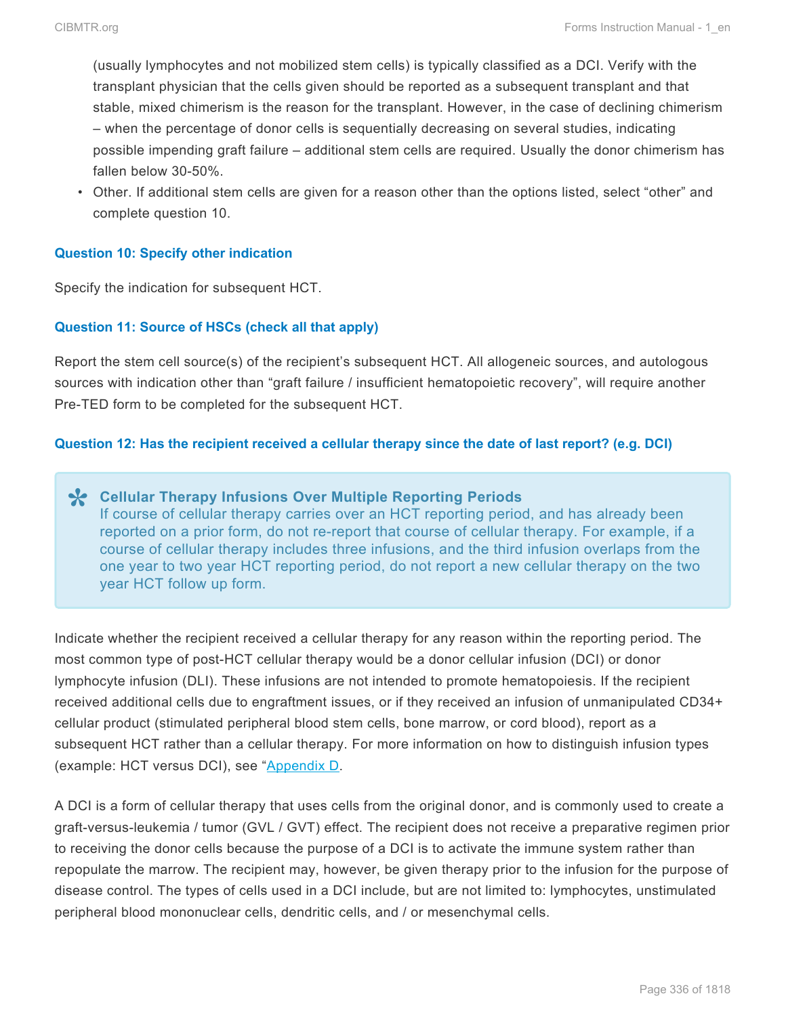(usually lymphocytes and not mobilized stem cells) is typically classified as a DCI. Verify with the transplant physician that the cells given should be reported as a subsequent transplant and that stable, mixed chimerism is the reason for the transplant. However, in the case of declining chimerism – when the percentage of donor cells is sequentially decreasing on several studies, indicating possible impending graft failure – additional stem cells are required. Usually the donor chimerism has fallen below 30-50%.

• Other. If additional stem cells are given for a reason other than the options listed, select "other" and complete question 10.

#### **Question 10: Specify other indication**

Specify the indication for subsequent HCT.

#### **Question 11: Source of HSCs (check all that apply)**

Report the stem cell source(s) of the recipient's subsequent HCT. All allogeneic sources, and autologous sources with indication other than "graft failure / insufficient hematopoietic recovery", will require another Pre-TED form to be completed for the subsequent HCT.

#### **Question 12: Has the recipient received a cellular therapy since the date of last report? (e.g. DCI)**

**Cellular Therapy Infusions Over Multiple Reporting Periods \*** If course of cellular therapy carries over an HCT reporting period, and has already been reported on a prior form, do not re-report that course of cellular therapy. For example, if a course of cellular therapy includes three infusions, and the third infusion overlaps from the one year to two year HCT reporting period, do not report a new cellular therapy on the two year HCT follow up form.

Indicate whether the recipient received a cellular therapy for any reason within the reporting period. The most common type of post-HCT cellular therapy would be a donor cellular infusion (DCI) or donor lymphocyte infusion (DLI). These infusions are not intended to promote hematopoiesis. If the recipient received additional cells due to engraftment issues, or if they received an infusion of unmanipulated CD34+ cellular product (stimulated peripheral blood stem cells, bone marrow, or cord blood), report as a subsequent HCT rather than a cellular therapy. For more information on how to distinguish infusion types (example: HCT versus DCI), see "Appendix D.

A DCI is a form of cellular therapy that uses cells from the original donor, and is commonly used to create a graft-versus-leukemia / tumor (GVL / GVT) effect. The recipient does not receive a preparative regimen prior to receiving the donor cells because the purpose of a DCI is to activate the immune system rather than repopulate the marrow. The recipient may, however, be given therapy prior to the infusion for the purpose of disease control. The types of cells used in a DCI include, but are not limited to: lymphocytes, unstimulated peripheral blood mononuclear cells, dendritic cells, and / or mesenchymal cells.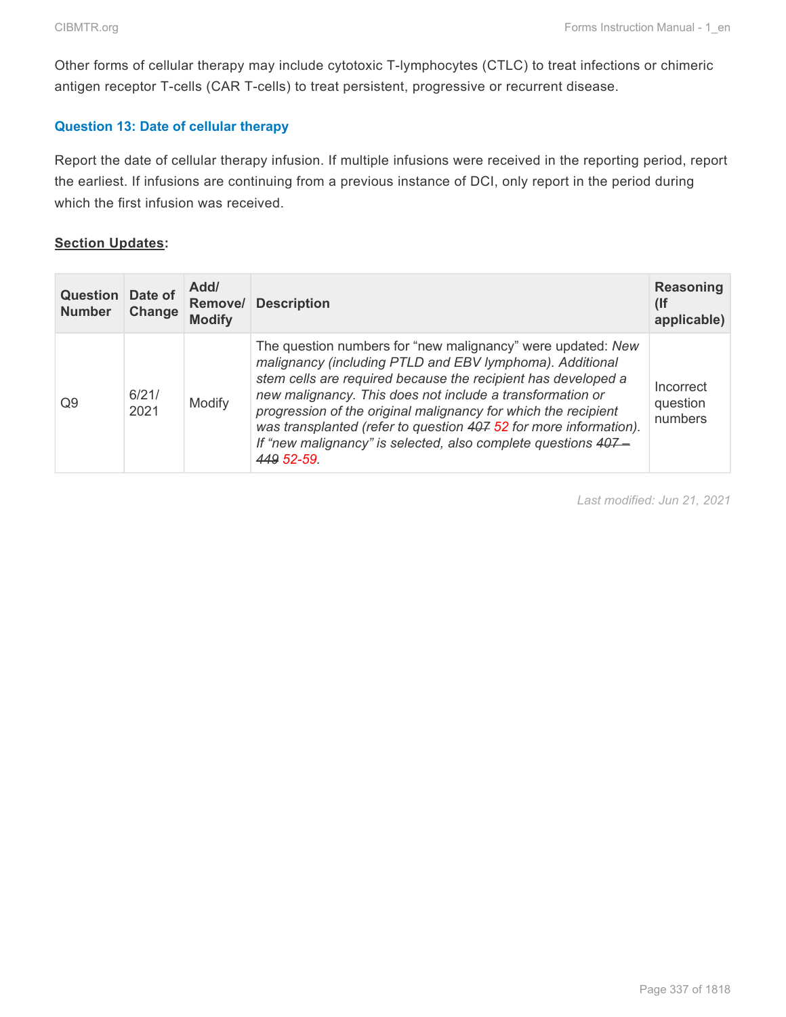Other forms of cellular therapy may include cytotoxic T-lymphocytes (CTLC) to treat infections or chimeric antigen receptor T-cells (CAR T-cells) to treat persistent, progressive or recurrent disease.

#### **Question 13: Date of cellular therapy**

Report the date of cellular therapy infusion. If multiple infusions were received in the reporting period, report the earliest. If infusions are continuing from a previous instance of DCI, only report in the period during which the first infusion was received.

#### **Section Updates:**

| <b>Question</b> Date of<br><b>Number</b> | Change        | Add/<br>Remove/<br><b>Modify</b> | <b>Description</b>                                                                                                                                                                                                                                                                                                                                                                                                                                                          | <b>Reasoning</b><br>$($ lf<br>applicable) |
|------------------------------------------|---------------|----------------------------------|-----------------------------------------------------------------------------------------------------------------------------------------------------------------------------------------------------------------------------------------------------------------------------------------------------------------------------------------------------------------------------------------------------------------------------------------------------------------------------|-------------------------------------------|
| Q9                                       | 6/21/<br>2021 | Modify                           | The question numbers for "new malignancy" were updated: New<br>malignancy (including PTLD and EBV lymphoma). Additional<br>stem cells are required because the recipient has developed a<br>new malignancy. This does not include a transformation or<br>progression of the original malignancy for which the recipient<br>was transplanted (refer to question 407 52 for more information).<br>If "new malignancy" is selected, also complete questions 407-<br>449 52-59. | Incorrect<br>question<br>numbers          |

*Last modified: Jun 21, 2021*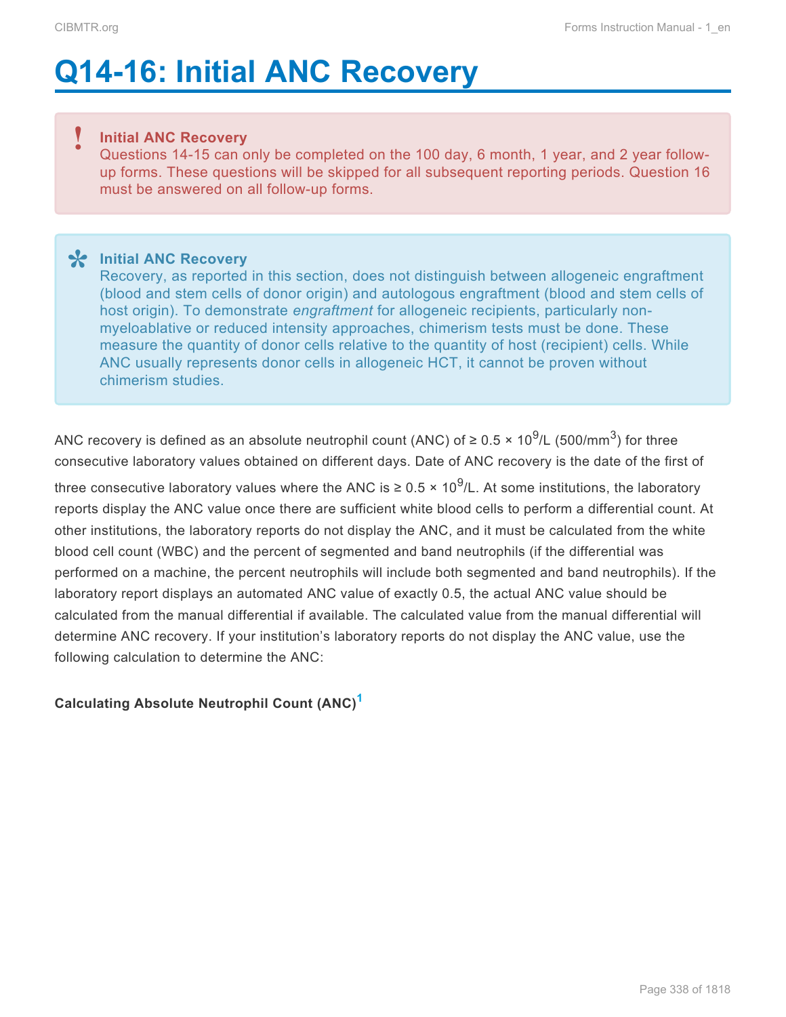# <span id="page-19-0"></span>**Q14-16: Initial ANC Recovery**

#### **Initial ANC Recovery !**

Questions 14-15 can only be completed on the 100 day, 6 month, 1 year, and 2 year followup forms. These questions will be skipped for all subsequent reporting periods. Question 16 must be answered on all follow-up forms.

**Initial ANC Recovery \*** Recovery, as reported in this section, does not distinguish between allogeneic engraftment (blood and stem cells of donor origin) and autologous engraftment (blood and stem cells of host origin). To demonstrate *engraftment* for allogeneic recipients, particularly nonmyeloablative or reduced intensity approaches, chimerism tests must be done. These measure the quantity of donor cells relative to the quantity of host (recipient) cells. While ANC usually represents donor cells in allogeneic HCT, it cannot be proven without chimerism studies.

ANC recovery is defined as an absolute neutrophil count (ANC) of ≥ 0.5 × 10<sup>9</sup>/L (500/mm<sup>3</sup>) for three consecutive laboratory values obtained on different days. Date of ANC recovery is the date of the first of

three consecutive laboratory values where the ANC is ≥ 0.5 × 10<sup>9</sup>/L. At some institutions, the laboratory reports display the ANC value once there are sufficient white blood cells to perform a differential count. At other institutions, the laboratory reports do not display the ANC, and it must be calculated from the white blood cell count (WBC) and the percent of segmented and band neutrophils (if the differential was performed on a machine, the percent neutrophils will include both segmented and band neutrophils). If the laboratory report displays an automated ANC value of exactly 0.5, the actual ANC value should be calculated from the manual differential if available. The calculated value from the manual differential will determine ANC recovery. If your institution's laboratory reports do not display the ANC value, use the following calculation to determine the ANC:

## **Calculating Absolute Neutrophil Count (ANC) [1](#page-20-0)**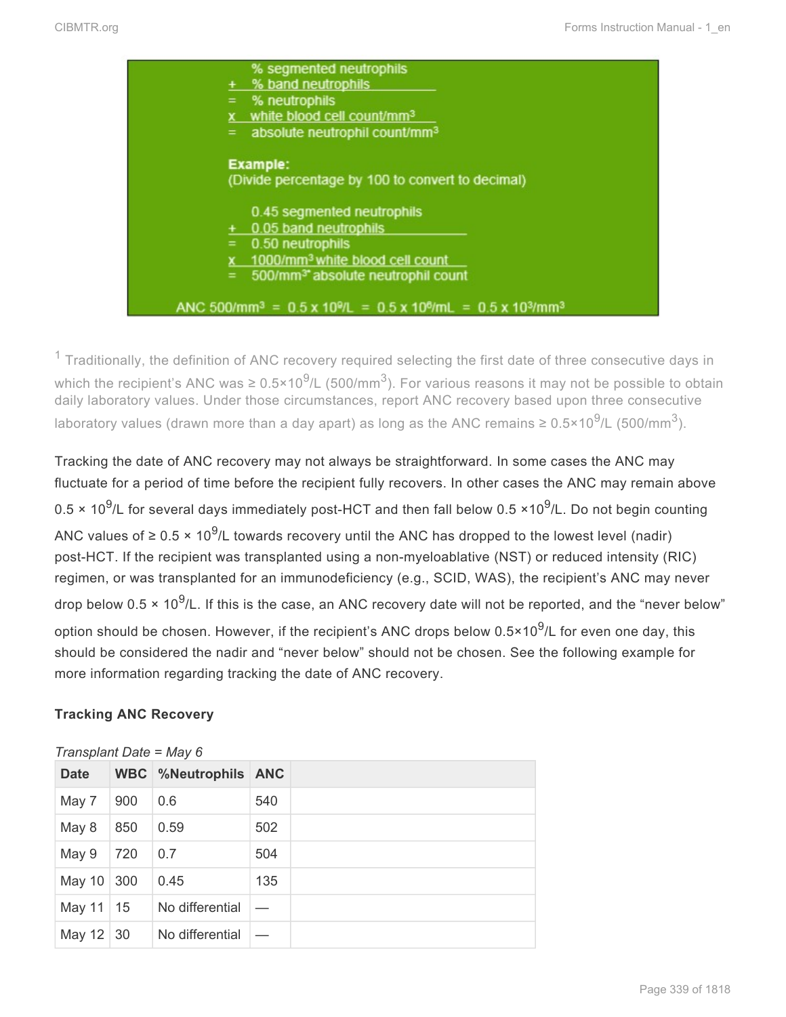

<span id="page-20-0"></span> $1$  Traditionally, the definition of ANC recovery required selecting the first date of three consecutive days in which the recipient's ANC was ≥ 0.5×10<sup>9</sup>/L (500/mm<sup>3</sup>). For various reasons it may not be possible to obtain daily laboratory values. Under those circumstances, report ANC recovery based upon three consecutive laboratory values (drawn more than a day apart) as long as the ANC remains ≥ 0.5×10<sup>9</sup>/L (500/mm<sup>3</sup>).

Tracking the date of ANC recovery may not always be straightforward. In some cases the ANC may fluctuate for a period of time before the recipient fully recovers. In other cases the ANC may remain above 0.5  $\times$  10<sup>9</sup>/L for several days immediately post-HCT and then fall below 0.5  $\times$ 10<sup>9</sup>/L. Do not begin counting ANC values of ≥ 0.5 × 10<sup>9</sup>/L towards recovery until the ANC has dropped to the lowest level (nadir) post-HCT. If the recipient was transplanted using a non-myeloablative (NST) or reduced intensity (RIC) regimen, or was transplanted for an immunodeficiency (e.g., SCID, WAS), the recipient's ANC may never drop below 0.5  $\times$  10<sup>9</sup>/L. If this is the case, an ANC recovery date will not be reported, and the "never below" option should be chosen. However, if the recipient's ANC drops below 0.5×10 $^9$ /L for even one day, this should be considered the nadir and "never below" should not be chosen. See the following example for more information regarding tracking the date of ANC recovery.

## **Tracking ANC Recovery**

| <b>Date</b> |     | <b>WBC</b> %Neutrophils ANC |     |
|-------------|-----|-----------------------------|-----|
| May 7       | 900 | 0.6                         | 540 |
| May 8       | 850 | 0.59                        | 502 |
| May 9       | 720 | 0.7                         | 504 |
| May 10 300  |     | 0.45                        | 135 |
| May 11      | 15  | No differential             |     |
| May 12 30   |     | No differential             |     |

#### *Transplant Date = May 6*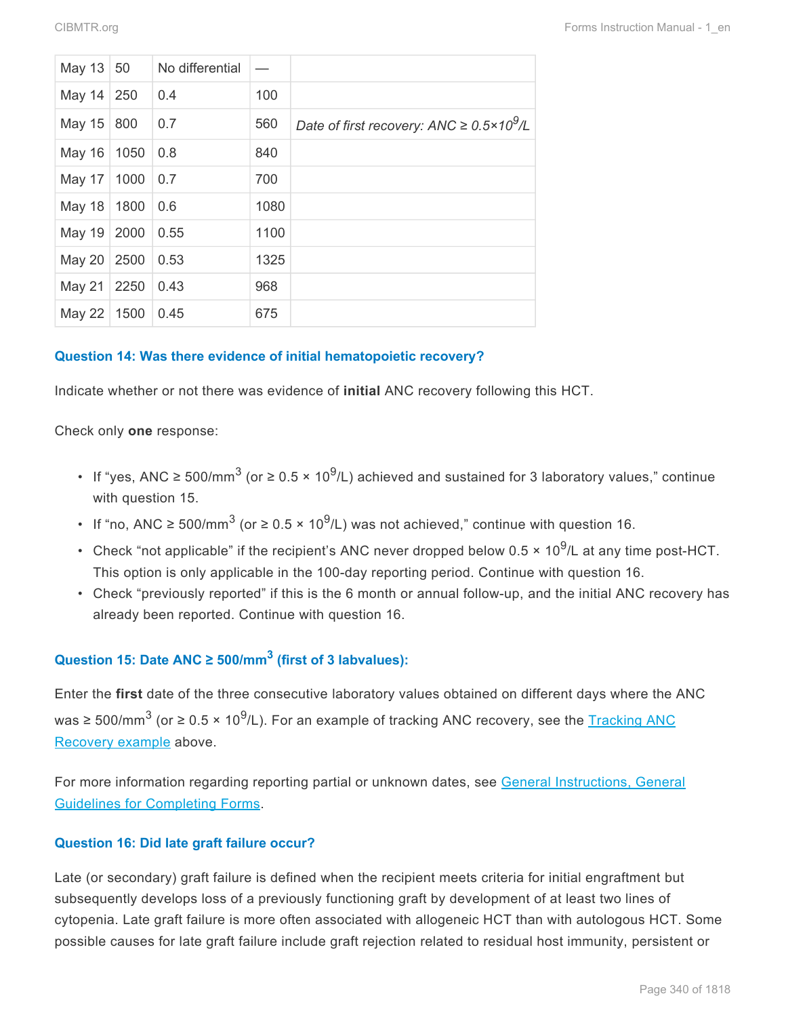| May 13        | 50   | No differential |      |                                                       |
|---------------|------|-----------------|------|-------------------------------------------------------|
| May $14$      | 250  | 0.4             | 100  |                                                       |
| May 15        | 800  | 0.7             | 560  | Date of first recovery: ANC $\geq 0.5 \times 10^9$ /L |
| May 16        | 1050 | 0.8             | 840  |                                                       |
| May 17        | 1000 | 0.7             | 700  |                                                       |
| <b>May 18</b> | 1800 | 0.6             | 1080 |                                                       |
| <b>May 19</b> | 2000 | 0.55            | 1100 |                                                       |
| <b>May 20</b> | 2500 | 0.53            | 1325 |                                                       |
| <b>May 21</b> | 2250 | 0.43            | 968  |                                                       |
| May 22        | 1500 | 0.45            | 675  |                                                       |

#### **Question 14: Was there evidence of initial hematopoietic recovery?**

Indicate whether or not there was evidence of **initial** ANC recovery following this HCT.

Check only **one** response:

- If "yes, ANC ≥ 500/mm<sup>3</sup> (or ≥ 0.5 × 10<sup>9</sup>/L) achieved and sustained for 3 laboratory values," continue with question 15.
- If "no, ANC ≥ 500/mm<sup>3</sup> (or ≥ 0.5 × 10<sup>9</sup>/L) was not achieved," continue with question 16.
- Check "not applicable" if the recipient's ANC never dropped below 0.5  $\times$  10<sup>9</sup>/L at any time post-HCT. This option is only applicable in the 100-day reporting period. Continue with question 16.
- Check "previously reported" if this is the 6 month or annual follow-up, and the initial ANC recovery has already been reported. Continue with question 16.

## **Question 15: Date ANC ≥ 500/mm<sup>3</sup> (first of 3 labvalues):**

Enter the **first** date of the three consecutive laboratory values obtained on different days where the ANC was ≥ 500/mm<sup>3</sup> (or ≥ 0.5 × 10<sup>9</sup>/L). For an example of tracking ANC recovery, see the <u>[Tracking](#page-19-0) ANC</u> [Recovery example](#page-19-0) above.

For more information regarding reporting partial or unknown dates, see General Instructions, General Guidelines for Completing Forms.

#### **Question 16: Did late graft failure occur?**

Late (or secondary) graft failure is defined when the recipient meets criteria for initial engraftment but subsequently develops loss of a previously functioning graft by development of at least two lines of cytopenia. Late graft failure is more often associated with allogeneic HCT than with autologous HCT. Some possible causes for late graft failure include graft rejection related to residual host immunity, persistent or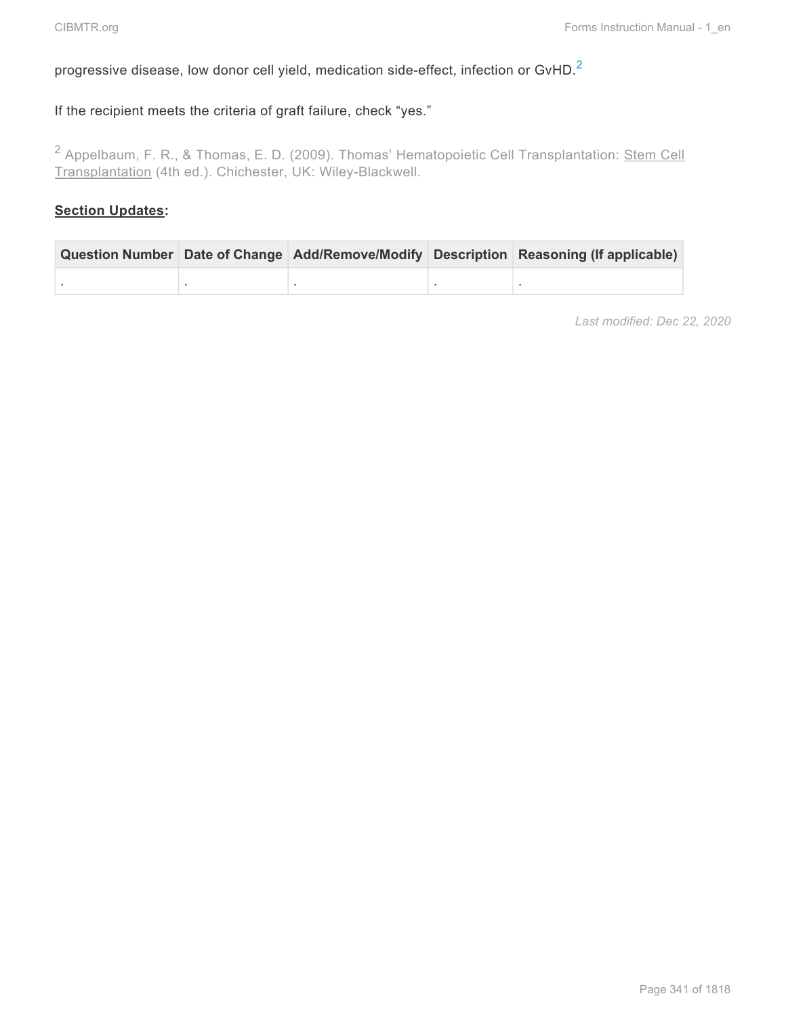# progressive disease, low donor cell yield, medication side-effect, infection or GvHD.<sup>[2](#page-22-0)</sup>

## If the recipient meets the criteria of graft failure, check "yes."

<span id="page-22-0"></span><sup>2</sup> Appelbaum, F. R., & Thomas, E. D. (2009). Thomas' Hematopoietic Cell Transplantation: Stem Cell Transplantation (4th ed.). Chichester, UK: Wiley-Blackwell.

#### **Section Updates:**

|  |  | Question Number Date of Change Add/Remove/Modify Description Reasoning (If applicable) |  |
|--|--|----------------------------------------------------------------------------------------|--|
|  |  |                                                                                        |  |

*Last modified: Dec 22, 2020*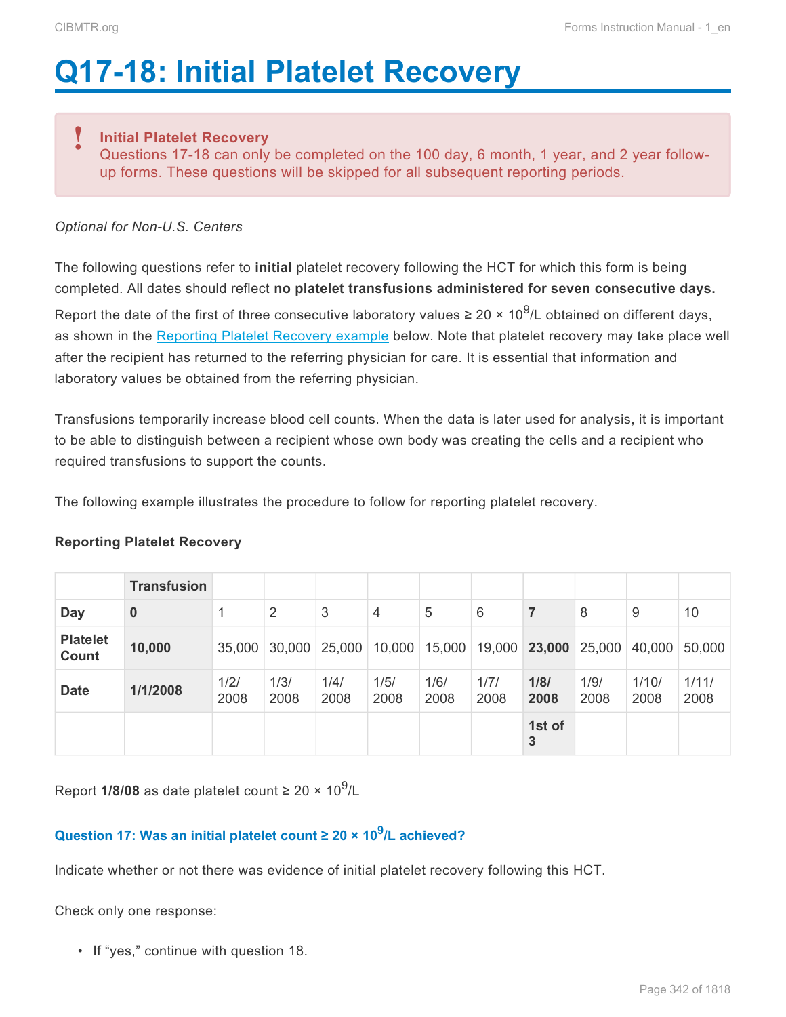# <span id="page-23-0"></span>**Q17-18: Initial Platelet Recovery**

#### **Initial Platelet Recovery !**

Questions 17-18 can only be completed on the 100 day, 6 month, 1 year, and 2 year followup forms. These questions will be skipped for all subsequent reporting periods.

### *Optional for Non-U.S. Centers*

The following questions refer to **initial** platelet recovery following the HCT for which this form is being completed. All dates should reflect **no platelet transfusions administered for seven consecutive days.**

Report the date of the first of three consecutive laboratory values  $\geq 20 \times 10^9$ /L obtained on different days, as shown in the [Reporting Platelet Recovery example](#page-23-0) below. Note that platelet recovery may take place well after the recipient has returned to the referring physician for care. It is essential that information and laboratory values be obtained from the referring physician.

Transfusions temporarily increase blood cell counts. When the data is later used for analysis, it is important to be able to distinguish between a recipient whose own body was creating the cells and a recipient who required transfusions to support the counts.

The following example illustrates the procedure to follow for reporting platelet recovery.

#### **Reporting Platelet Recovery**

|                          | <b>Transfusion</b> |              |              |              |              |              |              |              |              |               |               |
|--------------------------|--------------------|--------------|--------------|--------------|--------------|--------------|--------------|--------------|--------------|---------------|---------------|
| Day                      | $\bf{0}$           |              | 2            | 3            | 4            | 5            | 6            | 7            | 8            | 9             | 10            |
| <b>Platelet</b><br>Count | 10,000             | 35,000       | 30,000       | 25,000       | 10,000       | 15,000       | 19,000       | 23,000       | 25,000       | 40,000        | 50,000        |
| <b>Date</b>              | 1/1/2008           | 1/2/<br>2008 | 1/3/<br>2008 | 1/4/<br>2008 | 1/5/<br>2008 | 1/6/<br>2008 | 1/7/<br>2008 | 1/8/<br>2008 | 1/9/<br>2008 | 1/10/<br>2008 | 1/11/<br>2008 |
|                          |                    |              |              |              |              |              |              | 1st of<br>3  |              |               |               |

Report 1/8/08 as date platelet count ≥ 20 × 10<sup>9</sup>/L

# **Question 17: Was an initial platelet count ≥ 20 × 10<sup>9</sup> /L achieved?**

Indicate whether or not there was evidence of initial platelet recovery following this HCT.

Check only one response:

• If "yes," continue with question 18.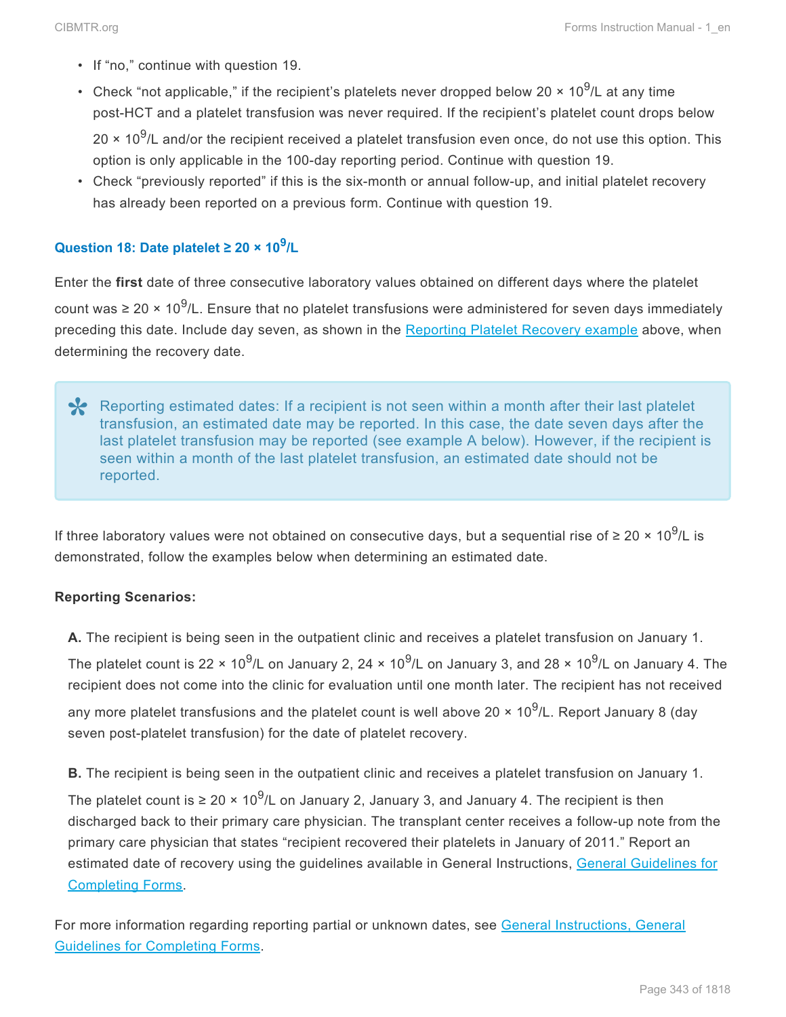- If "no," continue with question 19.
- Check "not applicable," if the recipient's platelets never dropped below 20  $\times$  10<sup>9</sup>/L at any time post-HCT and a platelet transfusion was never required. If the recipient's platelet count drops below 20  $\times$  10<sup>9</sup>/L and/or the recipient received a platelet transfusion even once, do not use this option. This option is only applicable in the 100-day reporting period. Continue with question 19.
- Check "previously reported" if this is the six-month or annual follow-up, and initial platelet recovery has already been reported on a previous form. Continue with question 19.

## **Question 18: Date platelet ≥ 20 × 10<sup>9</sup> /L**

Enter the **first** date of three consecutive laboratory values obtained on different days where the platelet count was ≥ 20 × 10<sup>9</sup>/L. Ensure that no platelet transfusions were administered for seven days immediately preceding this date. Include day seven, as shown in the [Reporting Platelet Recovery example](#page-23-0) above, when determining the recovery date.

Reporting estimated dates: If a recipient is not seen within a month after their last platelet<br>transfusion, an estimated date may be reported. In this case, the date seven days after the<br>last platelet transfusion may be re transfusion, an estimated date may be reported. In this case, the date seven days after the last platelet transfusion may be reported (see example A below). However, if the recipient is seen within a month of the last platelet transfusion, an estimated date should not be reported.

If three laboratory values were not obtained on consecutive days, but a sequential rise of  $\geq 20 \times 10^9$ /L is demonstrated, follow the examples below when determining an estimated date.

#### **Reporting Scenarios:**

**A.** The recipient is being seen in the outpatient clinic and receives a platelet transfusion on January 1.

The platelet count is 22 × 10<sup>9</sup>/L on January 2, 24 × 10<sup>9</sup>/L on January 3, and 28 × 10<sup>9</sup>/L on January 4. The recipient does not come into the clinic for evaluation until one month later. The recipient has not received any more platelet transfusions and the platelet count is well above 20  $\times$  10<sup>9</sup>/L. Report January 8 (day seven post-platelet transfusion) for the date of platelet recovery.

**B.** The recipient is being seen in the outpatient clinic and receives a platelet transfusion on January 1.

The platelet count is ≥ 20 × 10<sup>9</sup>/L on January 2, January 3, and January 4. The recipient is then discharged back to their primary care physician. The transplant center receives a follow-up note from the primary care physician that states "recipient recovered their platelets in January of 2011." Report an estimated date of recovery using the guidelines available in General Instructions, General Guidelines for Completing Forms.

For more information regarding reporting partial or unknown dates, see General Instructions, General Guidelines for Completing Forms.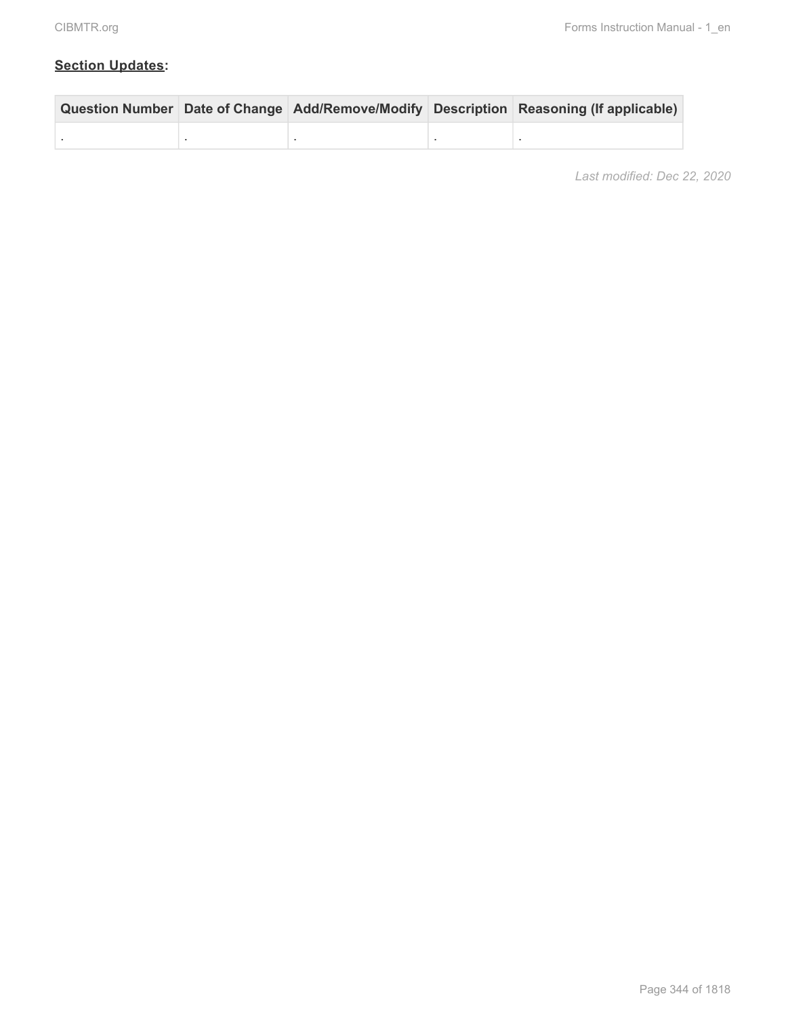## **Section Updates:**

|  |  | Question Number Date of Change Add/Remove/Modify Description Reasoning (If applicable) |
|--|--|----------------------------------------------------------------------------------------|
|  |  |                                                                                        |

*Last modified: Dec 22, 2020*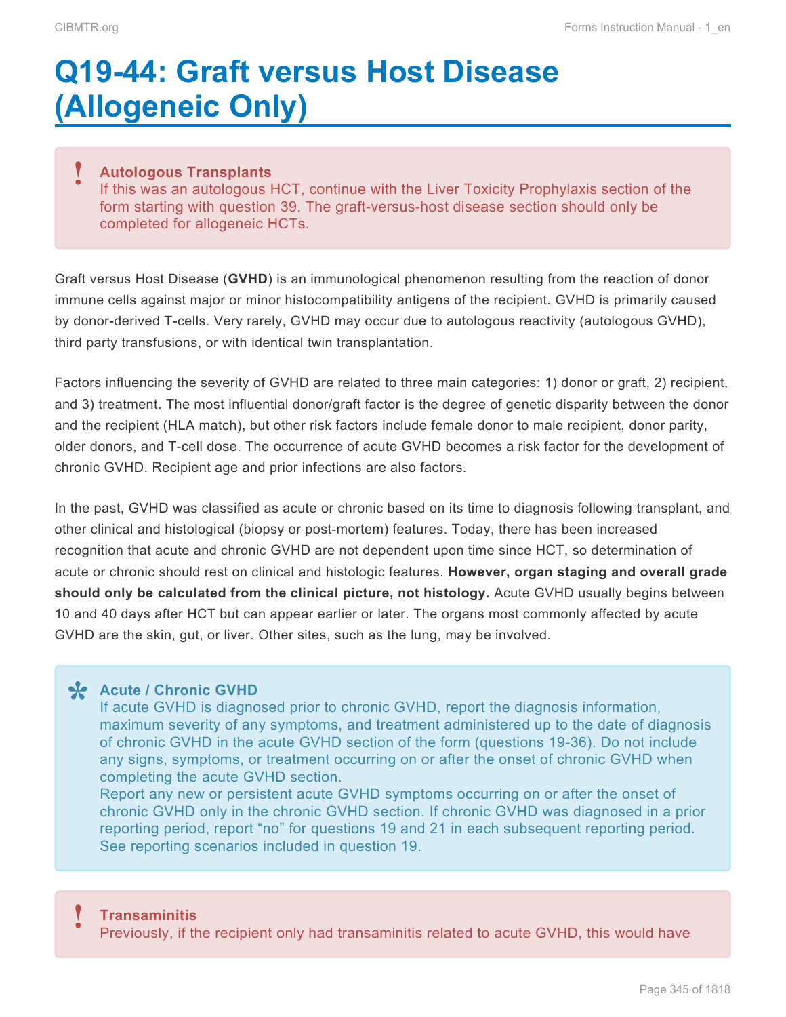# <span id="page-26-0"></span>**Q19-44: Graft versus Host Disease (Allogeneic Only)**

#### **Autologous Transplants !**

If this was an autologous HCT, continue with the Liver Toxicity Prophylaxis section of the form starting with question 39. The graft-versus-host disease section should only be completed for allogeneic HCTs.

Graft versus Host Disease (**GVHD**) is an immunological phenomenon resulting from the reaction of donor immune cells against major or minor histocompatibility antigens of the recipient. GVHD is primarily caused by donor-derived T-cells. Very rarely, GVHD may occur due to autologous reactivity (autologous GVHD), third party transfusions, or with identical twin transplantation.

Factors influencing the severity of GVHD are related to three main categories: 1) donor or graft, 2) recipient, and 3) treatment. The most influential donor/graft factor is the degree of genetic disparity between the donor and the recipient (HLA match), but other risk factors include female donor to male recipient, donor parity, older donors, and T-cell dose. The occurrence of acute GVHD becomes a risk factor for the development of chronic GVHD. Recipient age and prior infections are also factors.

In the past, GVHD was classified as acute or chronic based on its time to diagnosis following transplant, and other clinical and histological (biopsy or post-mortem) features. Today, there has been increased recognition that acute and chronic GVHD are not dependent upon time since HCT, so determination of acute or chronic should rest on clinical and histologic features. **However, organ staging and overall grade should only be calculated from the clinical picture, not histology.** Acute GVHD usually begins between 10 and 40 days after HCT but can appear earlier or later. The organs most commonly affected by acute GVHD are the skin, gut, or liver. Other sites, such as the lung, may be involved.

**Acute / Chronic GVHD \*** If acute GVHD is diagnosed prior to chronic GVHD, report the diagnosis information, maximum severity of any symptoms, and treatment administered up to the date of diagnosis of chronic GVHD in the acute GVHD section of the form (questions 19-36). Do not include any signs, symptoms, or treatment occurring on or after the onset of chronic GVHD when completing the acute GVHD section.

Report any new or persistent acute GVHD symptoms occurring on or after the onset of chronic GVHD only in the chronic GVHD section. If chronic GVHD was diagnosed in a prior reporting period, report "no" for questions 19 and 21 in each subsequent reporting period. See reporting scenarios included in question 19.

#### **Transaminitis**

Previously, if the recipient only had transaminitis related to acute GVHD, this would have **!**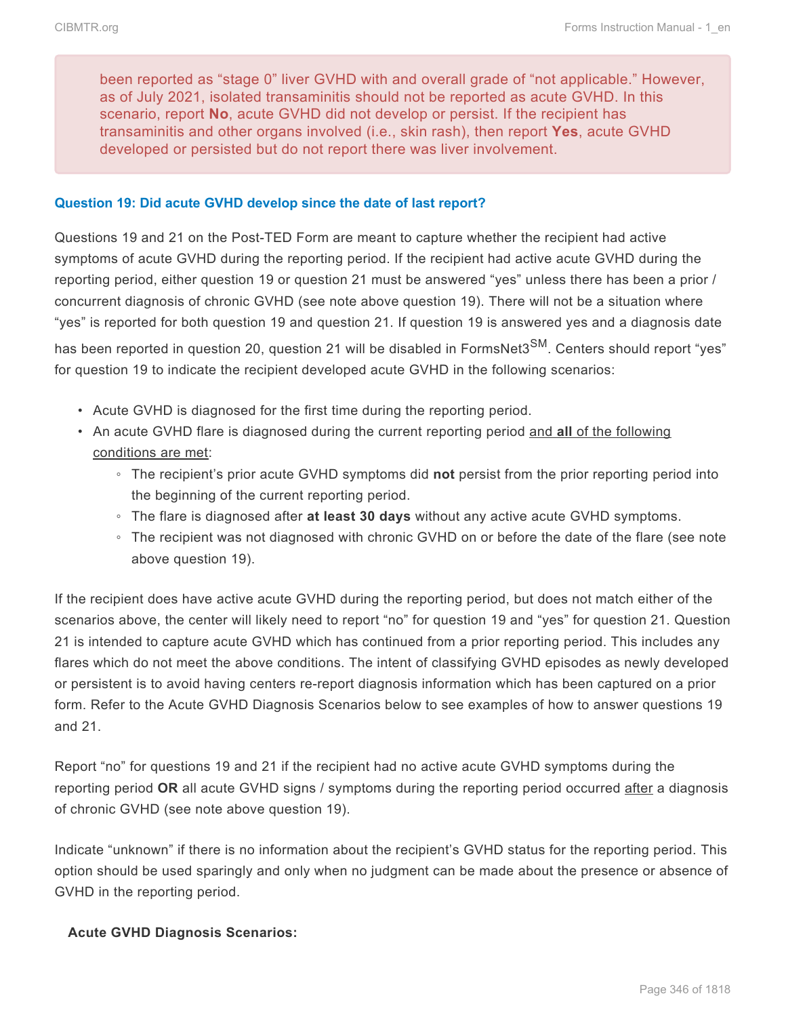been reported as "stage 0" liver GVHD with and overall grade of "not applicable." However, as of July 2021, isolated transaminitis should not be reported as acute GVHD. In this scenario, report **No**, acute GVHD did not develop or persist. If the recipient has transaminitis and other organs involved (i.e., skin rash), then report **Yes**, acute GVHD developed or persisted but do not report there was liver involvement.

#### **Question 19: Did acute GVHD develop since the date of last report?**

Questions 19 and 21 on the Post-TED Form are meant to capture whether the recipient had active symptoms of acute GVHD during the reporting period. If the recipient had active acute GVHD during the reporting period, either question 19 or question 21 must be answered "yes" unless there has been a prior / concurrent diagnosis of chronic GVHD (see note above question 19). There will not be a situation where "yes" is reported for both question 19 and question 21. If question 19 is answered yes and a diagnosis date has been reported in question 20, question 21 will be disabled in FormsNet3<sup>SM</sup>. Centers should report "ves" for question 19 to indicate the recipient developed acute GVHD in the following scenarios:

- Acute GVHD is diagnosed for the first time during the reporting period.
- An acute GVHD flare is diagnosed during the current reporting period and **all** of the following conditions are met:
	- The recipient's prior acute GVHD symptoms did **not** persist from the prior reporting period into the beginning of the current reporting period.
	- The flare is diagnosed after **at least 30 days** without any active acute GVHD symptoms.
	- The recipient was not diagnosed with chronic GVHD on or before the date of the flare (see note above question 19).

If the recipient does have active acute GVHD during the reporting period, but does not match either of the scenarios above, the center will likely need to report "no" for question 19 and "yes" for question 21. Question 21 is intended to capture acute GVHD which has continued from a prior reporting period. This includes any flares which do not meet the above conditions. The intent of classifying GVHD episodes as newly developed or persistent is to avoid having centers re-report diagnosis information which has been captured on a prior form. Refer to the Acute GVHD Diagnosis Scenarios below to see examples of how to answer questions 19 and 21.

Report "no" for questions 19 and 21 if the recipient had no active acute GVHD symptoms during the reporting period **OR** all acute GVHD signs / symptoms during the reporting period occurred after a diagnosis of chronic GVHD (see note above question 19).

Indicate "unknown" if there is no information about the recipient's GVHD status for the reporting period. This option should be used sparingly and only when no judgment can be made about the presence or absence of GVHD in the reporting period.

#### **Acute GVHD Diagnosis Scenarios:**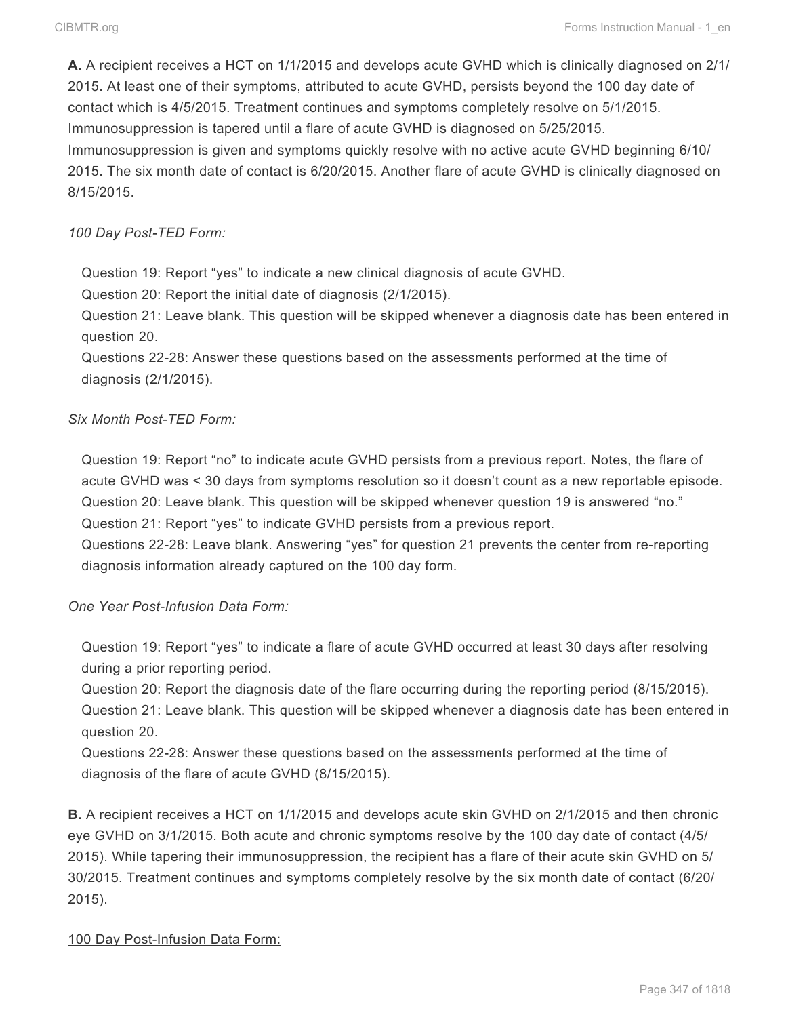**A.** A recipient receives a HCT on 1/1/2015 and develops acute GVHD which is clinically diagnosed on 2/1/ 2015. At least one of their symptoms, attributed to acute GVHD, persists beyond the 100 day date of contact which is 4/5/2015. Treatment continues and symptoms completely resolve on 5/1/2015. Immunosuppression is tapered until a flare of acute GVHD is diagnosed on 5/25/2015. Immunosuppression is given and symptoms quickly resolve with no active acute GVHD beginning 6/10/ 2015. The six month date of contact is 6/20/2015. Another flare of acute GVHD is clinically diagnosed on 8/15/2015.

#### *100 Day Post-TED Form:*

Question 19: Report "yes" to indicate a new clinical diagnosis of acute GVHD.

Question 20: Report the initial date of diagnosis (2/1/2015).

Question 21: Leave blank. This question will be skipped whenever a diagnosis date has been entered in question 20.

Questions 22-28: Answer these questions based on the assessments performed at the time of diagnosis (2/1/2015).

#### *Six Month Post-TED Form:*

Question 19: Report "no" to indicate acute GVHD persists from a previous report. Notes, the flare of acute GVHD was < 30 days from symptoms resolution so it doesn't count as a new reportable episode. Question 20: Leave blank. This question will be skipped whenever question 19 is answered "no." Question 21: Report "yes" to indicate GVHD persists from a previous report.

Questions 22-28: Leave blank. Answering "yes" for question 21 prevents the center from re-reporting diagnosis information already captured on the 100 day form.

*One Year Post-Infusion Data Form:*

Question 19: Report "yes" to indicate a flare of acute GVHD occurred at least 30 days after resolving during a prior reporting period.

Question 20: Report the diagnosis date of the flare occurring during the reporting period (8/15/2015). Question 21: Leave blank. This question will be skipped whenever a diagnosis date has been entered in question 20.

Questions 22-28: Answer these questions based on the assessments performed at the time of diagnosis of the flare of acute GVHD (8/15/2015).

**B.** A recipient receives a HCT on 1/1/2015 and develops acute skin GVHD on 2/1/2015 and then chronic eye GVHD on 3/1/2015. Both acute and chronic symptoms resolve by the 100 day date of contact (4/5/ 2015). While tapering their immunosuppression, the recipient has a flare of their acute skin GVHD on 5/ 30/2015. Treatment continues and symptoms completely resolve by the six month date of contact (6/20/ 2015).

#### 100 Day Post-Infusion Data Form: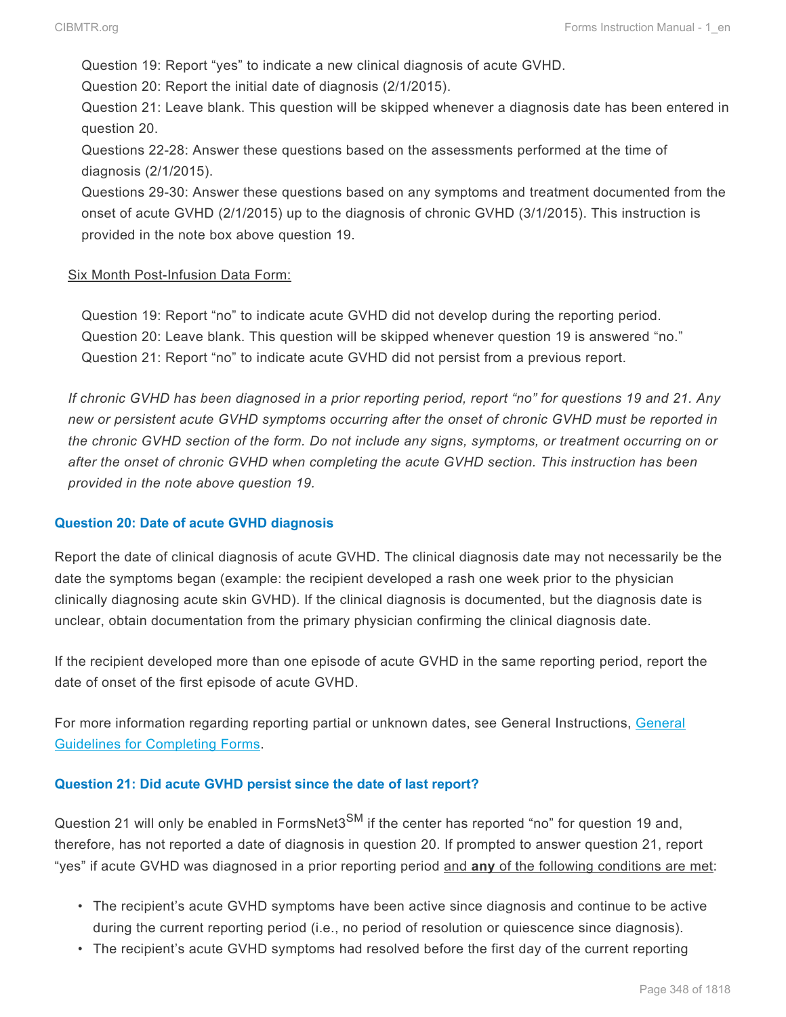Question 19: Report "yes" to indicate a new clinical diagnosis of acute GVHD.

Question 20: Report the initial date of diagnosis (2/1/2015).

Question 21: Leave blank. This question will be skipped whenever a diagnosis date has been entered in question 20.

Questions 22-28: Answer these questions based on the assessments performed at the time of diagnosis (2/1/2015).

Questions 29-30: Answer these questions based on any symptoms and treatment documented from the onset of acute GVHD (2/1/2015) up to the diagnosis of chronic GVHD (3/1/2015). This instruction is provided in the note box above question 19.

#### Six Month Post-Infusion Data Form:

Question 19: Report "no" to indicate acute GVHD did not develop during the reporting period. Question 20: Leave blank. This question will be skipped whenever question 19 is answered "no." Question 21: Report "no" to indicate acute GVHD did not persist from a previous report.

*If chronic GVHD has been diagnosed in a prior reporting period, report "no" for questions 19 and 21. Any new or persistent acute GVHD symptoms occurring after the onset of chronic GVHD must be reported in the chronic GVHD section of the form. Do not include any signs, symptoms, or treatment occurring on or after the onset of chronic GVHD when completing the acute GVHD section. This instruction has been provided in the note above question 19.*

#### **Question 20: Date of acute GVHD diagnosis**

Report the date of clinical diagnosis of acute GVHD. The clinical diagnosis date may not necessarily be the date the symptoms began (example: the recipient developed a rash one week prior to the physician clinically diagnosing acute skin GVHD). If the clinical diagnosis is documented, but the diagnosis date is unclear, obtain documentation from the primary physician confirming the clinical diagnosis date.

If the recipient developed more than one episode of acute GVHD in the same reporting period, report the date of onset of the first episode of acute GVHD.

For more information regarding reporting partial or unknown dates, see General Instructions, General Guidelines for Completing Forms.

#### **Question 21: Did acute GVHD persist since the date of last report?**

Question 21 will only be enabled in FormsNet3<sup>SM</sup> if the center has reported "no" for question 19 and, therefore, has not reported a date of diagnosis in question 20. If prompted to answer question 21, report "yes" if acute GVHD was diagnosed in a prior reporting period and **any** of the following conditions are met:

- The recipient's acute GVHD symptoms have been active since diagnosis and continue to be active during the current reporting period (i.e., no period of resolution or quiescence since diagnosis).
- The recipient's acute GVHD symptoms had resolved before the first day of the current reporting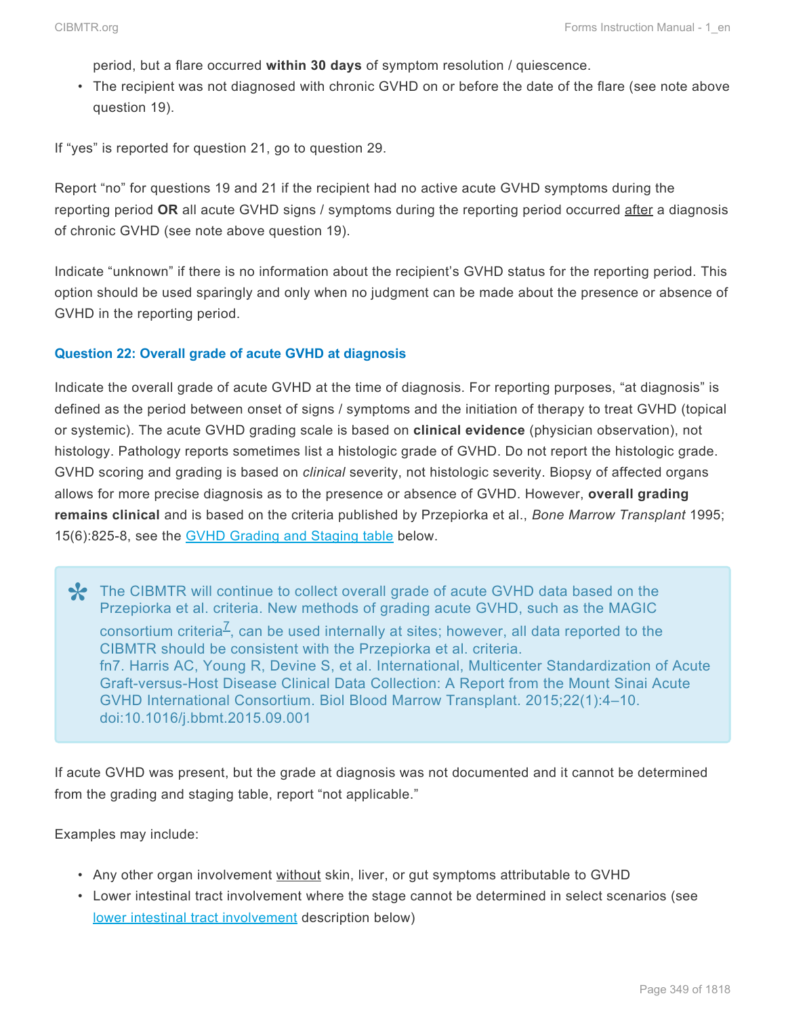period, but a flare occurred **within 30 days** of symptom resolution / quiescence.

• The recipient was not diagnosed with chronic GVHD on or before the date of the flare (see note above question 19).

If "yes" is reported for question 21, go to question 29.

Report "no" for questions 19 and 21 if the recipient had no active acute GVHD symptoms during the reporting period **OR** all acute GVHD signs / symptoms during the reporting period occurred after a diagnosis of chronic GVHD (see note above question 19).

Indicate "unknown" if there is no information about the recipient's GVHD status for the reporting period. This option should be used sparingly and only when no judgment can be made about the presence or absence of GVHD in the reporting period.

#### **Question 22: Overall grade of acute GVHD at diagnosis**

Indicate the overall grade of acute GVHD at the time of diagnosis. For reporting purposes, "at diagnosis" is defined as the period between onset of signs / symptoms and the initiation of therapy to treat GVHD (topical or systemic). The acute GVHD grading scale is based on **clinical evidence** (physician observation), not histology. Pathology reports sometimes list a histologic grade of GVHD. Do not report the histologic grade. GVHD scoring and grading is based on *clinical* severity, not histologic severity. Biopsy of affected organs allows for more precise diagnosis as to the presence or absence of GVHD. However, **overall grading remains clinical** and is based on the criteria published by Przepiorka et al., *Bone Marrow Transplant* 1995; 15(6):825-8, see the GVHD [Grading and Staging table](#page-26-0) below.

The CIBMTR will continue to collect overall grade of acute GVHD data based on the Przepiorka et al. criteria. New methods of grading acute GVHD, such as the MAGIC Przepiorka et al. criteria. New methods of grading acute GVHD, such as the MAGIC consortium criteria<sup>Z</sup>, can be used internally at sites; however, all data reported to the CIBMTR should be consistent with the Przepiorka et al. criteria. fn7. Harris AC, Young R, Devine S, et al. International, Multicenter Standardization of Acute Graft-versus-Host Disease Clinical Data Collection: A Report from the Mount Sinai Acute GVHD International Consortium. Biol Blood Marrow Transplant. 2015;22(1):4–10. doi:10.1016/j.bbmt.2015.09.001

If acute GVHD was present, but the grade at diagnosis was not documented and it cannot be determined from the grading and staging table, report "not applicable."

Examples may include:

- Any other organ involvement without skin, liver, or gut symptoms attributable to GVHD
- Lower intestinal tract involvement where the stage cannot be determined in select scenarios (see [lower intestinal tract involvement](#page-26-0) description below)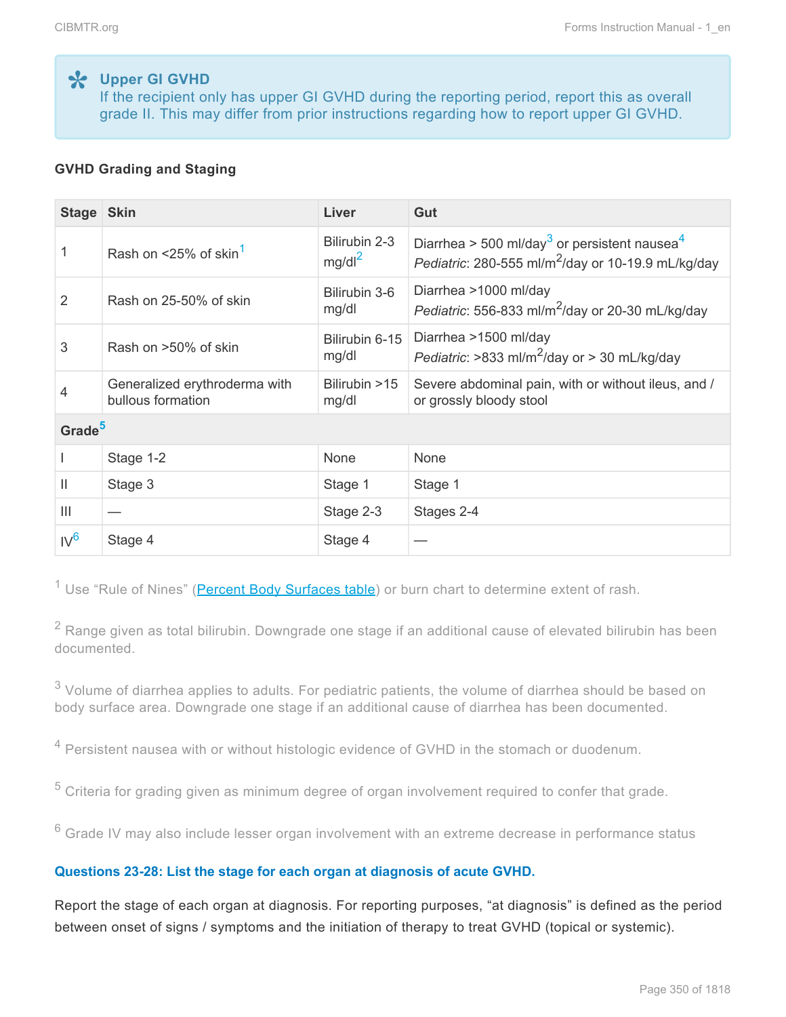**Upper GI GVHD \*** If the recipient only has upper GI GVHD during the reporting period, report this as overall grade II. This may differ from prior instructions regarding how to report upper GI GVHD.

### **GVHD Grading and Staging**

| Stage Skin      |                                                    | Liver                      | Gut                                                                                                                                    |  |  |
|-----------------|----------------------------------------------------|----------------------------|----------------------------------------------------------------------------------------------------------------------------------------|--|--|
| 1               | Rash on $\leq$ 25% of skin <sup>1</sup>            | Bilirubin 2-3<br>$mg/dl^2$ | Diarrhea > 500 ml/day <sup>3</sup> or persistent nausea <sup>4</sup><br>Pediatric: 280-555 ml/m <sup>2</sup> /day or 10-19.9 mL/kg/day |  |  |
| 2               | Rash on 25-50% of skin                             | Bilirubin 3-6<br>mg/dl     | Diarrhea >1000 ml/day<br>Pediatric: 556-833 ml/m <sup>2</sup> /day or 20-30 mL/kg/day                                                  |  |  |
| 3               | Rash on >50% of skin                               | Bilirubin 6-15<br>mg/dl    | Diarrhea >1500 ml/day<br>Pediatric: >833 ml/m <sup>2</sup> /day or > 30 mL/kg/day                                                      |  |  |
| 4               | Generalized erythroderma with<br>bullous formation | Bilirubin >15<br>mg/dl     | Severe abdominal pain, with or without ileus, and /<br>or grossly bloody stool                                                         |  |  |
|                 | Grade <sup>5</sup>                                 |                            |                                                                                                                                        |  |  |
|                 | Stage 1-2                                          | <b>None</b>                | <b>None</b>                                                                                                                            |  |  |
| Ш               | Stage 3                                            | Stage 1                    | Stage 1                                                                                                                                |  |  |
| $\mathbf{III}$  |                                                    | Stage 2-3                  | Stages 2-4                                                                                                                             |  |  |
| IV <sup>6</sup> | Stage 4                                            | Stage 4                    |                                                                                                                                        |  |  |

<span id="page-31-0"></span><sup>1</sup> Use "Rule of Nines" [\(Percent Body Surfaces table\)](#page-26-0) or burn chart to determine extent of rash.

<span id="page-31-1"></span> $2$  Range given as total bilirubin. Downgrade one stage if an additional cause of elevated bilirubin has been documented.

<span id="page-31-2"></span> $3$  Volume of diarrhea applies to adults. For pediatric patients, the volume of diarrhea should be based on body surface area. Downgrade one stage if an additional cause of diarrhea has been documented.

<span id="page-31-3"></span><sup>4</sup> Persistent nausea with or without histologic evidence of GVHD in the stomach or duodenum.

<span id="page-31-4"></span> $5$  Criteria for grading given as minimum degree of organ involvement required to confer that grade.

<span id="page-31-5"></span> $6$  Grade IV may also include lesser organ involvement with an extreme decrease in performance status

#### **Questions 23-28: List the stage for each organ at diagnosis of acute GVHD.**

Report the stage of each organ at diagnosis. For reporting purposes, "at diagnosis" is defined as the period between onset of signs / symptoms and the initiation of therapy to treat GVHD (topical or systemic).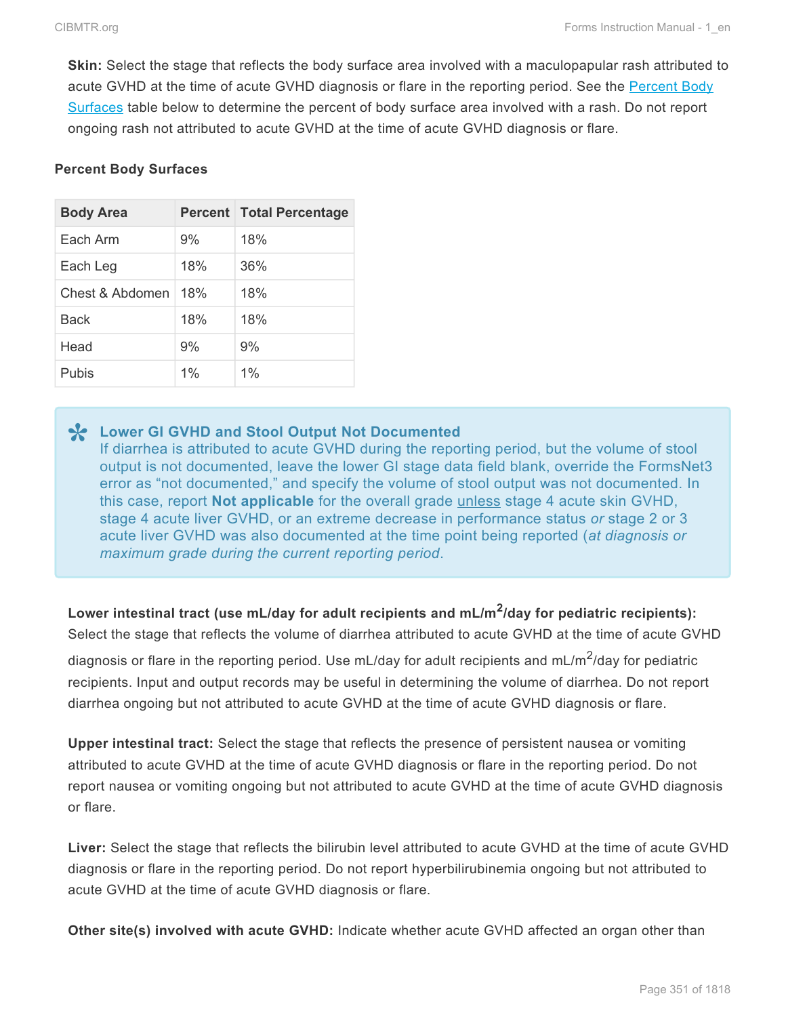**Skin:** Select the stage that reflects the body surface area involved with a maculopapular rash attributed to acute GVHD at the time of acute GVHD diagnosis or flare in the reporting period. See the [Percent Body](#page-26-0) [Surfaces](#page-26-0) table below to determine the percent of body surface area involved with a rash. Do not report ongoing rash not attributed to acute GVHD at the time of acute GVHD diagnosis or flare.

#### **Percent Body Surfaces**

| <b>Body Area</b> |     | <b>Percent Total Percentage</b> |  |  |
|------------------|-----|---------------------------------|--|--|
| Each Arm         | 9%  | 18%                             |  |  |
| Each Leg         | 18% | 36%                             |  |  |
| Chest & Abdomen  | 18% | 18%                             |  |  |
| Back             | 18% | 18%                             |  |  |
| Head             | 9%  | 9%                              |  |  |
| Pubis            | 1%  | $1\%$                           |  |  |

**Lower GI GVHD and Stool Output Not Documented \*** If diarrhea is attributed to acute GVHD during the reporting period, but the volume of stool output is not documented, leave the lower GI stage data field blank, override the FormsNet3 error as "not documented," and specify the volume of stool output was not documented. In this case, report **Not applicable** for the overall grade unless stage 4 acute skin GVHD, stage 4 acute liver GVHD, or an extreme decrease in performance status *or* stage 2 or 3 acute liver GVHD was also documented at the time point being reported (*at diagnosis or maximum grade during the current reporting period*.

**Lower intestinal tract (use mL/day for adult recipients and mL/m<sup>2</sup> /day for pediatric recipients):** Select the stage that reflects the volume of diarrhea attributed to acute GVHD at the time of acute GVHD

diagnosis or flare in the reporting period. Use mL/day for adult recipients and mL/m<sup>2</sup>/day for pediatric recipients. Input and output records may be useful in determining the volume of diarrhea. Do not report diarrhea ongoing but not attributed to acute GVHD at the time of acute GVHD diagnosis or flare.

**Upper intestinal tract:** Select the stage that reflects the presence of persistent nausea or vomiting attributed to acute GVHD at the time of acute GVHD diagnosis or flare in the reporting period. Do not report nausea or vomiting ongoing but not attributed to acute GVHD at the time of acute GVHD diagnosis or flare.

**Liver:** Select the stage that reflects the bilirubin level attributed to acute GVHD at the time of acute GVHD diagnosis or flare in the reporting period. Do not report hyperbilirubinemia ongoing but not attributed to acute GVHD at the time of acute GVHD diagnosis or flare.

**Other site(s) involved with acute GVHD:** Indicate whether acute GVHD affected an organ other than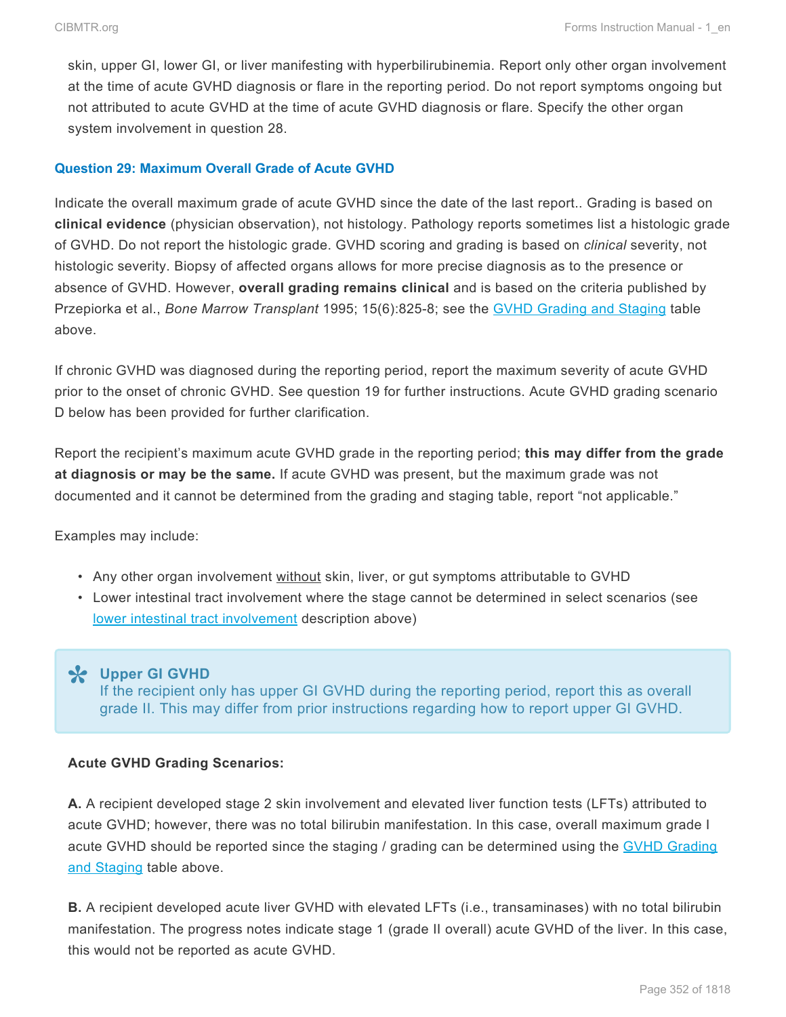skin, upper GI, lower GI, or liver manifesting with hyperbilirubinemia. Report only other organ involvement at the time of acute GVHD diagnosis or flare in the reporting period. Do not report symptoms ongoing but not attributed to acute GVHD at the time of acute GVHD diagnosis or flare. Specify the other organ system involvement in question 28.

#### **Question 29: Maximum Overall Grade of Acute GVHD**

Indicate the overall maximum grade of acute GVHD since the date of the last report.. Grading is based on **clinical evidence** (physician observation), not histology. Pathology reports sometimes list a histologic grade of GVHD. Do not report the histologic grade. GVHD scoring and grading is based on *clinical* severity, not histologic severity. Biopsy of affected organs allows for more precise diagnosis as to the presence or absence of GVHD. However, **overall grading remains clinical** and is based on the criteria published by Przepiorka et al., *Bone Marrow Transplant* 1995; 15(6):825-8; see the GVHD [Grading and Staging](#page-26-0) table above.

If chronic GVHD was diagnosed during the reporting period, report the maximum severity of acute GVHD prior to the onset of chronic GVHD. See question 19 for further instructions. Acute GVHD grading scenario D below has been provided for further clarification.

Report the recipient's maximum acute GVHD grade in the reporting period; **this may differ from the grade at diagnosis or may be the same.** If acute GVHD was present, but the maximum grade was not documented and it cannot be determined from the grading and staging table, report "not applicable."

Examples may include:

- Any other organ involvement without skin, liver, or gut symptoms attributable to GVHD
- Lower intestinal tract involvement where the stage cannot be determined in select scenarios (see [lower intestinal tract involvement](#page-26-0) description above)

**Upper GI GVHD \*** If the recipient only has upper GI GVHD during the reporting period, report this as overall grade II. This may differ from prior instructions regarding how to report upper GI GVHD.

#### **Acute GVHD Grading Scenarios:**

**A.** A recipient developed stage 2 skin involvement and elevated liver function tests (LFTs) attributed to acute GVHD; however, there was no total bilirubin manifestation. In this case, overall maximum grade I acute GVHD should be reported since the staging / grading can be determined using the GVHD [Grading](#page-26-0) [and Staging](#page-26-0) table above.

**B.** A recipient developed acute liver GVHD with elevated LFTs (i.e., transaminases) with no total bilirubin manifestation. The progress notes indicate stage 1 (grade II overall) acute GVHD of the liver. In this case, this would not be reported as acute GVHD.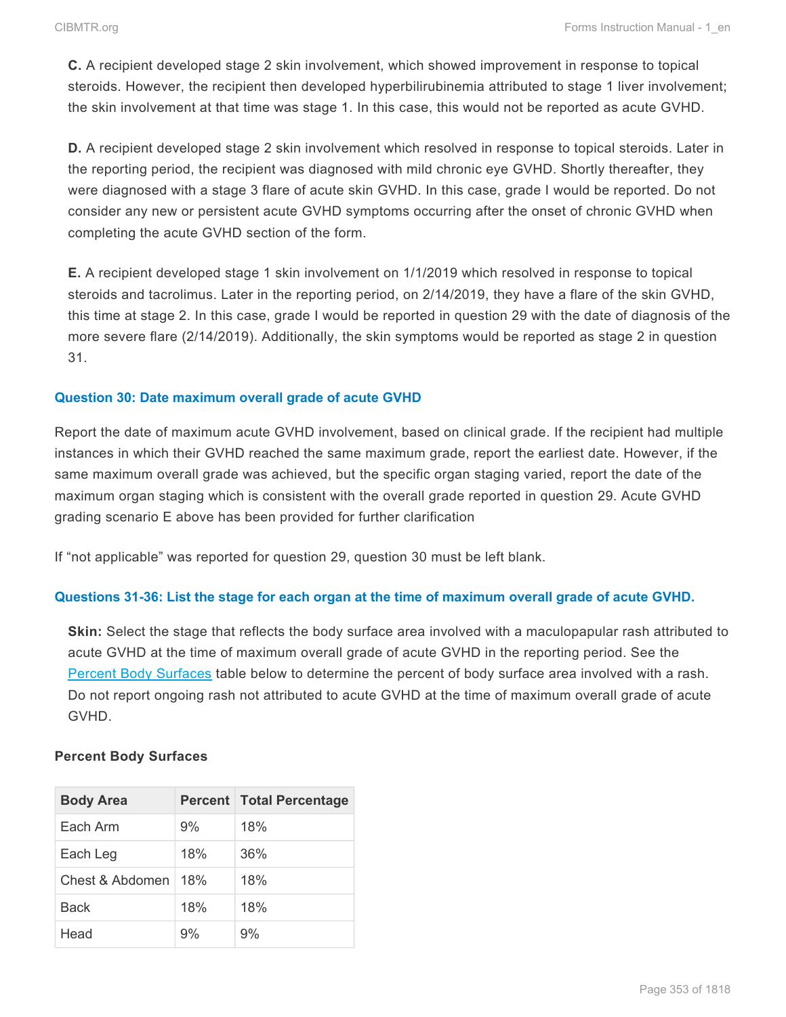**C.** A recipient developed stage 2 skin involvement, which showed improvement in response to topical steroids. However, the recipient then developed hyperbilirubinemia attributed to stage 1 liver involvement; the skin involvement at that time was stage 1. In this case, this would not be reported as acute GVHD.

**D.** A recipient developed stage 2 skin involvement which resolved in response to topical steroids. Later in the reporting period, the recipient was diagnosed with mild chronic eye GVHD. Shortly thereafter, they were diagnosed with a stage 3 flare of acute skin GVHD. In this case, grade I would be reported. Do not consider any new or persistent acute GVHD symptoms occurring after the onset of chronic GVHD when completing the acute GVHD section of the form.

**E.** A recipient developed stage 1 skin involvement on 1/1/2019 which resolved in response to topical steroids and tacrolimus. Later in the reporting period, on 2/14/2019, they have a flare of the skin GVHD, this time at stage 2. In this case, grade I would be reported in question 29 with the date of diagnosis of the more severe flare (2/14/2019). Additionally, the skin symptoms would be reported as stage 2 in question 31.

### **Question 30: Date maximum overall grade of acute GVHD**

Report the date of maximum acute GVHD involvement, based on clinical grade. If the recipient had multiple instances in which their GVHD reached the same maximum grade, report the earliest date. However, if the same maximum overall grade was achieved, but the specific organ staging varied, report the date of the maximum organ staging which is consistent with the overall grade reported in question 29. Acute GVHD grading scenario E above has been provided for further clarification

If "not applicable" was reported for question 29, question 30 must be left blank.

## **Questions 31-36: List the stage for each organ at the time of maximum overall grade of acute GVHD.**

**Skin:** Select the stage that reflects the body surface area involved with a maculopapular rash attributed to acute GVHD at the time of maximum overall grade of acute GVHD in the reporting period. See the [Percent Body Surfaces](#page-26-0) table below to determine the percent of body surface area involved with a rash. Do not report ongoing rash not attributed to acute GVHD at the time of maximum overall grade of acute GVHD.

#### **Percent Body Surfaces**

| <b>Body Area</b> |     | <b>Percent Total Percentage</b> |  |  |
|------------------|-----|---------------------------------|--|--|
| Each Arm         | 9%  | 18%                             |  |  |
| Each Leg         | 18% | 36%                             |  |  |
| Chest & Abdomen  | 18% | 18%                             |  |  |
| Back             | 18% | 18%                             |  |  |
| Head             | 9%  | 9%                              |  |  |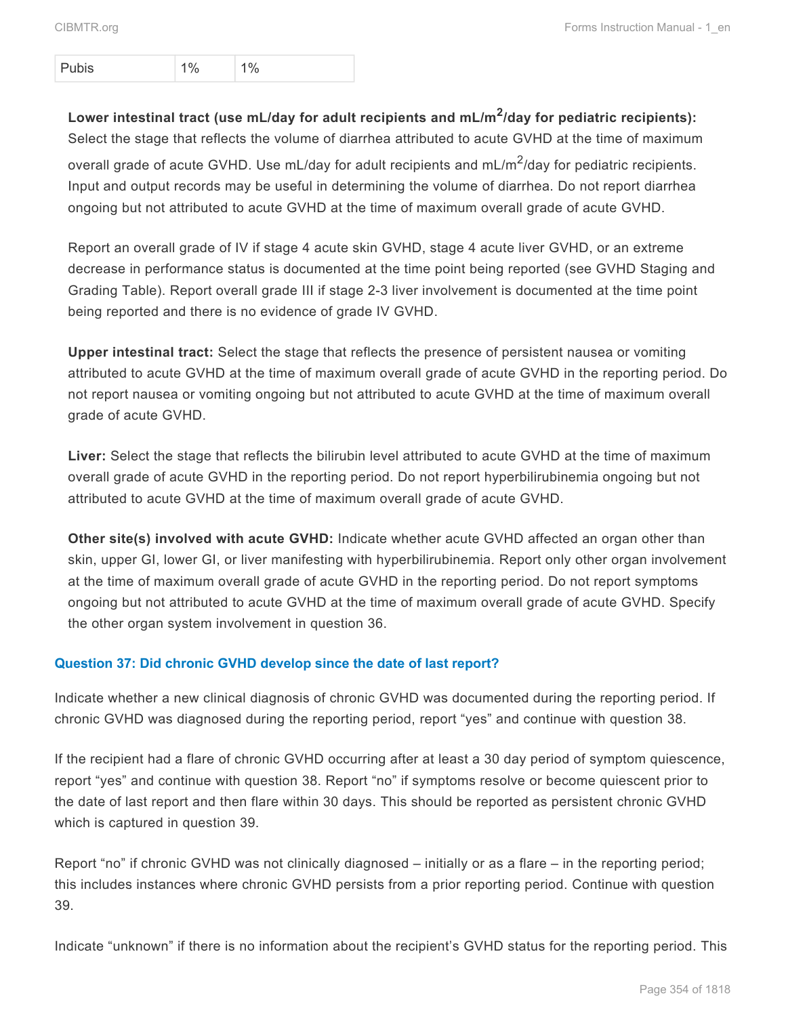Pubis 1% 1%

**Lower intestinal tract (use mL/day for adult recipients and mL/m<sup>2</sup> /day for pediatric recipients):** Select the stage that reflects the volume of diarrhea attributed to acute GVHD at the time of maximum overall grade of acute GVHD. Use mL/day for adult recipients and mL/m<sup>2</sup>/day for pediatric recipients. Input and output records may be useful in determining the volume of diarrhea. Do not report diarrhea ongoing but not attributed to acute GVHD at the time of maximum overall grade of acute GVHD.

Report an overall grade of IV if stage 4 acute skin GVHD, stage 4 acute liver GVHD, or an extreme decrease in performance status is documented at the time point being reported (see GVHD Staging and Grading Table). Report overall grade III if stage 2-3 liver involvement is documented at the time point being reported and there is no evidence of grade IV GVHD.

**Upper intestinal tract:** Select the stage that reflects the presence of persistent nausea or vomiting attributed to acute GVHD at the time of maximum overall grade of acute GVHD in the reporting period. Do not report nausea or vomiting ongoing but not attributed to acute GVHD at the time of maximum overall grade of acute GVHD.

**Liver:** Select the stage that reflects the bilirubin level attributed to acute GVHD at the time of maximum overall grade of acute GVHD in the reporting period. Do not report hyperbilirubinemia ongoing but not attributed to acute GVHD at the time of maximum overall grade of acute GVHD.

**Other site(s) involved with acute GVHD:** Indicate whether acute GVHD affected an organ other than skin, upper GI, lower GI, or liver manifesting with hyperbilirubinemia. Report only other organ involvement at the time of maximum overall grade of acute GVHD in the reporting period. Do not report symptoms ongoing but not attributed to acute GVHD at the time of maximum overall grade of acute GVHD. Specify the other organ system involvement in question 36.

## **Question 37: Did chronic GVHD develop since the date of last report?**

Indicate whether a new clinical diagnosis of chronic GVHD was documented during the reporting period. If chronic GVHD was diagnosed during the reporting period, report "yes" and continue with question 38.

If the recipient had a flare of chronic GVHD occurring after at least a 30 day period of symptom quiescence, report "yes" and continue with question 38. Report "no" if symptoms resolve or become quiescent prior to the date of last report and then flare within 30 days. This should be reported as persistent chronic GVHD which is captured in question 39.

Report "no" if chronic GVHD was not clinically diagnosed – initially or as a flare – in the reporting period; this includes instances where chronic GVHD persists from a prior reporting period. Continue with question 39.

Indicate "unknown" if there is no information about the recipient's GVHD status for the reporting period. This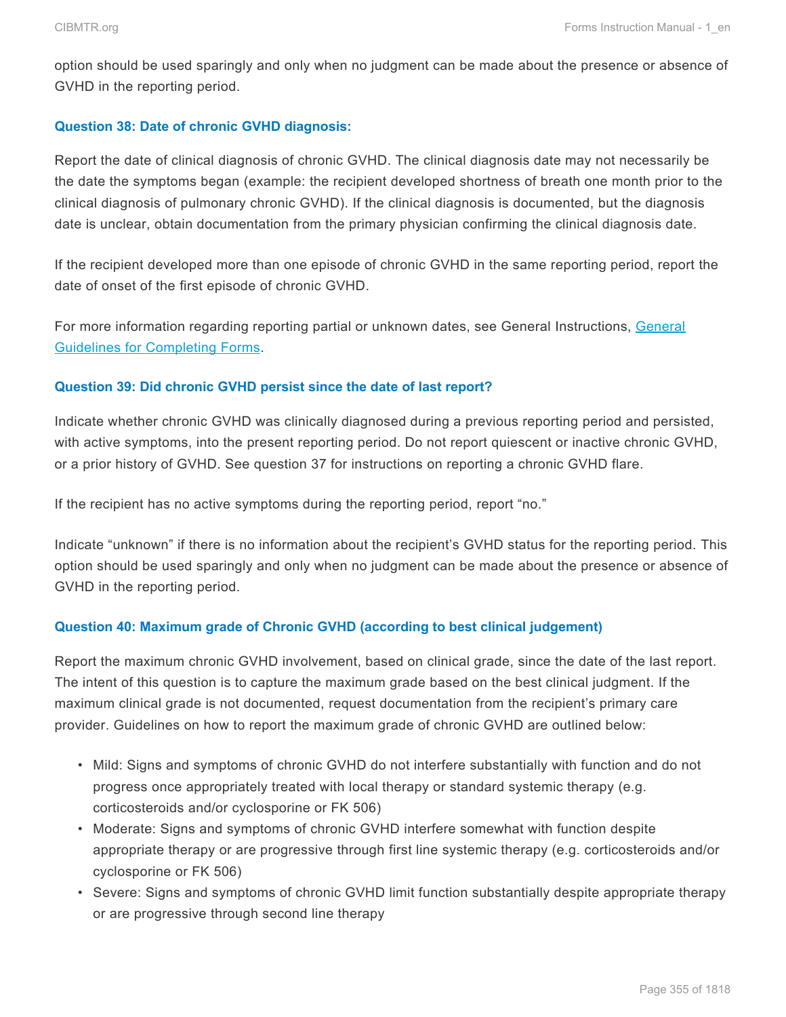option should be used sparingly and only when no judgment can be made about the presence or absence of GVHD in the reporting period.

#### **Question 38: Date of chronic GVHD diagnosis:**

Report the date of clinical diagnosis of chronic GVHD. The clinical diagnosis date may not necessarily be the date the symptoms began (example: the recipient developed shortness of breath one month prior to the clinical diagnosis of pulmonary chronic GVHD). If the clinical diagnosis is documented, but the diagnosis date is unclear, obtain documentation from the primary physician confirming the clinical diagnosis date.

If the recipient developed more than one episode of chronic GVHD in the same reporting period, report the date of onset of the first episode of chronic GVHD.

For more information regarding reporting partial or unknown dates, see General Instructions, General Guidelines for Completing Forms.

#### **Question 39: Did chronic GVHD persist since the date of last report?**

Indicate whether chronic GVHD was clinically diagnosed during a previous reporting period and persisted, with active symptoms, into the present reporting period. Do not report quiescent or inactive chronic GVHD, or a prior history of GVHD. See question 37 for instructions on reporting a chronic GVHD flare.

If the recipient has no active symptoms during the reporting period, report "no."

Indicate "unknown" if there is no information about the recipient's GVHD status for the reporting period. This option should be used sparingly and only when no judgment can be made about the presence or absence of GVHD in the reporting period.

#### **Question 40: Maximum grade of Chronic GVHD (according to best clinical judgement)**

Report the maximum chronic GVHD involvement, based on clinical grade, since the date of the last report. The intent of this question is to capture the maximum grade based on the best clinical judgment. If the maximum clinical grade is not documented, request documentation from the recipient's primary care provider. Guidelines on how to report the maximum grade of chronic GVHD are outlined below:

- Mild: Signs and symptoms of chronic GVHD do not interfere substantially with function and do not progress once appropriately treated with local therapy or standard systemic therapy (e.g. corticosteroids and/or cyclosporine or FK 506)
- Moderate: Signs and symptoms of chronic GVHD interfere somewhat with function despite appropriate therapy or are progressive through first line systemic therapy (e.g. corticosteroids and/or cyclosporine or FK 506)
- Severe: Signs and symptoms of chronic GVHD limit function substantially despite appropriate therapy or are progressive through second line therapy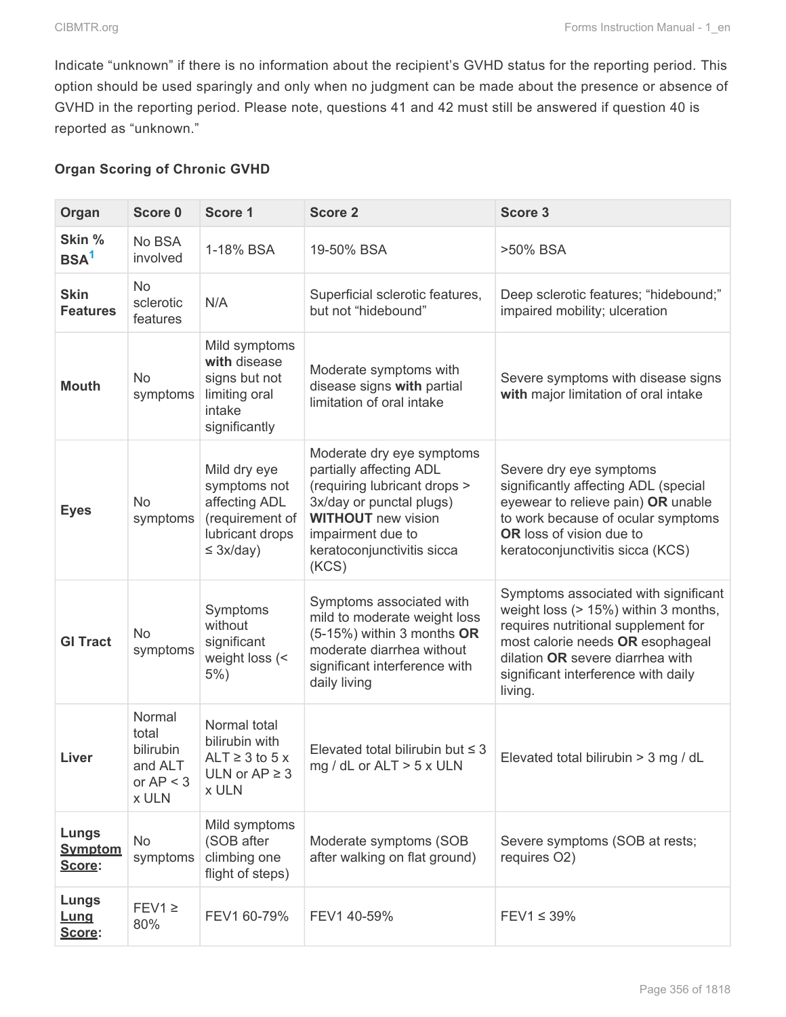Indicate "unknown" if there is no information about the recipient's GVHD status for the reporting period. This option should be used sparingly and only when no judgment can be made about the presence or absence of GVHD in the reporting period. Please note, questions 41 and 42 must still be answered if question 40 is reported as "unknown."

#### **Organ Scoring of Chronic GVHD**

| Organ                             | Score 0                                                         | Score 1                                                                                               | <b>Score 2</b>                                                                                                                                                                                            | Score 3                                                                                                                                                                                                                                       |
|-----------------------------------|-----------------------------------------------------------------|-------------------------------------------------------------------------------------------------------|-----------------------------------------------------------------------------------------------------------------------------------------------------------------------------------------------------------|-----------------------------------------------------------------------------------------------------------------------------------------------------------------------------------------------------------------------------------------------|
| Skin %<br>BSA <sup>1</sup>        | No BSA<br>involved                                              | 1-18% BSA                                                                                             | 19-50% BSA                                                                                                                                                                                                | >50% BSA                                                                                                                                                                                                                                      |
| <b>Skin</b><br><b>Features</b>    | <b>No</b><br>sclerotic<br>features                              | N/A                                                                                                   | Superficial sclerotic features,<br>but not "hidebound"                                                                                                                                                    | Deep sclerotic features; "hidebound;"<br>impaired mobility; ulceration                                                                                                                                                                        |
| <b>Mouth</b>                      | <b>No</b><br>symptoms                                           | Mild symptoms<br>with disease<br>signs but not<br>limiting oral<br>intake<br>significantly            | Moderate symptoms with<br>disease signs with partial<br>limitation of oral intake                                                                                                                         | Severe symptoms with disease signs<br>with major limitation of oral intake                                                                                                                                                                    |
| <b>Eyes</b>                       | <b>No</b><br>symptoms                                           | Mild dry eye<br>symptoms not<br>affecting ADL<br>(requirement of<br>lubricant drops<br>$\leq$ 3x/day) | Moderate dry eye symptoms<br>partially affecting ADL<br>(requiring lubricant drops ><br>3x/day or punctal plugs)<br><b>WITHOUT</b> new vision<br>impairment due to<br>keratoconjunctivitis sicca<br>(KCS) | Severe dry eye symptoms<br>significantly affecting ADL (special<br>eyewear to relieve pain) OR unable<br>to work because of ocular symptoms<br><b>OR</b> loss of vision due to<br>keratoconjunctivitis sicca (KCS)                            |
| <b>GI Tract</b>                   | <b>No</b><br>symptoms                                           | Symptoms<br>without<br>significant<br>weight loss (<<br>$5%$ )                                        | Symptoms associated with<br>mild to moderate weight loss<br>(5-15%) within 3 months OR<br>moderate diarrhea without<br>significant interference with<br>daily living                                      | Symptoms associated with significant<br>weight loss (> 15%) within 3 months,<br>requires nutritional supplement for<br>most calorie needs OR esophageal<br>dilation OR severe diarrhea with<br>significant interference with daily<br>living. |
| Liver                             | Normal<br>total<br>bilirubin<br>and ALT<br>or $AP < 3$<br>x ULN | Normal total<br>bilirubin with<br>ALT $\geq$ 3 to 5 x<br>ULN or $AP \geq 3$<br>x ULN                  | Elevated total bilirubin but $\leq$ 3<br>mg / dL or $ALT > 5$ x ULN                                                                                                                                       | Elevated total bilirubin > 3 mg / dL                                                                                                                                                                                                          |
| Lungs<br><b>Symptom</b><br>Score: | <b>No</b><br>symptoms                                           | Mild symptoms<br>(SOB after<br>climbing one<br>flight of steps)                                       | Moderate symptoms (SOB<br>after walking on flat ground)                                                                                                                                                   | Severe symptoms (SOB at rests;<br>requires O2)                                                                                                                                                                                                |
| Lungs<br><u>Lung</u><br>Score:    | $FEV1 \geq$<br>80%                                              | FEV1 60-79%                                                                                           | FEV1 40-59%                                                                                                                                                                                               | $FEV1 \leq 39\%$                                                                                                                                                                                                                              |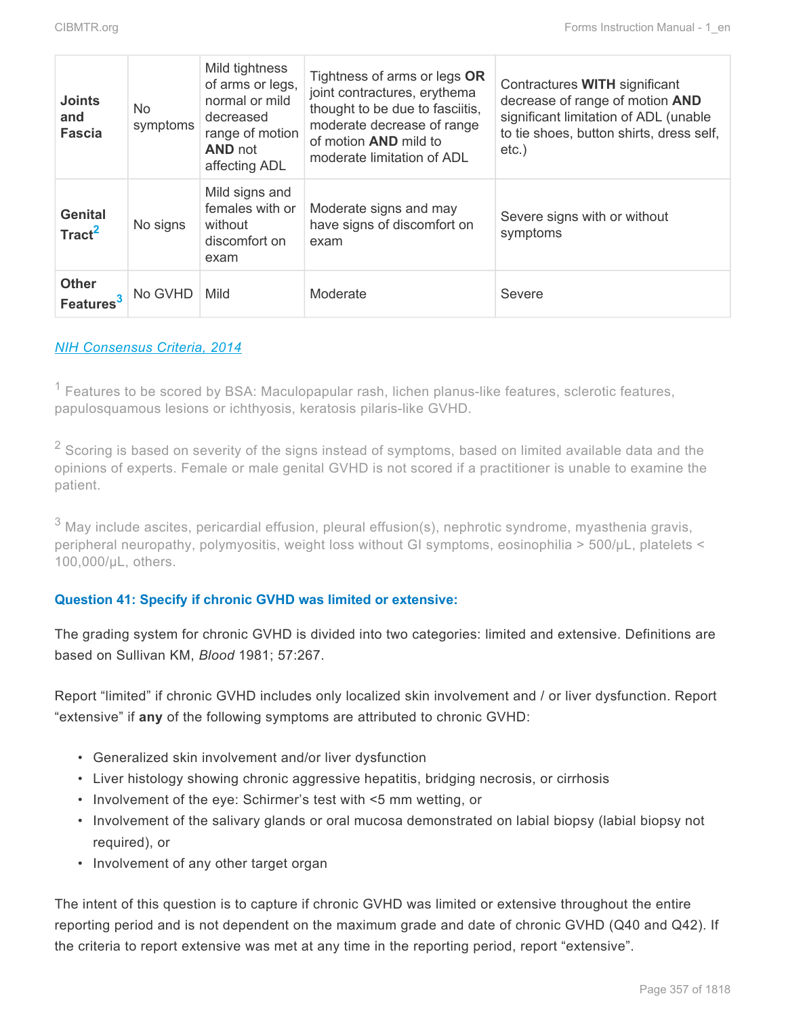| <b>Joints</b><br>and<br><b>Fascia</b> | No.<br>symptoms | Mild tightness<br>of arms or legs,<br>normal or mild<br>decreased<br>range of motion<br><b>AND not</b><br>affecting ADL | Tightness of arms or legs OR<br>joint contractures, erythema<br>thought to be due to fasciitis,<br>moderate decrease of range<br>of motion <b>AND</b> mild to<br>moderate limitation of ADL | Contractures WITH significant<br>decrease of range of motion AND<br>significant limitation of ADL (unable<br>to tie shoes, button shirts, dress self,<br>$etc.$ ) |
|---------------------------------------|-----------------|-------------------------------------------------------------------------------------------------------------------------|---------------------------------------------------------------------------------------------------------------------------------------------------------------------------------------------|-------------------------------------------------------------------------------------------------------------------------------------------------------------------|
| <b>Genital</b><br>Tract <sup>2</sup>  | No signs        | Mild signs and<br>females with or<br>without<br>discomfort on<br>exam                                                   | Moderate signs and may<br>have signs of discomfort on<br>exam                                                                                                                               | Severe signs with or without<br>symptoms                                                                                                                          |
| <b>Other</b><br>Features <sup>3</sup> | No GVHD         | Mild                                                                                                                    | Moderate                                                                                                                                                                                    | Severe                                                                                                                                                            |

#### *NIH [Consensus Criteria, 2014](https://www.ncbi.nlm.nih.gov/pmc/articles/PMC4329079/)*

 $1$  Features to be scored by BSA: Maculopapular rash, lichen planus-like features, sclerotic features, papulosquamous lesions or ichthyosis, keratosis pilaris-like GVHD.

 $2$  Scoring is based on severity of the signs instead of symptoms, based on limited available data and the opinions of experts. Female or male genital GVHD is not scored if a practitioner is unable to examine the patient.

 $3$  May include ascites, pericardial effusion, pleural effusion(s), nephrotic syndrome, myasthenia gravis, peripheral neuropathy, polymyositis, weight loss without GI symptoms, eosinophilia > 500/μL, platelets < 100,000/μL, others.

#### **Question 41: Specify if chronic GVHD was limited or extensive:**

The grading system for chronic GVHD is divided into two categories: limited and extensive. Definitions are based on Sullivan KM, *Blood* 1981; 57:267.

Report "limited" if chronic GVHD includes only localized skin involvement and / or liver dysfunction. Report "extensive" if **any** of the following symptoms are attributed to chronic GVHD:

- Generalized skin involvement and/or liver dysfunction
- Liver histology showing chronic aggressive hepatitis, bridging necrosis, or cirrhosis
- Involvement of the eye: Schirmer's test with <5 mm wetting, or
- Involvement of the salivary glands or oral mucosa demonstrated on labial biopsy (labial biopsy not required), or
- Involvement of any other target organ

The intent of this question is to capture if chronic GVHD was limited or extensive throughout the entire reporting period and is not dependent on the maximum grade and date of chronic GVHD (Q40 and Q42). If the criteria to report extensive was met at any time in the reporting period, report "extensive".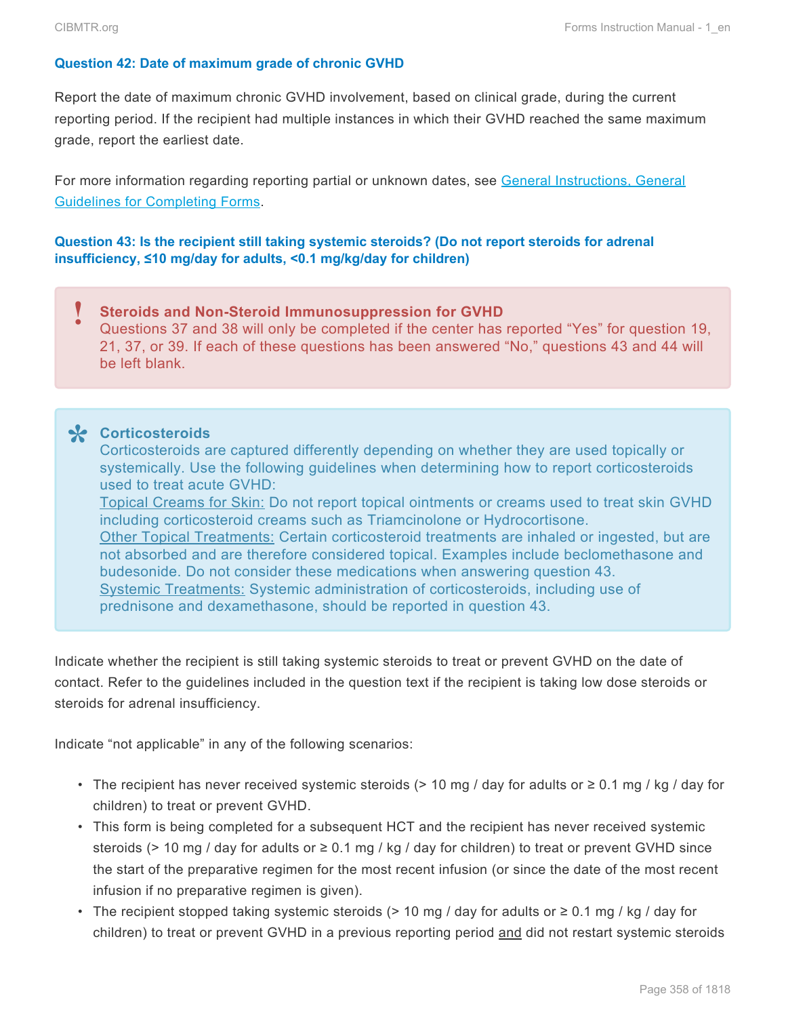#### **Question 42: Date of maximum grade of chronic GVHD**

Report the date of maximum chronic GVHD involvement, based on clinical grade, during the current reporting period. If the recipient had multiple instances in which their GVHD reached the same maximum grade, report the earliest date.

For more information regarding reporting partial or unknown dates, see General Instructions, General Guidelines for Completing Forms.

#### **Question 43: Is the recipient still taking systemic steroids? (Do not report steroids for adrenal insufficiency, ≤10 mg/day for adults, <0.1 mg/kg/day for children)**

**Steroids and Non-Steroid Immunosuppression for GVHD** Questions 37 and 38 will only be completed if the center has reported "Yes" for question 19, 21, 37, or 39. If each of these questions has been answered "No," questions 43 and 44 will be left blank. **!**

**Corticosteroids \*** Corticosteroids are captured differently depending on whether they are used topically or systemically. Use the following guidelines when determining how to report corticosteroids used to treat acute GVHD: Topical Creams for Skin: Do not report topical ointments or creams used to treat skin GVHD including corticosteroid creams such as Triamcinolone or Hydrocortisone.

Other Topical Treatments: Certain corticosteroid treatments are inhaled or ingested, but are not absorbed and are therefore considered topical. Examples include beclomethasone and budesonide. Do not consider these medications when answering question 43. Systemic Treatments: Systemic administration of corticosteroids, including use of prednisone and dexamethasone, should be reported in question 43.

Indicate whether the recipient is still taking systemic steroids to treat or prevent GVHD on the date of contact. Refer to the guidelines included in the question text if the recipient is taking low dose steroids or steroids for adrenal insufficiency.

Indicate "not applicable" in any of the following scenarios:

- The recipient has never received systemic steroids (> 10 mg / day for adults or  $\geq$  0.1 mg / kg / day for children) to treat or prevent GVHD.
- This form is being completed for a subsequent HCT and the recipient has never received systemic steroids (> 10 mg / day for adults or  $\geq$  0.1 mg / kg / day for children) to treat or prevent GVHD since the start of the preparative regimen for the most recent infusion (or since the date of the most recent infusion if no preparative regimen is given).
- The recipient stopped taking systemic steroids (> 10 mg / day for adults or  $\geq$  0.1 mg / kg / day for children) to treat or prevent GVHD in a previous reporting period and did not restart systemic steroids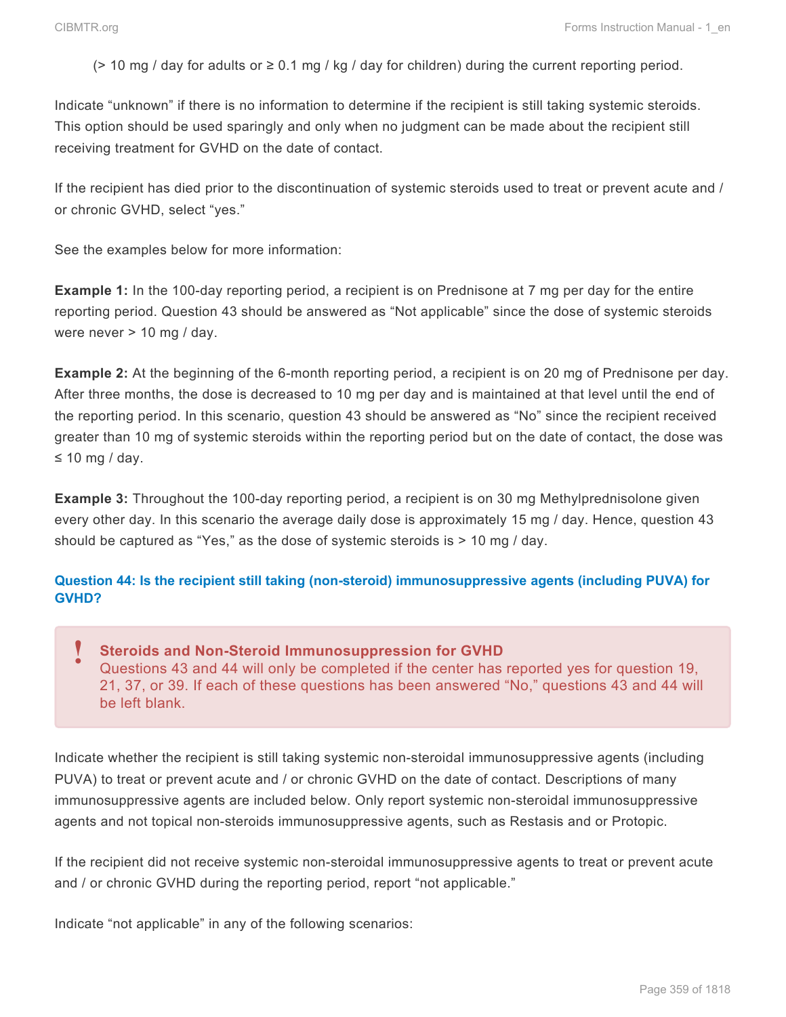( $>$  10 mg / day for adults or  $\geq$  0.1 mg / kg / day for children) during the current reporting period.

Indicate "unknown" if there is no information to determine if the recipient is still taking systemic steroids. This option should be used sparingly and only when no judgment can be made about the recipient still receiving treatment for GVHD on the date of contact.

If the recipient has died prior to the discontinuation of systemic steroids used to treat or prevent acute and / or chronic GVHD, select "yes."

See the examples below for more information:

**Example 1:** In the 100-day reporting period, a recipient is on Prednisone at 7 mg per day for the entire reporting period. Question 43 should be answered as "Not applicable" since the dose of systemic steroids were never > 10 mg / day.

**Example 2:** At the beginning of the 6-month reporting period, a recipient is on 20 mg of Prednisone per day. After three months, the dose is decreased to 10 mg per day and is maintained at that level until the end of the reporting period. In this scenario, question 43 should be answered as "No" since the recipient received greater than 10 mg of systemic steroids within the reporting period but on the date of contact, the dose was ≤ 10 mg / day.

**Example 3:** Throughout the 100-day reporting period, a recipient is on 30 mg Methylprednisolone given every other day. In this scenario the average daily dose is approximately 15 mg / day. Hence, question 43 should be captured as "Yes," as the dose of systemic steroids is > 10 mg / day.

#### **Question 44: Is the recipient still taking (non-steroid) immunosuppressive agents (including PUVA) for GVHD?**

**Steroids and Non-Steroid Immunosuppression for GVHD** Questions 43 and 44 will only be completed if the center has reported yes for question 19, 21, 37, or 39. If each of these questions has been answered "No," questions 43 and 44 will be left blank. **!**

Indicate whether the recipient is still taking systemic non-steroidal immunosuppressive agents (including PUVA) to treat or prevent acute and / or chronic GVHD on the date of contact. Descriptions of many immunosuppressive agents are included below. Only report systemic non-steroidal immunosuppressive agents and not topical non-steroids immunosuppressive agents, such as Restasis and or Protopic.

If the recipient did not receive systemic non-steroidal immunosuppressive agents to treat or prevent acute and / or chronic GVHD during the reporting period, report "not applicable."

Indicate "not applicable" in any of the following scenarios: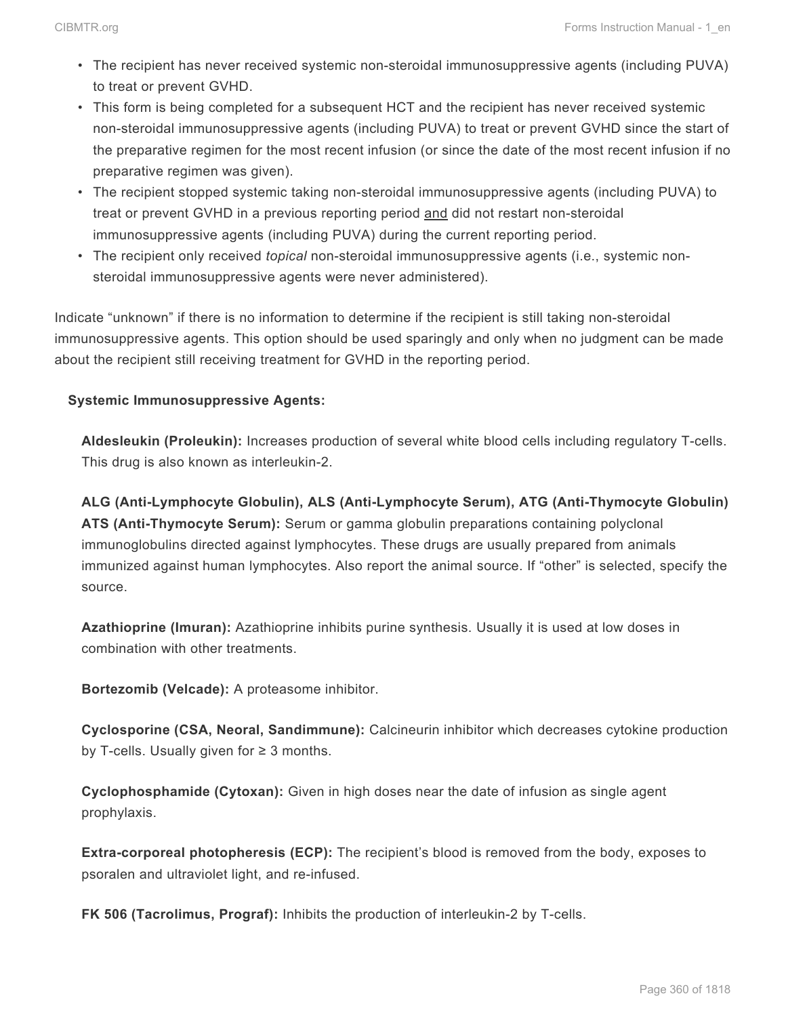- The recipient has never received systemic non-steroidal immunosuppressive agents (including PUVA) to treat or prevent GVHD.
- This form is being completed for a subsequent HCT and the recipient has never received systemic non-steroidal immunosuppressive agents (including PUVA) to treat or prevent GVHD since the start of the preparative regimen for the most recent infusion (or since the date of the most recent infusion if no preparative regimen was given).
- The recipient stopped systemic taking non-steroidal immunosuppressive agents (including PUVA) to treat or prevent GVHD in a previous reporting period and did not restart non-steroidal immunosuppressive agents (including PUVA) during the current reporting period.
- The recipient only received *topical* non-steroidal immunosuppressive agents (i.e., systemic nonsteroidal immunosuppressive agents were never administered).

Indicate "unknown" if there is no information to determine if the recipient is still taking non-steroidal immunosuppressive agents. This option should be used sparingly and only when no judgment can be made about the recipient still receiving treatment for GVHD in the reporting period.

#### **Systemic Immunosuppressive Agents:**

**Aldesleukin (Proleukin):** Increases production of several white blood cells including regulatory T-cells. This drug is also known as interleukin-2.

**ALG (Anti-Lymphocyte Globulin), ALS (Anti-Lymphocyte Serum), ATG (Anti-Thymocyte Globulin) ATS (Anti-Thymocyte Serum):** Serum or gamma globulin preparations containing polyclonal immunoglobulins directed against lymphocytes. These drugs are usually prepared from animals immunized against human lymphocytes. Also report the animal source. If "other" is selected, specify the source.

**Azathioprine (Imuran):** Azathioprine inhibits purine synthesis. Usually it is used at low doses in combination with other treatments.

**Bortezomib (Velcade):** A proteasome inhibitor.

**Cyclosporine (CSA, Neoral, Sandimmune):** Calcineurin inhibitor which decreases cytokine production by T-cells. Usually given for ≥ 3 months.

**Cyclophosphamide (Cytoxan):** Given in high doses near the date of infusion as single agent prophylaxis.

**Extra-corporeal photopheresis (ECP):** The recipient's blood is removed from the body, exposes to psoralen and ultraviolet light, and re-infused.

**FK 506 (Tacrolimus, Prograf):** Inhibits the production of interleukin-2 by T-cells.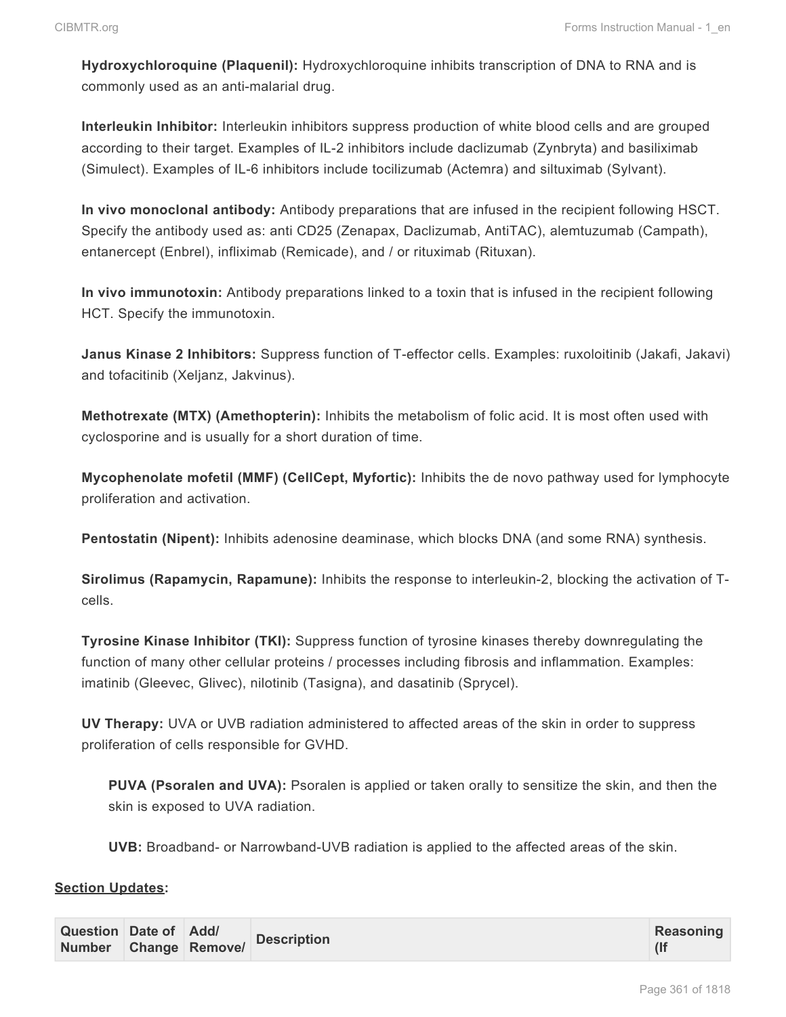**Hydroxychloroquine (Plaquenil):** Hydroxychloroquine inhibits transcription of DNA to RNA and is commonly used as an anti-malarial drug.

**Interleukin Inhibitor:** Interleukin inhibitors suppress production of white blood cells and are grouped according to their target. Examples of IL-2 inhibitors include daclizumab (Zynbryta) and basiliximab (Simulect). Examples of IL-6 inhibitors include tocilizumab (Actemra) and siltuximab (Sylvant).

**In vivo monoclonal antibody:** Antibody preparations that are infused in the recipient following HSCT. Specify the antibody used as: anti CD25 (Zenapax, Daclizumab, AntiTAC), alemtuzumab (Campath), entanercept (Enbrel), infliximab (Remicade), and / or rituximab (Rituxan).

**In vivo immunotoxin:** Antibody preparations linked to a toxin that is infused in the recipient following HCT. Specify the immunotoxin.

**Janus Kinase 2 Inhibitors:** Suppress function of T-effector cells. Examples: ruxoloitinib (Jakafi, Jakavi) and tofacitinib (Xeljanz, Jakvinus).

**Methotrexate (MTX) (Amethopterin):** Inhibits the metabolism of folic acid. It is most often used with cyclosporine and is usually for a short duration of time.

**Mycophenolate mofetil (MMF) (CellCept, Myfortic):** Inhibits the de novo pathway used for lymphocyte proliferation and activation.

**Pentostatin (Nipent):** Inhibits adenosine deaminase, which blocks DNA (and some RNA) synthesis.

**Sirolimus (Rapamycin, Rapamune):** Inhibits the response to interleukin-2, blocking the activation of Tcells.

**Tyrosine Kinase Inhibitor (TKI):** Suppress function of tyrosine kinases thereby downregulating the function of many other cellular proteins / processes including fibrosis and inflammation. Examples: imatinib (Gleevec, Glivec), nilotinib (Tasigna), and dasatinib (Sprycel).

**UV Therapy:** UVA or UVB radiation administered to affected areas of the skin in order to suppress proliferation of cells responsible for GVHD.

**PUVA (Psoralen and UVA):** Psoralen is applied or taken orally to sensitize the skin, and then the skin is exposed to UVA radiation.

**UVB:** Broadband- or Narrowband-UVB radiation is applied to the affected areas of the skin.

#### **Section Updates:**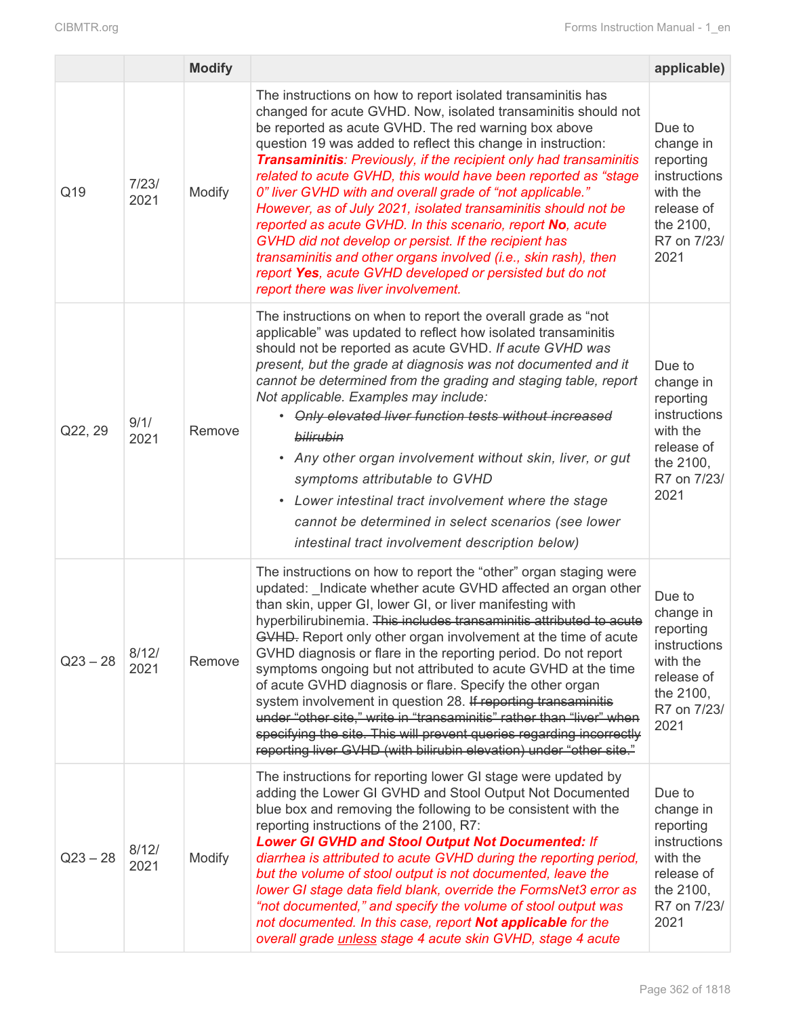|            |               | <b>Modify</b> |                                                                                                                                                                                                                                                                                                                                                                                                                                                                                                                                                                                                                                                                                                                                                                                                                                   | applicable)                                                                                                    |
|------------|---------------|---------------|-----------------------------------------------------------------------------------------------------------------------------------------------------------------------------------------------------------------------------------------------------------------------------------------------------------------------------------------------------------------------------------------------------------------------------------------------------------------------------------------------------------------------------------------------------------------------------------------------------------------------------------------------------------------------------------------------------------------------------------------------------------------------------------------------------------------------------------|----------------------------------------------------------------------------------------------------------------|
| Q19        | 7/23/<br>2021 | Modify        | The instructions on how to report isolated transaminitis has<br>changed for acute GVHD. Now, isolated transaminitis should not<br>be reported as acute GVHD. The red warning box above<br>question 19 was added to reflect this change in instruction:<br><b>Transaminitis: Previously, if the recipient only had transaminitis</b><br>related to acute GVHD, this would have been reported as "stage<br>0" liver GVHD with and overall grade of "not applicable."<br>However, as of July 2021, isolated transaminitis should not be<br>reported as acute GVHD. In this scenario, report No, acute<br>GVHD did not develop or persist. If the recipient has<br>transaminitis and other organs involved (i.e., skin rash), then<br>report Yes, acute GVHD developed or persisted but do not<br>report there was liver involvement. | Due to<br>change in<br>reporting<br>instructions<br>with the<br>release of<br>the 2100,<br>R7 on 7/23/<br>2021 |
| Q22, 29    | 9/1/<br>2021  | Remove        | The instructions on when to report the overall grade as "not<br>applicable" was updated to reflect how isolated transaminitis<br>should not be reported as acute GVHD. If acute GVHD was<br>present, but the grade at diagnosis was not documented and it<br>cannot be determined from the grading and staging table, report<br>Not applicable. Examples may include:<br>• Only elevated liver function tests without increased<br>bilirubin<br>• Any other organ involvement without skin, liver, or gut<br>symptoms attributable to GVHD<br>Lower intestinal tract involvement where the stage<br>cannot be determined in select scenarios (see lower<br>intestinal tract involvement description below)                                                                                                                        | Due to<br>change in<br>reporting<br>instructions<br>with the<br>release of<br>the 2100,<br>R7 on 7/23/<br>2021 |
| $Q23 - 28$ | 8/12/<br>2021 | Remove        | The instructions on how to report the "other" organ staging were<br>updated: Indicate whether acute GVHD affected an organ other<br>than skin, upper GI, lower GI, or liver manifesting with<br>hyperbilirubinemia. This includes transaminitis attributed to acute<br>GVHD. Report only other organ involvement at the time of acute<br>GVHD diagnosis or flare in the reporting period. Do not report<br>symptoms ongoing but not attributed to acute GVHD at the time<br>of acute GVHD diagnosis or flare. Specify the other organ<br>system involvement in question 28. If reporting transaminitis<br>under "other site," write in "transaminitis" rather than "liver" when<br>specifying the site. This will prevent queries regarding incorrectly<br>reporting liver GVHD (with bilirubin elevation) under "other site."    | Due to<br>change in<br>reporting<br>instructions<br>with the<br>release of<br>the 2100,<br>R7 on 7/23/<br>2021 |
| $Q23 - 28$ | 8/12/<br>2021 | Modify        | The instructions for reporting lower GI stage were updated by<br>adding the Lower GI GVHD and Stool Output Not Documented<br>blue box and removing the following to be consistent with the<br>reporting instructions of the 2100, R7:<br><b>Lower GI GVHD and Stool Output Not Documented: If</b><br>diarrhea is attributed to acute GVHD during the reporting period,<br>but the volume of stool output is not documented, leave the<br>lower GI stage data field blank, override the FormsNet3 error as<br>"not documented," and specify the volume of stool output was<br>not documented. In this case, report Not applicable for the<br>overall grade <i>unless</i> stage 4 acute skin GVHD, stage 4 acute                                                                                                                    | Due to<br>change in<br>reporting<br>instructions<br>with the<br>release of<br>the 2100,<br>R7 on 7/23/<br>2021 |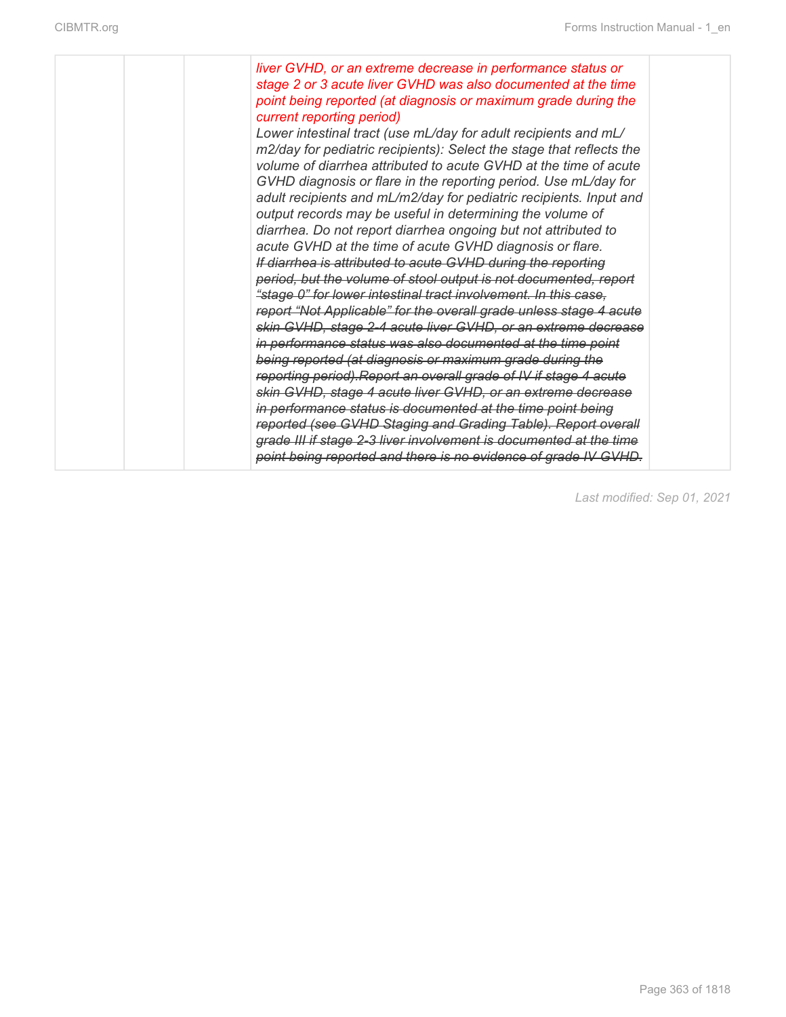|  | liver GVHD, or an extreme decrease in performance status or<br>stage 2 or 3 acute liver GVHD was also documented at the time<br>point being reported (at diagnosis or maximum grade during the<br>current reporting period)<br>Lower intestinal tract (use mL/day for adult recipients and mL/<br>m2/day for pediatric recipients): Select the stage that reflects the<br>volume of diarrhea attributed to acute GVHD at the time of acute<br>GVHD diagnosis or flare in the reporting period. Use mL/day for<br>adult recipients and mL/m2/day for pediatric recipients. Input and<br>output records may be useful in determining the volume of<br>diarrhea. Do not report diarrhea ongoing but not attributed to<br>acute GVHD at the time of acute GVHD diagnosis or flare.<br>If diarrhea is attributed to acute GVHD during the reporting<br>period, but the volume of stool output is not documented, report<br>"stage 0" for lower intestinal tract involvement. In this case,<br>report "Not Applicable" for the overall grade unless stage 4 acute<br>skin GVHD, stage 2-4 acute liver GVHD, or an extreme decrease<br>in performance status was also documented at the time point<br>being reported (at diagnosis or maximum grade during the<br>reporting period). Report an overall grade of IV if stage 4 acute<br>skin GVHD, stage 4 acute liver GVHD, or an extreme decrease<br>in performance status is documented at the time point being<br>reported (see GVHD Staging and Grading Table). Report overall<br>grade III if stage 2-3 liver involvement is documented at the time<br>point being reported and there is no evidence of grade IV GVHD. |  |
|--|----------------------------------------------------------------------------------------------------------------------------------------------------------------------------------------------------------------------------------------------------------------------------------------------------------------------------------------------------------------------------------------------------------------------------------------------------------------------------------------------------------------------------------------------------------------------------------------------------------------------------------------------------------------------------------------------------------------------------------------------------------------------------------------------------------------------------------------------------------------------------------------------------------------------------------------------------------------------------------------------------------------------------------------------------------------------------------------------------------------------------------------------------------------------------------------------------------------------------------------------------------------------------------------------------------------------------------------------------------------------------------------------------------------------------------------------------------------------------------------------------------------------------------------------------------------------------------------------------------------------------------------------------------------------|--|
|--|----------------------------------------------------------------------------------------------------------------------------------------------------------------------------------------------------------------------------------------------------------------------------------------------------------------------------------------------------------------------------------------------------------------------------------------------------------------------------------------------------------------------------------------------------------------------------------------------------------------------------------------------------------------------------------------------------------------------------------------------------------------------------------------------------------------------------------------------------------------------------------------------------------------------------------------------------------------------------------------------------------------------------------------------------------------------------------------------------------------------------------------------------------------------------------------------------------------------------------------------------------------------------------------------------------------------------------------------------------------------------------------------------------------------------------------------------------------------------------------------------------------------------------------------------------------------------------------------------------------------------------------------------------------------|--|

*Last modified: Sep 01, 2021*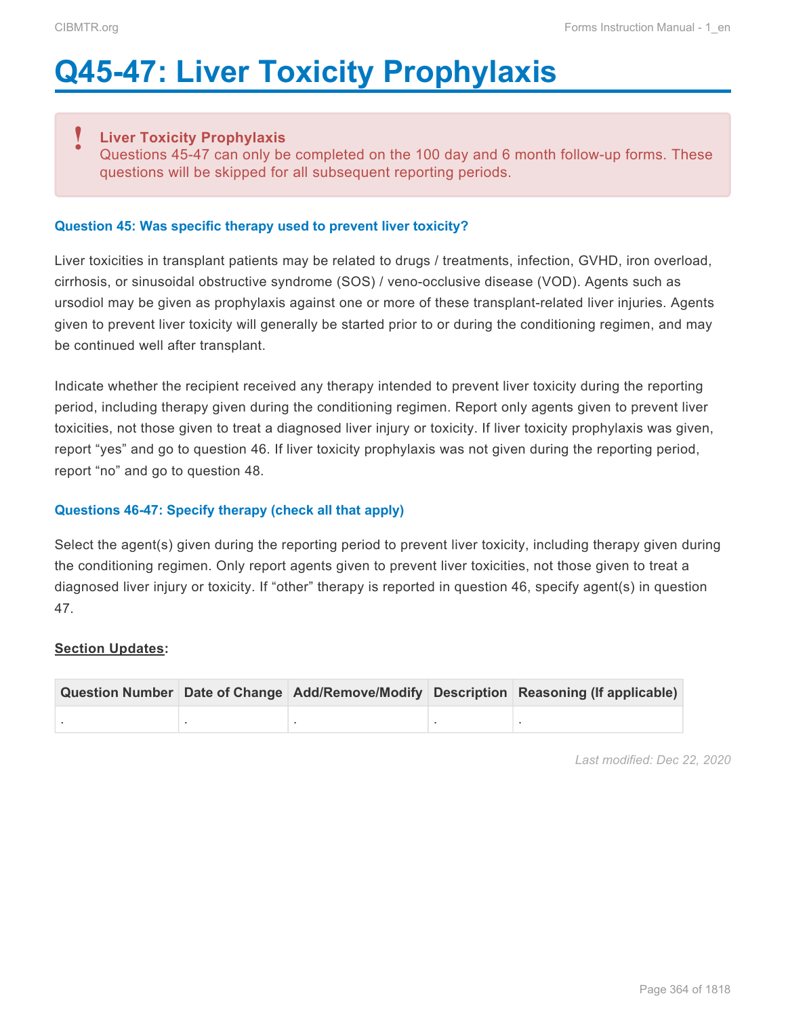# **Q45-47: Liver Toxicity Prophylaxis**

#### **Liver Toxicity Prophylaxis !**

Questions 45-47 can only be completed on the 100 day and 6 month follow-up forms. These questions will be skipped for all subsequent reporting periods.

#### **Question 45: Was specific therapy used to prevent liver toxicity?**

Liver toxicities in transplant patients may be related to drugs / treatments, infection, GVHD, iron overload, cirrhosis, or sinusoidal obstructive syndrome (SOS) / veno-occlusive disease (VOD). Agents such as ursodiol may be given as prophylaxis against one or more of these transplant-related liver injuries. Agents given to prevent liver toxicity will generally be started prior to or during the conditioning regimen, and may be continued well after transplant.

Indicate whether the recipient received any therapy intended to prevent liver toxicity during the reporting period, including therapy given during the conditioning regimen. Report only agents given to prevent liver toxicities, not those given to treat a diagnosed liver injury or toxicity. If liver toxicity prophylaxis was given, report "yes" and go to question 46. If liver toxicity prophylaxis was not given during the reporting period, report "no" and go to question 48.

#### **Questions 46-47: Specify therapy (check all that apply)**

Select the agent(s) given during the reporting period to prevent liver toxicity, including therapy given during the conditioning regimen. Only report agents given to prevent liver toxicities, not those given to treat a diagnosed liver injury or toxicity. If "other" therapy is reported in question 46, specify agent(s) in question 47.

#### **Section Updates:**

|  |  | Question Number Date of Change Add/Remove/Modify Description Reasoning (If applicable) |
|--|--|----------------------------------------------------------------------------------------|
|  |  |                                                                                        |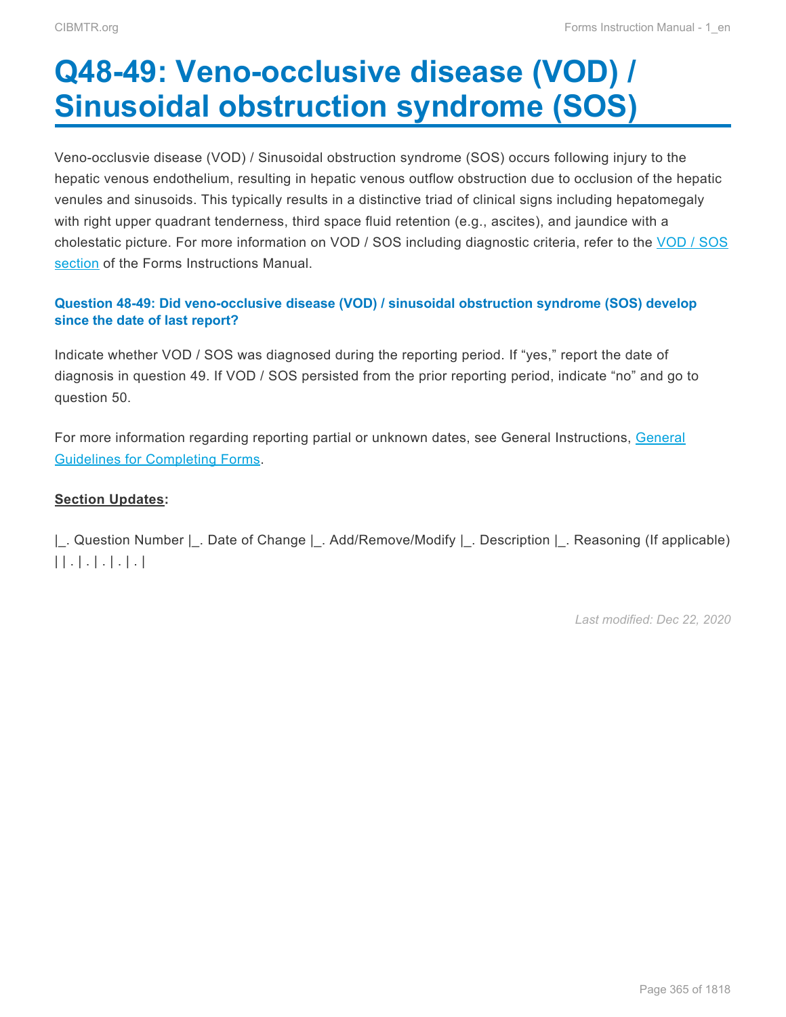# **Q48-49: Veno-occlusive disease (VOD) / Sinusoidal obstruction syndrome (SOS)**

Veno-occlusvie disease (VOD) / Sinusoidal obstruction syndrome (SOS) occurs following injury to the hepatic venous endothelium, resulting in hepatic venous outflow obstruction due to occlusion of the hepatic venules and sinusoids. This typically results in a distinctive triad of clinical signs including hepatomegaly with right upper quadrant tenderness, third space fluid retention (e.g., ascites), and jaundice with a cholestatic picture. For more information on VOD / SOS including diagnostic criteria, refer to the VOD / SOS section of the Forms Instructions Manual.

### **Question 48-49: Did veno-occlusive disease (VOD) / sinusoidal obstruction syndrome (SOS) develop since the date of last report?**

Indicate whether VOD / SOS was diagnosed during the reporting period. If "yes," report the date of diagnosis in question 49. If VOD / SOS persisted from the prior reporting period, indicate "no" and go to question 50.

For more information regarding reporting partial or unknown dates, see General Instructions, General Guidelines for Completing Forms.

#### **Section Updates:**

|\_. Question Number |\_. Date of Change |\_. Add/Remove/Modify |\_. Description |\_. Reasoning (If applicable) | | . | . | . | . | . |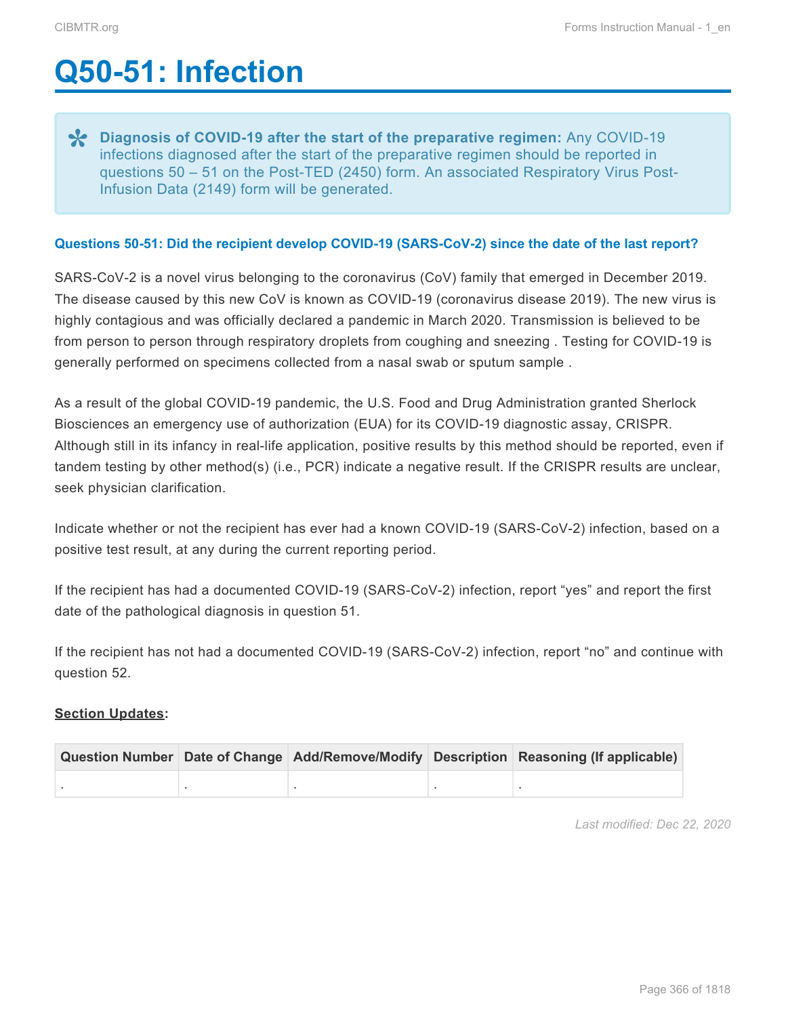# **Q50-51: Infection**

**Policy COVID-19 after the start of the preparative regimen:** Any COVID-19<br>
infections diagnosed after the start of the preparative regimen should be reported in<br>
were fine and the Deck TED (2450) form An according Decembe infections diagnosed after the start of the preparative regimen should be reported in questions 50 – 51 on the Post-TED (2450) form. An associated Respiratory Virus Post-Infusion Data (2149) form will be generated.

#### **Questions 50-51: Did the recipient develop COVID-19 (SARS-CoV-2) since the date of the last report?**

SARS-CoV-2 is a novel virus belonging to the coronavirus (CoV) family that emerged in December 2019. The disease caused by this new CoV is known as COVID-19 (coronavirus disease 2019). The new virus is highly contagious and was officially declared a pandemic in March 2020. Transmission is believed to be from person to person through respiratory droplets from coughing and sneezing . Testing for COVID-19 is generally performed on specimens collected from a nasal swab or sputum sample .

As a result of the global COVID-19 pandemic, the U.S. Food and Drug Administration granted Sherlock Biosciences an emergency use of authorization (EUA) for its COVID-19 diagnostic assay, CRISPR. Although still in its infancy in real-life application, positive results by this method should be reported, even if tandem testing by other method(s) (i.e., PCR) indicate a negative result. If the CRISPR results are unclear, seek physician clarification.

Indicate whether or not the recipient has ever had a known COVID-19 (SARS-CoV-2) infection, based on a positive test result, at any during the current reporting period.

If the recipient has had a documented COVID-19 (SARS-CoV-2) infection, report "yes" and report the first date of the pathological diagnosis in question 51.

If the recipient has not had a documented COVID-19 (SARS-CoV-2) infection, report "no" and continue with question 52.

#### **Section Updates:**

|  |  | Question Number Date of Change Add/Remove/Modify Description Reasoning (If applicable) |
|--|--|----------------------------------------------------------------------------------------|
|  |  |                                                                                        |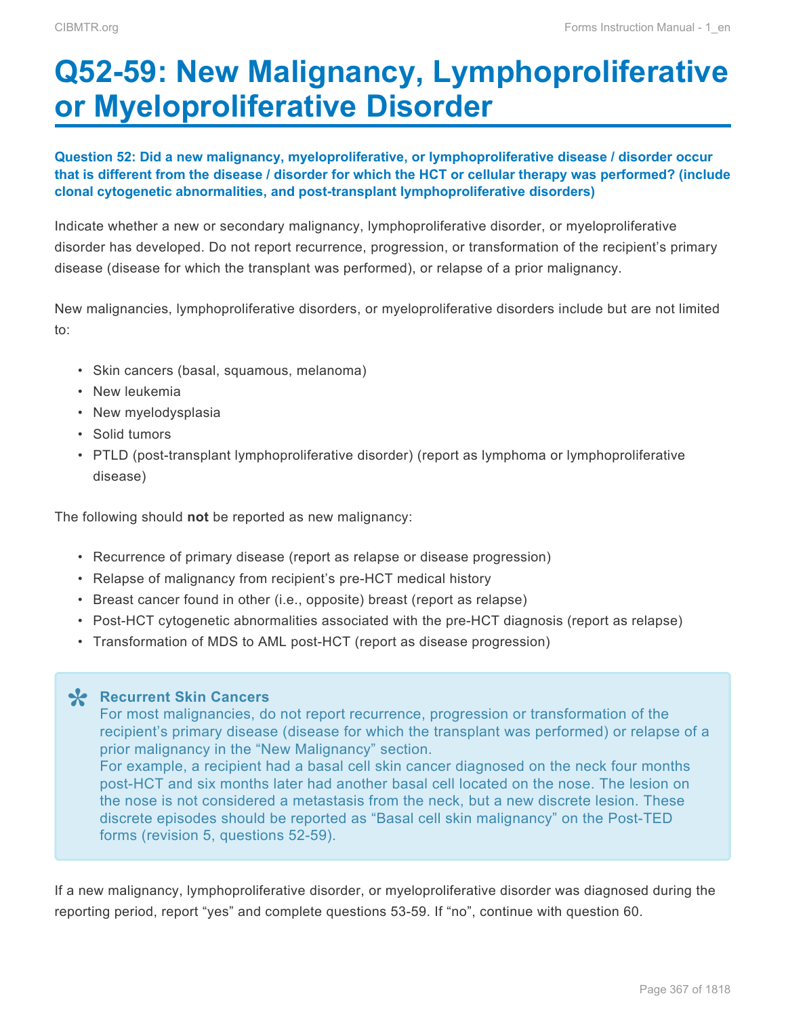# **Q52-59: New Malignancy, Lymphoproliferative or Myeloproliferative Disorder**

#### **Question 52: Did a new malignancy, myeloproliferative, or lymphoproliferative disease / disorder occur that is different from the disease / disorder for which the HCT or cellular therapy was performed? (include clonal cytogenetic abnormalities, and post-transplant lymphoproliferative disorders)**

Indicate whether a new or secondary malignancy, lymphoproliferative disorder, or myeloproliferative disorder has developed. Do not report recurrence, progression, or transformation of the recipient's primary disease (disease for which the transplant was performed), or relapse of a prior malignancy.

New malignancies, lymphoproliferative disorders, or myeloproliferative disorders include but are not limited to:

- Skin cancers (basal, squamous, melanoma)
- New leukemia
- New myelodysplasia
- Solid tumors
- PTLD (post-transplant lymphoproliferative disorder) (report as lymphoma or lymphoproliferative disease)

The following should **not** be reported as new malignancy:

- Recurrence of primary disease (report as relapse or disease progression)
- Relapse of malignancy from recipient's pre-HCT medical history
- Breast cancer found in other (i.e., opposite) breast (report as relapse)
- Post-HCT cytogenetic abnormalities associated with the pre-HCT diagnosis (report as relapse)
- Transformation of MDS to AML post-HCT (report as disease progression)

**Recurrent Skin Cancers \*** For most malignancies, do not report recurrence, progression or transformation of the recipient's primary disease (disease for which the transplant was performed) or relapse of a prior malignancy in the "New Malignancy" section.

For example, a recipient had a basal cell skin cancer diagnosed on the neck four months post-HCT and six months later had another basal cell located on the nose. The lesion on the nose is not considered a metastasis from the neck, but a new discrete lesion. These discrete episodes should be reported as "Basal cell skin malignancy" on the Post-TED forms (revision 5, questions 52-59).

If a new malignancy, lymphoproliferative disorder, or myeloproliferative disorder was diagnosed during the reporting period, report "yes" and complete questions 53-59. If "no", continue with question 60.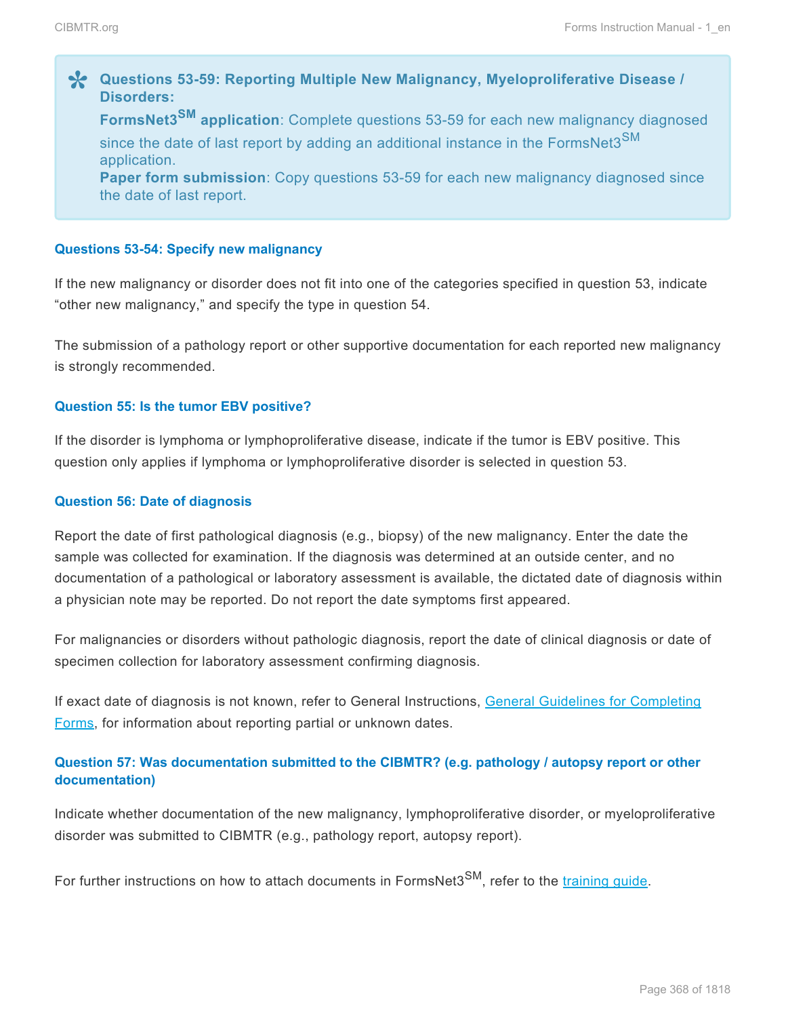**2** Questions 53-59: Reporting Multiple New Malignancy, Myeloproliferative Disease /<br>Disorders: **Disorders: FormsNet3SM application**: Complete questions 53-59 for each new malignancy diagnosed since the date of last report by adding an additional instance in the FormsNet3<sup>SM</sup> application. **Paper form submission**: Copy questions 53-59 for each new malignancy diagnosed since

#### **Questions 53-54: Specify new malignancy**

the date of last report.

If the new malignancy or disorder does not fit into one of the categories specified in question 53, indicate "other new malignancy," and specify the type in question 54.

The submission of a pathology report or other supportive documentation for each reported new malignancy is strongly recommended.

#### **Question 55: Is the tumor EBV positive?**

If the disorder is lymphoma or lymphoproliferative disease, indicate if the tumor is EBV positive. This question only applies if lymphoma or lymphoproliferative disorder is selected in question 53.

#### **Question 56: Date of diagnosis**

Report the date of first pathological diagnosis (e.g., biopsy) of the new malignancy. Enter the date the sample was collected for examination. If the diagnosis was determined at an outside center, and no documentation of a pathological or laboratory assessment is available, the dictated date of diagnosis within a physician note may be reported. Do not report the date symptoms first appeared.

For malignancies or disorders without pathologic diagnosis, report the date of clinical diagnosis or date of specimen collection for laboratory assessment confirming diagnosis.

If exact date of diagnosis is not known, refer to General Instructions, General Guidelines for Completing Forms, for information about reporting partial or unknown dates.

#### **Question 57: Was documentation submitted to the CIBMTR? (e.g. pathology / autopsy report or other documentation)**

Indicate whether documentation of the new malignancy, lymphoproliferative disorder, or myeloproliferative disorder was submitted to CIBMTR (e.g., pathology report, autopsy report).

For further instructions on how to attach documents in FormsNet3<sup>SM</sup>, refer to the training quide.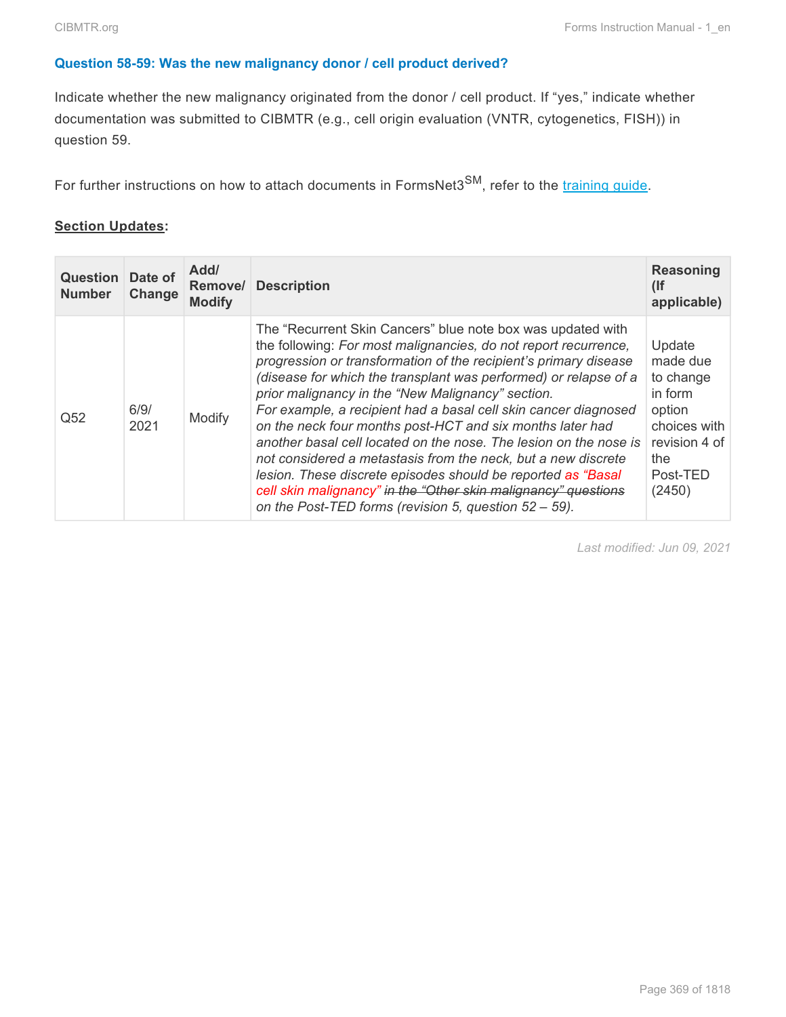#### **Question 58-59: Was the new malignancy donor / cell product derived?**

Indicate whether the new malignancy originated from the donor / cell product. If "yes," indicate whether documentation was submitted to CIBMTR (e.g., cell origin evaluation (VNTR, cytogenetics, FISH)) in question 59.

For further instructions on how to attach documents in FormsNet3<sup>SM</sup>, refer to the [training guide.](https://www.cibmtr.org/DataManagement/TrainingReference/FormsNet/Documents/FN3%20Training%20Guide%20AE.pdf)

#### **Section Updates:**

| <b>Question</b><br><b>Number</b> | Date of<br>Change | Add/<br>Remove/<br><b>Modify</b> | <b>Description</b>                                                                                                                                                                                                                                                                                                                                                                                                                                                                                                                                                                                                                                                                                                                                                                           | Reasoning<br>(<br>applicable)                                                                                       |
|----------------------------------|-------------------|----------------------------------|----------------------------------------------------------------------------------------------------------------------------------------------------------------------------------------------------------------------------------------------------------------------------------------------------------------------------------------------------------------------------------------------------------------------------------------------------------------------------------------------------------------------------------------------------------------------------------------------------------------------------------------------------------------------------------------------------------------------------------------------------------------------------------------------|---------------------------------------------------------------------------------------------------------------------|
| Q <sub>52</sub>                  | 6/9/<br>2021      | Modify                           | The "Recurrent Skin Cancers" blue note box was updated with<br>the following: For most malignancies, do not report recurrence,<br>progression or transformation of the recipient's primary disease<br>(disease for which the transplant was performed) or relapse of a<br>prior malignancy in the "New Malignancy" section.<br>For example, a recipient had a basal cell skin cancer diagnosed<br>on the neck four months post-HCT and six months later had<br>another basal cell located on the nose. The lesion on the nose is<br>not considered a metastasis from the neck, but a new discrete<br>lesion. These discrete episodes should be reported as "Basal<br>cell skin malignancy" in the "Other skin malignancy" questions<br>on the Post-TED forms (revision 5, question 52 - 59). | Update<br>made due<br>to change<br>in form<br>option<br>choices with<br>revision 4 of<br>the.<br>Post-TED<br>(2450) |

*Last modified: Jun 09, 2021*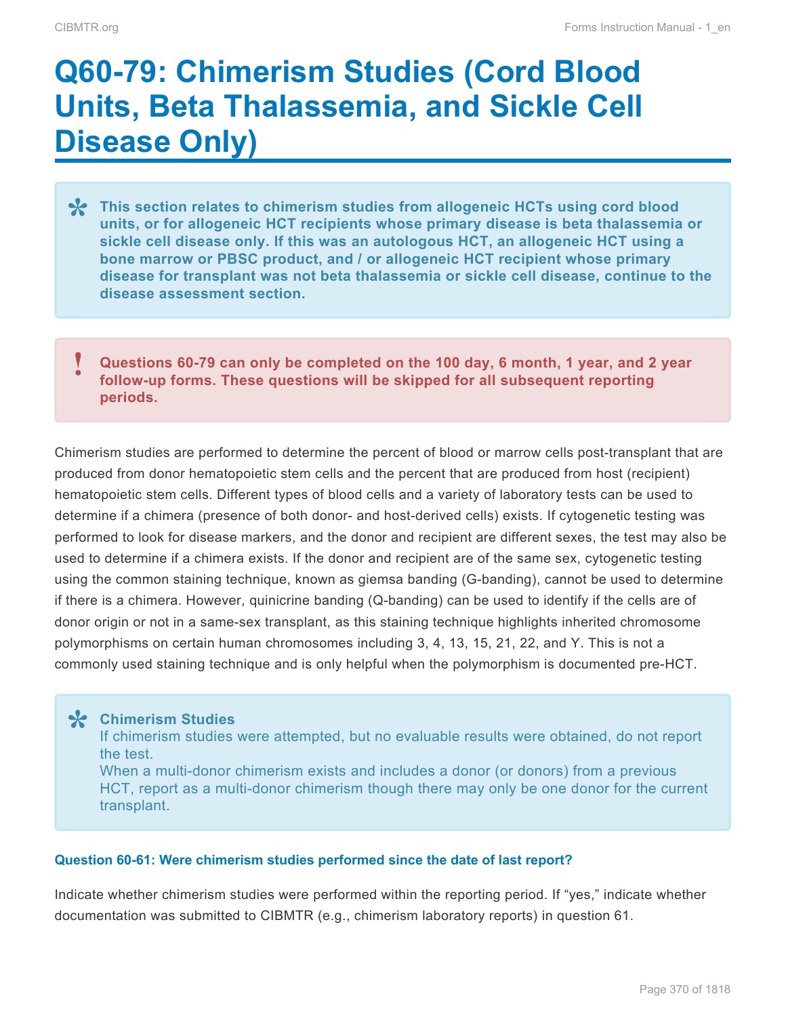# **Q60-79: Chimerism Studies (Cord Blood Units, Beta Thalassemia, and Sickle Cell Disease Only)**

- **This section relates to chimerism studies from allogeneic HCTs using cord blood units, or for allogeneic HCT recipients whose primary disease is beta thalassemia ciclic call disease a physically in this was an autology of units, or for allogeneic HCT recipients whose primary disease is beta thalassemia or sickle cell disease only. If this was an autologous HCT, an allogeneic HCT using a bone marrow or PBSC product, and / or allogeneic HCT recipient whose primary disease for transplant was not beta thalassemia or sickle cell disease, continue to the disease assessment section.**
- **Questions 60-79 can only be completed on the 100 day, 6 month, 1 year, and 2 year follow-up forms. These questions will be skipped for all subsequent reporting periods. !**

Chimerism studies are performed to determine the percent of blood or marrow cells post-transplant that are produced from donor hematopoietic stem cells and the percent that are produced from host (recipient) hematopoietic stem cells. Different types of blood cells and a variety of laboratory tests can be used to determine if a chimera (presence of both donor- and host-derived cells) exists. If cytogenetic testing was performed to look for disease markers, and the donor and recipient are different sexes, the test may also be used to determine if a chimera exists. If the donor and recipient are of the same sex, cytogenetic testing using the common staining technique, known as giemsa banding (G-banding), cannot be used to determine if there is a chimera. However, quinicrine banding (Q-banding) can be used to identify if the cells are of donor origin or not in a same-sex transplant, as this staining technique highlights inherited chromosome polymorphisms on certain human chromosomes including 3, 4, 13, 15, 21, 22, and Y. This is not a commonly used staining technique and is only helpful when the polymorphism is documented pre-HCT.

**Chimerism Studies \*** If chimerism studies were attempted, but no evaluable results were obtained, do not report the test.

When a multi-donor chimerism exists and includes a donor (or donors) from a previous HCT, report as a multi-donor chimerism though there may only be one donor for the current transplant.

#### **Question 60-61: Were chimerism studies performed since the date of last report?**

Indicate whether chimerism studies were performed within the reporting period. If "yes," indicate whether documentation was submitted to CIBMTR (e.g., chimerism laboratory reports) in question 61.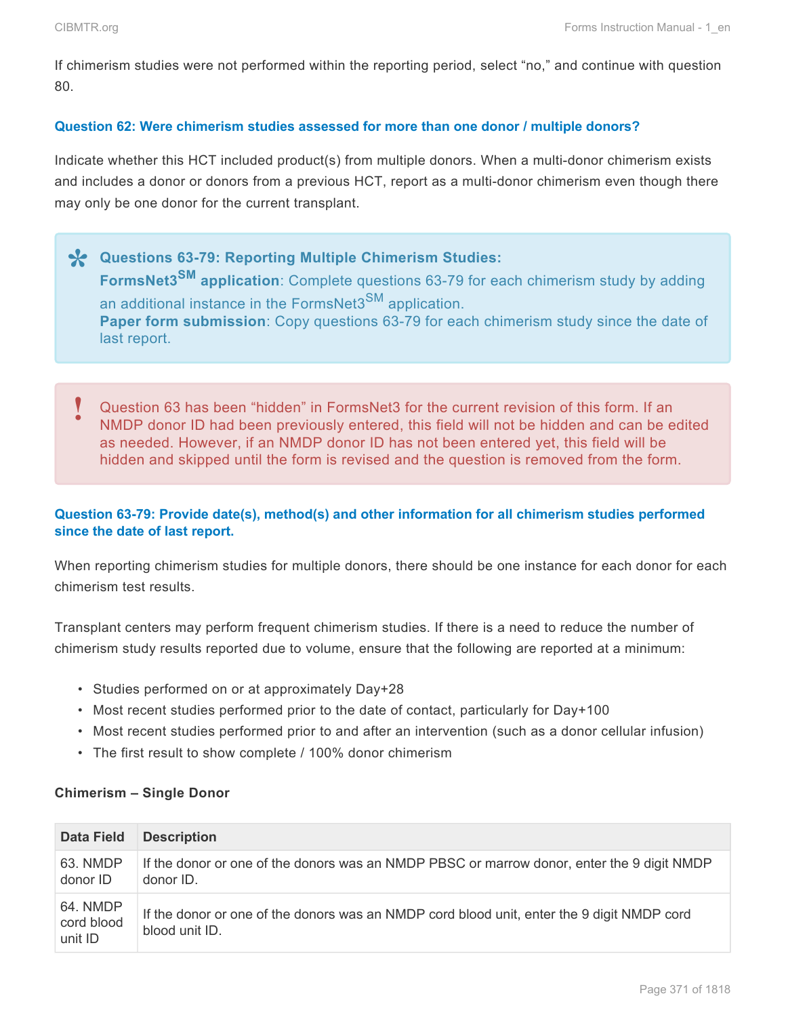If chimerism studies were not performed within the reporting period, select "no," and continue with question 80.

#### **Question 62: Were chimerism studies assessed for more than one donor / multiple donors?**

Indicate whether this HCT included product(s) from multiple donors. When a multi-donor chimerism exists and includes a donor or donors from a previous HCT, report as a multi-donor chimerism even though there may only be one donor for the current transplant.

- **Questions 63-79: Reporting Multiple Chimerism Studies: \* FormsNet3SM application**: Complete questions 63-79 for each chimerism study by adding an additional instance in the FormsNet3<sup>SM</sup> application. **Paper form submission**: Copy questions 63-79 for each chimerism study since the date of last report.
- Question 63 has been "hidden" in FormsNet3 for the current revision of this form. If an NMDP donor ID had been previously entered, this field will not be hidden and can be edited as needed. However, if an NMDP donor ID has not been entered yet, this field will be hidden and skipped until the form is revised and the question is removed from the form. **!**

#### **Question 63-79: Provide date(s), method(s) and other information for all chimerism studies performed since the date of last report.**

When reporting chimerism studies for multiple donors, there should be one instance for each donor for each chimerism test results.

Transplant centers may perform frequent chimerism studies. If there is a need to reduce the number of chimerism study results reported due to volume, ensure that the following are reported at a minimum:

- Studies performed on or at approximately Day+28
- Most recent studies performed prior to the date of contact, particularly for Day+100
- Most recent studies performed prior to and after an intervention (such as a donor cellular infusion)
- The first result to show complete / 100% donor chimerism

#### **Chimerism – Single Donor**

| <b>Data Field</b>                 | <b>Description</b>                                                                                           |
|-----------------------------------|--------------------------------------------------------------------------------------------------------------|
| 63. NMDP<br>donor ID              | If the donor or one of the donors was an NMDP PBSC or marrow donor, enter the 9 digit NMDP<br>donor ID.      |
| 64. NMDP<br>cord blood<br>unit ID | If the donor or one of the donors was an NMDP cord blood unit, enter the 9 digit NMDP cord<br>blood unit ID. |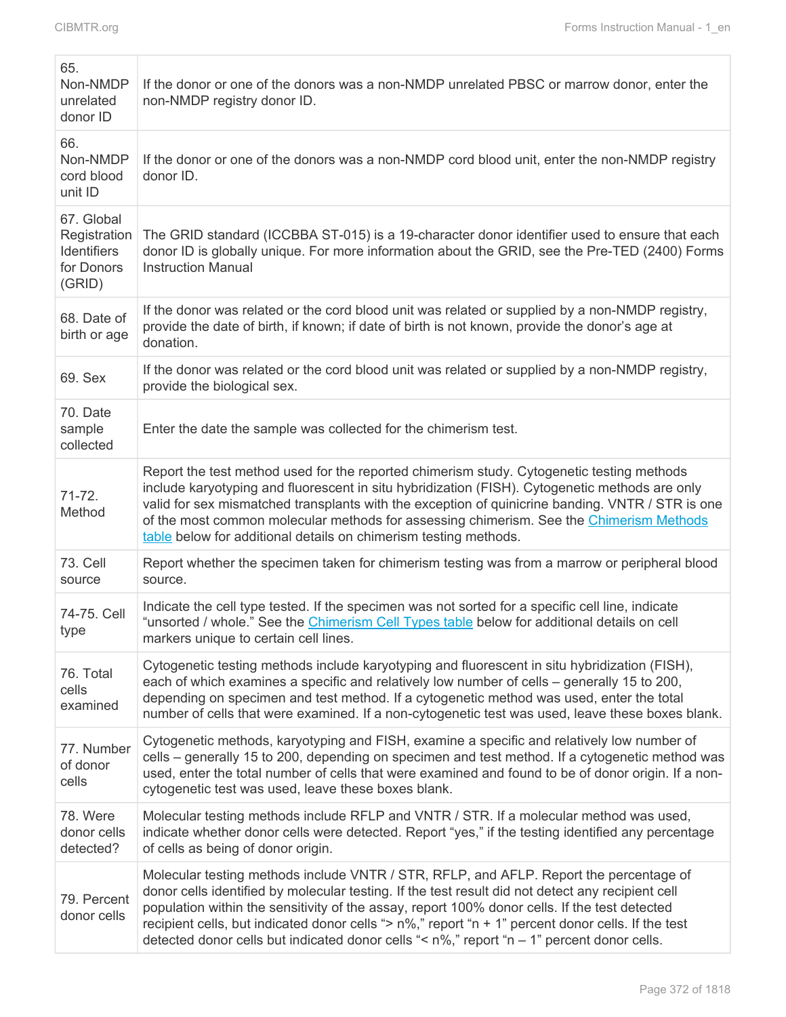| 65.<br>Non-NMDP<br>unrelated<br>donor ID                          | If the donor or one of the donors was a non-NMDP unrelated PBSC or marrow donor, enter the<br>non-NMDP registry donor ID.                                                                                                                                                                                                                                                                                                                                                                                        |
|-------------------------------------------------------------------|------------------------------------------------------------------------------------------------------------------------------------------------------------------------------------------------------------------------------------------------------------------------------------------------------------------------------------------------------------------------------------------------------------------------------------------------------------------------------------------------------------------|
| 66.<br>Non-NMDP<br>cord blood<br>unit ID                          | If the donor or one of the donors was a non-NMDP cord blood unit, enter the non-NMDP registry<br>donor ID.                                                                                                                                                                                                                                                                                                                                                                                                       |
| 67. Global<br>Registration<br>Identifiers<br>for Donors<br>(GRID) | The GRID standard (ICCBBA ST-015) is a 19-character donor identifier used to ensure that each<br>donor ID is globally unique. For more information about the GRID, see the Pre-TED (2400) Forms<br><b>Instruction Manual</b>                                                                                                                                                                                                                                                                                     |
| 68. Date of<br>birth or age                                       | If the donor was related or the cord blood unit was related or supplied by a non-NMDP registry,<br>provide the date of birth, if known; if date of birth is not known, provide the donor's age at<br>donation.                                                                                                                                                                                                                                                                                                   |
| 69. Sex                                                           | If the donor was related or the cord blood unit was related or supplied by a non-NMDP registry,<br>provide the biological sex.                                                                                                                                                                                                                                                                                                                                                                                   |
| 70. Date<br>sample<br>collected                                   | Enter the date the sample was collected for the chimerism test.                                                                                                                                                                                                                                                                                                                                                                                                                                                  |
| $71 - 72.$<br>Method                                              | Report the test method used for the reported chimerism study. Cytogenetic testing methods<br>include karyotyping and fluorescent in situ hybridization (FISH). Cytogenetic methods are only<br>valid for sex mismatched transplants with the exception of quinicrine banding. VNTR / STR is one<br>of the most common molecular methods for assessing chimerism. See the Chimerism Methods<br>table below for additional details on chimerism testing methods.                                                   |
| 73. Cell<br>source                                                | Report whether the specimen taken for chimerism testing was from a marrow or peripheral blood<br>source.                                                                                                                                                                                                                                                                                                                                                                                                         |
| 74-75. Cell<br>type                                               | Indicate the cell type tested. If the specimen was not sorted for a specific cell line, indicate<br>"unsorted / whole." See the Chimerism Cell Types table below for additional details on cell<br>markers unique to certain cell lines.                                                                                                                                                                                                                                                                         |
| 76. Total<br>cells<br>examined                                    | Cytogenetic testing methods include karyotyping and fluorescent in situ hybridization (FISH),<br>each of which examines a specific and relatively low number of cells – generally 15 to 200,<br>depending on specimen and test method. If a cytogenetic method was used, enter the total<br>number of cells that were examined. If a non-cytogenetic test was used, leave these boxes blank.                                                                                                                     |
| 77. Number<br>of donor<br>cells                                   | Cytogenetic methods, karyotyping and FISH, examine a specific and relatively low number of<br>cells – generally 15 to 200, depending on specimen and test method. If a cytogenetic method was<br>used, enter the total number of cells that were examined and found to be of donor origin. If a non-<br>cytogenetic test was used, leave these boxes blank.                                                                                                                                                      |
| 78. Were<br>donor cells<br>detected?                              | Molecular testing methods include RFLP and VNTR / STR. If a molecular method was used,<br>indicate whether donor cells were detected. Report "yes," if the testing identified any percentage<br>of cells as being of donor origin.                                                                                                                                                                                                                                                                               |
| 79. Percent<br>donor cells                                        | Molecular testing methods include VNTR / STR, RFLP, and AFLP. Report the percentage of<br>donor cells identified by molecular testing. If the test result did not detect any recipient cell<br>population within the sensitivity of the assay, report 100% donor cells. If the test detected<br>recipient cells, but indicated donor cells "> $n\%$ ," report " $n + 1$ " percent donor cells. If the test<br>detected donor cells but indicated donor cells "< $n\%$ ," report " $n - 1$ " percent donor cells. |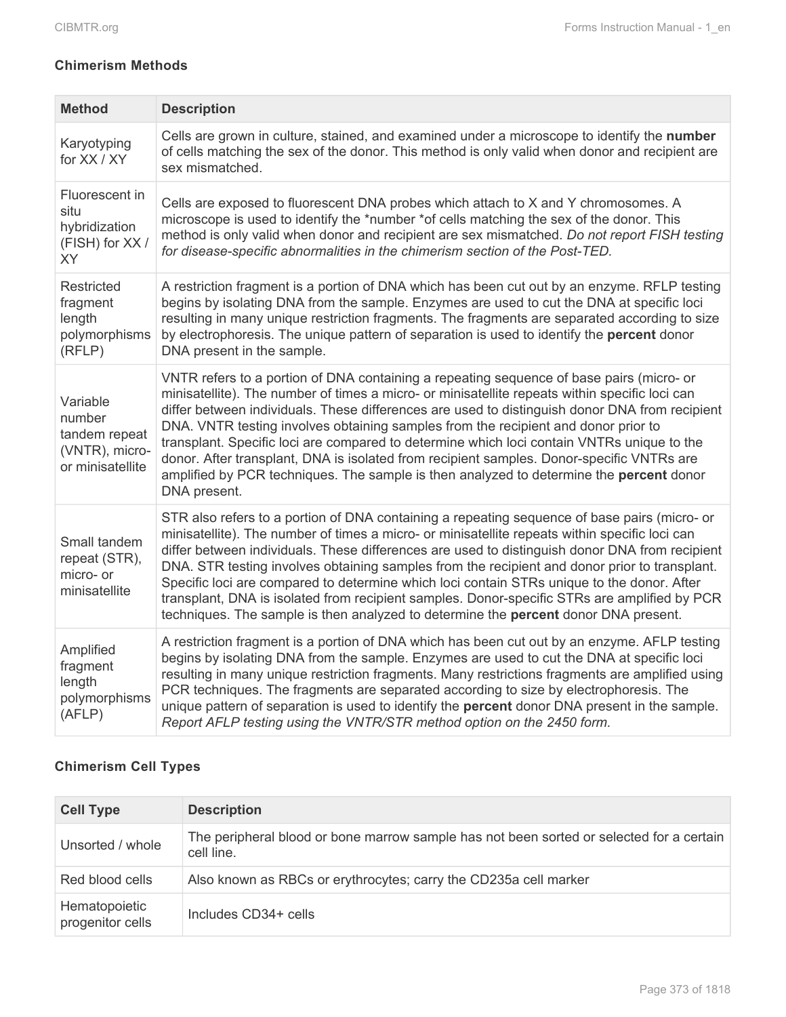### **Chimerism Methods**

| <b>Method</b>                                                             | <b>Description</b>                                                                                                                                                                                                                                                                                                                                                                                                                                                                                                                                                                                                                                                                            |
|---------------------------------------------------------------------------|-----------------------------------------------------------------------------------------------------------------------------------------------------------------------------------------------------------------------------------------------------------------------------------------------------------------------------------------------------------------------------------------------------------------------------------------------------------------------------------------------------------------------------------------------------------------------------------------------------------------------------------------------------------------------------------------------|
| Karyotyping<br>for XX / XY                                                | Cells are grown in culture, stained, and examined under a microscope to identify the number<br>of cells matching the sex of the donor. This method is only valid when donor and recipient are<br>sex mismatched.                                                                                                                                                                                                                                                                                                                                                                                                                                                                              |
| Fluorescent in<br>situ<br>hybridization<br>(FISH) for XX /<br><b>XY</b>   | Cells are exposed to fluorescent DNA probes which attach to X and Y chromosomes. A<br>microscope is used to identify the *number *of cells matching the sex of the donor. This<br>method is only valid when donor and recipient are sex mismatched. Do not report FISH testing<br>for disease-specific abnormalities in the chimerism section of the Post-TED.                                                                                                                                                                                                                                                                                                                                |
| Restricted<br>fragment<br>length<br>polymorphisms<br>(RFLP)               | A restriction fragment is a portion of DNA which has been cut out by an enzyme. RFLP testing<br>begins by isolating DNA from the sample. Enzymes are used to cut the DNA at specific loci<br>resulting in many unique restriction fragments. The fragments are separated according to size<br>by electrophoresis. The unique pattern of separation is used to identify the percent donor<br>DNA present in the sample.                                                                                                                                                                                                                                                                        |
| Variable<br>number<br>tandem repeat<br>(VNTR), micro-<br>or minisatellite | VNTR refers to a portion of DNA containing a repeating sequence of base pairs (micro- or<br>minisatellite). The number of times a micro- or minisatellite repeats within specific loci can<br>differ between individuals. These differences are used to distinguish donor DNA from recipient<br>DNA. VNTR testing involves obtaining samples from the recipient and donor prior to<br>transplant. Specific loci are compared to determine which loci contain VNTRs unique to the<br>donor. After transplant, DNA is isolated from recipient samples. Donor-specific VNTRs are<br>amplified by PCR techniques. The sample is then analyzed to determine the percent donor<br>DNA present.      |
| Small tandem<br>repeat (STR),<br>micro- or<br>minisatellite               | STR also refers to a portion of DNA containing a repeating sequence of base pairs (micro- or<br>minisatellite). The number of times a micro- or minisatellite repeats within specific loci can<br>differ between individuals. These differences are used to distinguish donor DNA from recipient<br>DNA. STR testing involves obtaining samples from the recipient and donor prior to transplant.<br>Specific loci are compared to determine which loci contain STRs unique to the donor. After<br>transplant, DNA is isolated from recipient samples. Donor-specific STRs are amplified by PCR<br>techniques. The sample is then analyzed to determine the <b>percent</b> donor DNA present. |
| Amplified<br>fragment<br>length<br>polymorphisms<br>(AFLP)                | A restriction fragment is a portion of DNA which has been cut out by an enzyme. AFLP testing<br>begins by isolating DNA from the sample. Enzymes are used to cut the DNA at specific loci<br>resulting in many unique restriction fragments. Many restrictions fragments are amplified using<br>PCR techniques. The fragments are separated according to size by electrophoresis. The<br>unique pattern of separation is used to identify the <b>percent</b> donor DNA present in the sample.<br>Report AFLP testing using the VNTR/STR method option on the 2450 form.                                                                                                                       |

## **Chimerism Cell Types**

| <b>Cell Type</b>                  | <b>Description</b>                                                                                     |
|-----------------------------------|--------------------------------------------------------------------------------------------------------|
| Unsorted / whole                  | The peripheral blood or bone marrow sample has not been sorted or selected for a certain<br>cell line. |
| Red blood cells                   | Also known as RBCs or erythrocytes; carry the CD235a cell marker                                       |
| Hematopoietic<br>progenitor cells | Includes CD34+ cells                                                                                   |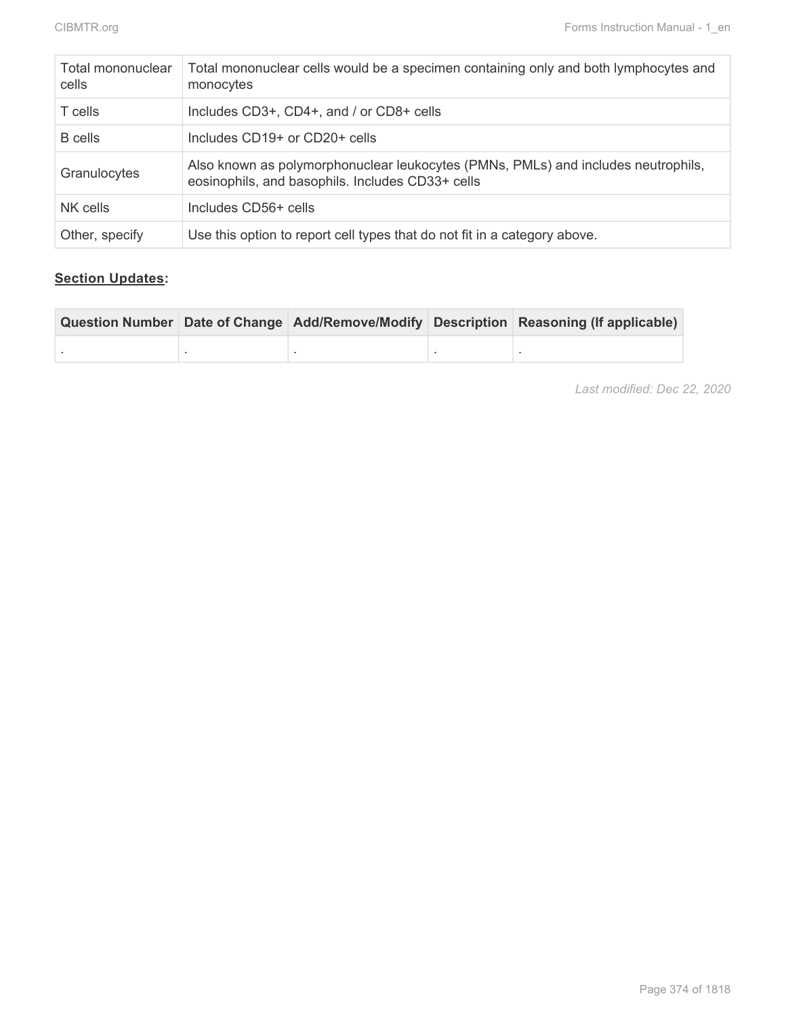| Total mononuclear<br>cells | Total mononuclear cells would be a specimen containing only and both lymphocytes and<br>monocytes                                     |
|----------------------------|---------------------------------------------------------------------------------------------------------------------------------------|
| T cells                    | Includes CD3+, CD4+, and / or CD8+ cells                                                                                              |
| B cells                    | Includes CD19+ or CD20+ cells                                                                                                         |
| Granulocytes               | Also known as polymorphonuclear leukocytes (PMNs, PMLs) and includes neutrophils,<br>eosinophils, and basophils. Includes CD33+ cells |
| NK cells                   | Includes CD56+ cells                                                                                                                  |
| Other, specify             | Use this option to report cell types that do not fit in a category above.                                                             |

### **Section Updates:**

|  |  | Question Number Date of Change Add/Remove/Modify Description Reasoning (If applicable) |
|--|--|----------------------------------------------------------------------------------------|
|  |  |                                                                                        |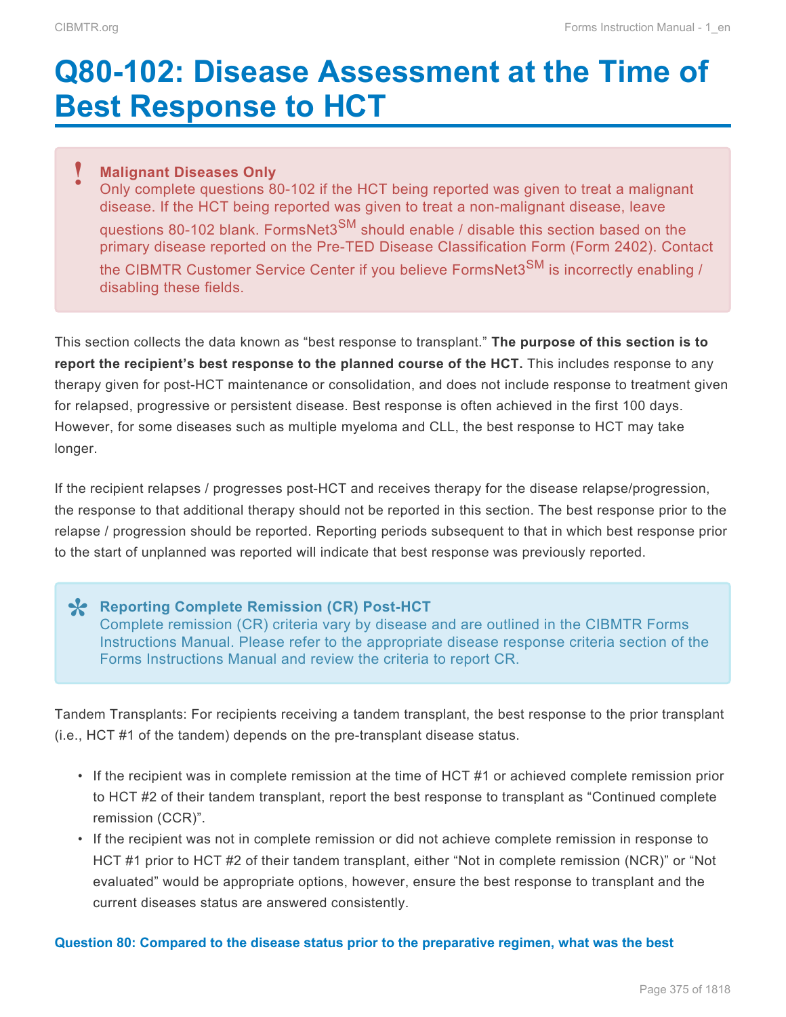# **Q80-102: Disease Assessment at the Time of Best Response to HCT**

#### **Malignant Diseases Only !**

Only complete questions 80-102 if the HCT being reported was given to treat a malignant disease. If the HCT being reported was given to treat a non-malignant disease, leave questions 80-102 blank. FormsNet3 $^{SM}$  should enable / disable this section based on the primary disease reported on the Pre-TED Disease Classification Form (Form 2402). Contact the CIBMTR Customer Service Center if you believe FormsNet3<sup>SM</sup> is incorrectly enabling / disabling these fields.

This section collects the data known as "best response to transplant." **The purpose of this section is to report the recipient's best response to the planned course of the HCT.** This includes response to any therapy given for post-HCT maintenance or consolidation, and does not include response to treatment given for relapsed, progressive or persistent disease. Best response is often achieved in the first 100 days. However, for some diseases such as multiple myeloma and CLL, the best response to HCT may take longer.

If the recipient relapses / progresses post-HCT and receives therapy for the disease relapse/progression, the response to that additional therapy should not be reported in this section. The best response prior to the relapse / progression should be reported. Reporting periods subsequent to that in which best response prior to the start of unplanned was reported will indicate that best response was previously reported.

### **X** Reporting Complete Remission (CR) Post-HCT<br>
Complete remission (CR) criteria vary by disease Complete remission (CR) criteria vary by disease and are outlined in the CIBMTR Forms Instructions Manual. Please refer to the appropriate disease response criteria section of the Forms Instructions Manual and review the criteria to report CR.

Tandem Transplants: For recipients receiving a tandem transplant, the best response to the prior transplant (i.e., HCT #1 of the tandem) depends on the pre-transplant disease status.

- If the recipient was in complete remission at the time of HCT #1 or achieved complete remission prior to HCT #2 of their tandem transplant, report the best response to transplant as "Continued complete remission (CCR)".
- If the recipient was not in complete remission or did not achieve complete remission in response to HCT #1 prior to HCT #2 of their tandem transplant, either "Not in complete remission (NCR)" or "Not evaluated" would be appropriate options, however, ensure the best response to transplant and the current diseases status are answered consistently.

#### **Question 80: Compared to the disease status prior to the preparative regimen, what was the best**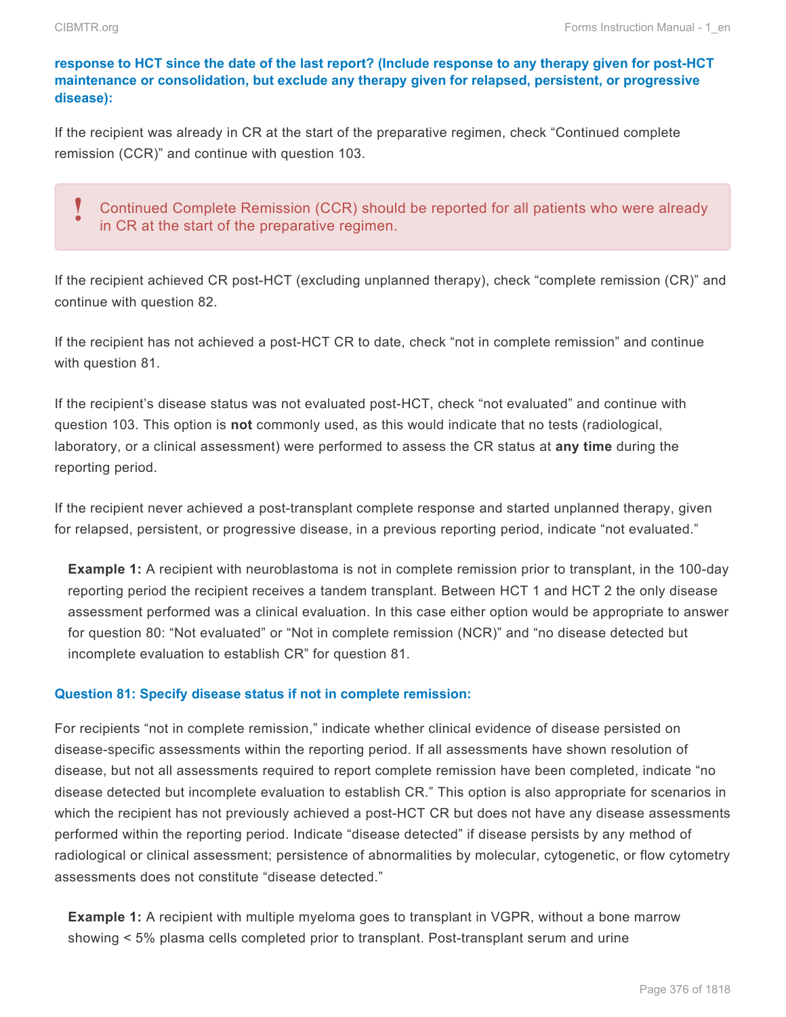#### **response to HCT since the date of the last report? (Include response to any therapy given for post-HCT maintenance or consolidation, but exclude any therapy given for relapsed, persistent, or progressive disease):**

If the recipient was already in CR at the start of the preparative regimen, check "Continued complete remission (CCR)" and continue with question 103.

### Continued Complete Remission (CCR) should be reported for all patients who were already in CR at the start of the preparative regimen. **!**

If the recipient achieved CR post-HCT (excluding unplanned therapy), check "complete remission (CR)" and continue with question 82.

If the recipient has not achieved a post-HCT CR to date, check "not in complete remission" and continue with question 81.

If the recipient's disease status was not evaluated post-HCT, check "not evaluated" and continue with question 103. This option is **not** commonly used, as this would indicate that no tests (radiological, laboratory, or a clinical assessment) were performed to assess the CR status at **any time** during the reporting period.

If the recipient never achieved a post-transplant complete response and started unplanned therapy, given for relapsed, persistent, or progressive disease, in a previous reporting period, indicate "not evaluated."

**Example 1:** A recipient with neuroblastoma is not in complete remission prior to transplant, in the 100-day reporting period the recipient receives a tandem transplant. Between HCT 1 and HCT 2 the only disease assessment performed was a clinical evaluation. In this case either option would be appropriate to answer for question 80: "Not evaluated" or "Not in complete remission (NCR)" and "no disease detected but incomplete evaluation to establish CR" for question 81.

#### **Question 81: Specify disease status if not in complete remission:**

For recipients "not in complete remission," indicate whether clinical evidence of disease persisted on disease-specific assessments within the reporting period. If all assessments have shown resolution of disease, but not all assessments required to report complete remission have been completed, indicate "no disease detected but incomplete evaluation to establish CR." This option is also appropriate for scenarios in which the recipient has not previously achieved a post-HCT CR but does not have any disease assessments performed within the reporting period. Indicate "disease detected" if disease persists by any method of radiological or clinical assessment; persistence of abnormalities by molecular, cytogenetic, or flow cytometry assessments does not constitute "disease detected."

**Example 1:** A recipient with multiple myeloma goes to transplant in VGPR, without a bone marrow showing < 5% plasma cells completed prior to transplant. Post-transplant serum and urine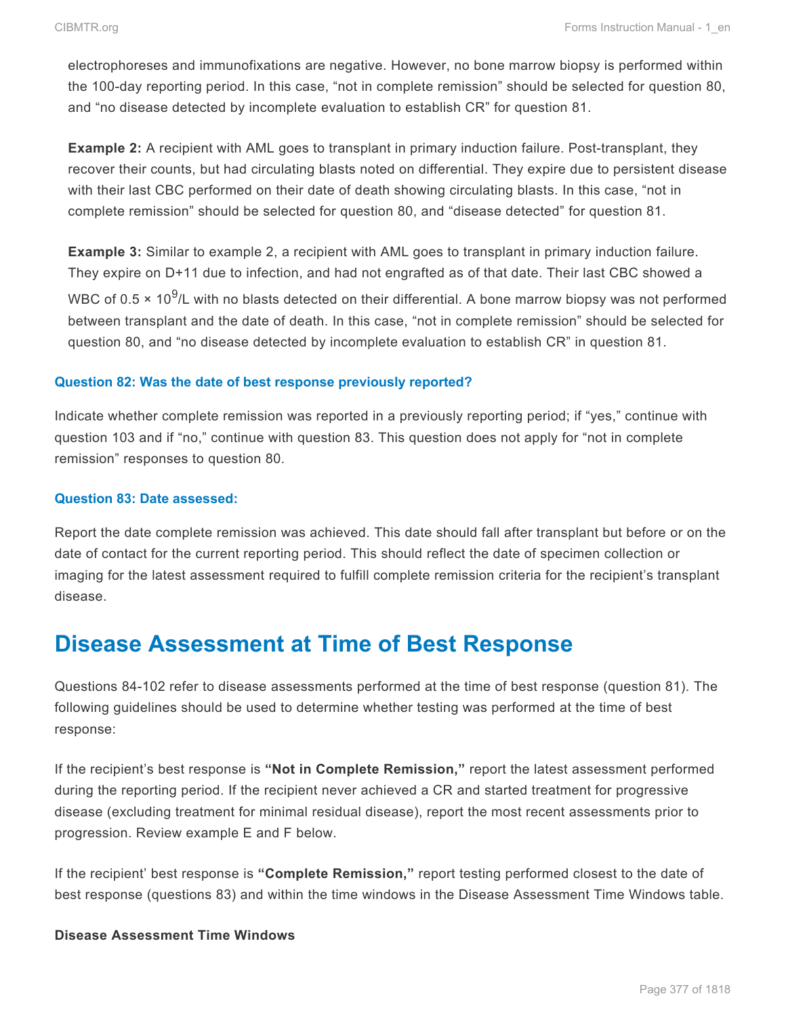electrophoreses and immunofixations are negative. However, no bone marrow biopsy is performed within the 100-day reporting period. In this case, "not in complete remission" should be selected for question 80, and "no disease detected by incomplete evaluation to establish CR" for question 81.

**Example 2:** A recipient with AML goes to transplant in primary induction failure. Post-transplant, they recover their counts, but had circulating blasts noted on differential. They expire due to persistent disease with their last CBC performed on their date of death showing circulating blasts. In this case, "not in complete remission" should be selected for question 80, and "disease detected" for question 81.

**Example 3:** Similar to example 2, a recipient with AML goes to transplant in primary induction failure. They expire on D+11 due to infection, and had not engrafted as of that date. Their last CBC showed a WBC of 0.5  $\times$  10<sup>9</sup>/L with no blasts detected on their differential. A bone marrow biopsy was not performed between transplant and the date of death. In this case, "not in complete remission" should be selected for question 80, and "no disease detected by incomplete evaluation to establish CR" in question 81.

#### **Question 82: Was the date of best response previously reported?**

Indicate whether complete remission was reported in a previously reporting period; if "yes," continue with question 103 and if "no," continue with question 83. This question does not apply for "not in complete remission" responses to question 80.

#### **Question 83: Date assessed:**

Report the date complete remission was achieved. This date should fall after transplant but before or on the date of contact for the current reporting period. This should reflect the date of specimen collection or imaging for the latest assessment required to fulfill complete remission criteria for the recipient's transplant disease.

# **Disease Assessment at Time of Best Response**

Questions 84-102 refer to disease assessments performed at the time of best response (question 81). The following guidelines should be used to determine whether testing was performed at the time of best response:

If the recipient's best response is **"Not in Complete Remission,"** report the latest assessment performed during the reporting period. If the recipient never achieved a CR and started treatment for progressive disease (excluding treatment for minimal residual disease), report the most recent assessments prior to progression. Review example E and F below.

If the recipient' best response is **"Complete Remission,"** report testing performed closest to the date of best response (questions 83) and within the time windows in the Disease Assessment Time Windows table.

#### **Disease Assessment Time Windows**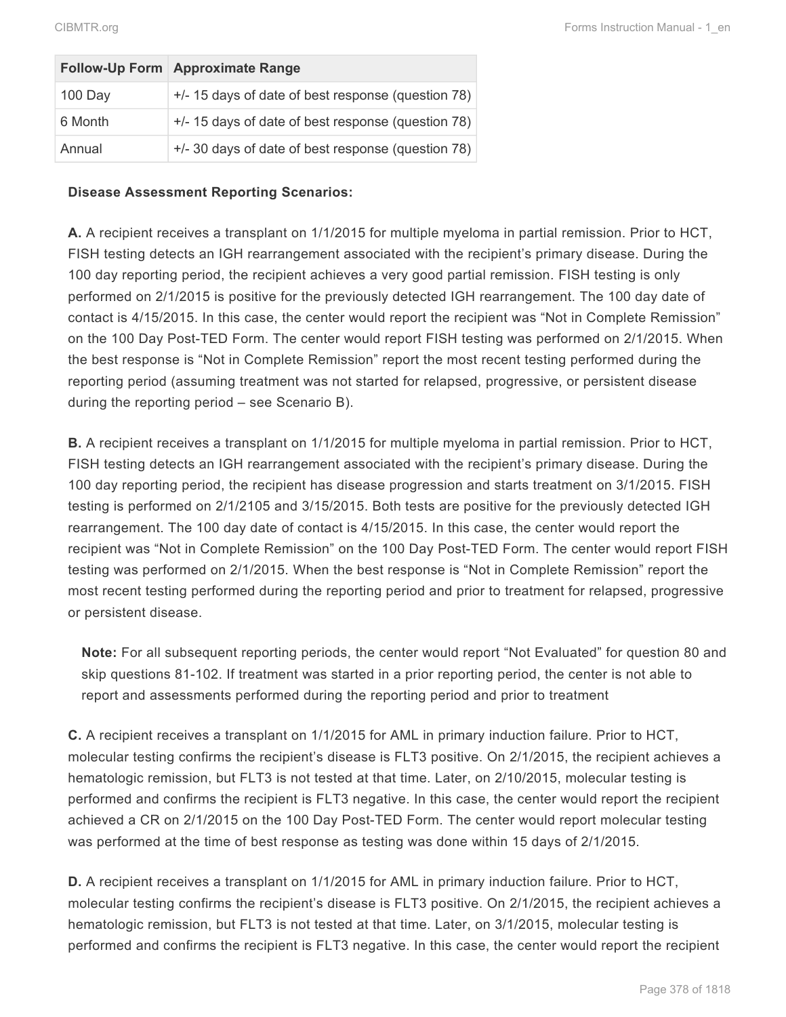|         | Follow-Up Form Approximate Range                   |
|---------|----------------------------------------------------|
| 100 Day | +/- 15 days of date of best response (question 78) |
| 6 Month | +/- 15 days of date of best response (question 78) |
| Annual  | +/- 30 days of date of best response (question 78) |

#### **Disease Assessment Reporting Scenarios:**

**A.** A recipient receives a transplant on 1/1/2015 for multiple myeloma in partial remission. Prior to HCT, FISH testing detects an IGH rearrangement associated with the recipient's primary disease. During the 100 day reporting period, the recipient achieves a very good partial remission. FISH testing is only performed on 2/1/2015 is positive for the previously detected IGH rearrangement. The 100 day date of contact is 4/15/2015. In this case, the center would report the recipient was "Not in Complete Remission" on the 100 Day Post-TED Form. The center would report FISH testing was performed on 2/1/2015. When the best response is "Not in Complete Remission" report the most recent testing performed during the reporting period (assuming treatment was not started for relapsed, progressive, or persistent disease during the reporting period – see Scenario B).

**B.** A recipient receives a transplant on 1/1/2015 for multiple myeloma in partial remission. Prior to HCT, FISH testing detects an IGH rearrangement associated with the recipient's primary disease. During the 100 day reporting period, the recipient has disease progression and starts treatment on 3/1/2015. FISH testing is performed on 2/1/2105 and 3/15/2015. Both tests are positive for the previously detected IGH rearrangement. The 100 day date of contact is 4/15/2015. In this case, the center would report the recipient was "Not in Complete Remission" on the 100 Day Post-TED Form. The center would report FISH testing was performed on 2/1/2015. When the best response is "Not in Complete Remission" report the most recent testing performed during the reporting period and prior to treatment for relapsed, progressive or persistent disease.

**Note:** For all subsequent reporting periods, the center would report "Not Evaluated" for question 80 and skip questions 81-102. If treatment was started in a prior reporting period, the center is not able to report and assessments performed during the reporting period and prior to treatment

**C.** A recipient receives a transplant on 1/1/2015 for AML in primary induction failure. Prior to HCT, molecular testing confirms the recipient's disease is FLT3 positive. On 2/1/2015, the recipient achieves a hematologic remission, but FLT3 is not tested at that time. Later, on 2/10/2015, molecular testing is performed and confirms the recipient is FLT3 negative. In this case, the center would report the recipient achieved a CR on 2/1/2015 on the 100 Day Post-TED Form. The center would report molecular testing was performed at the time of best response as testing was done within 15 days of 2/1/2015.

**D.** A recipient receives a transplant on 1/1/2015 for AML in primary induction failure. Prior to HCT, molecular testing confirms the recipient's disease is FLT3 positive. On 2/1/2015, the recipient achieves a hematologic remission, but FLT3 is not tested at that time. Later, on 3/1/2015, molecular testing is performed and confirms the recipient is FLT3 negative. In this case, the center would report the recipient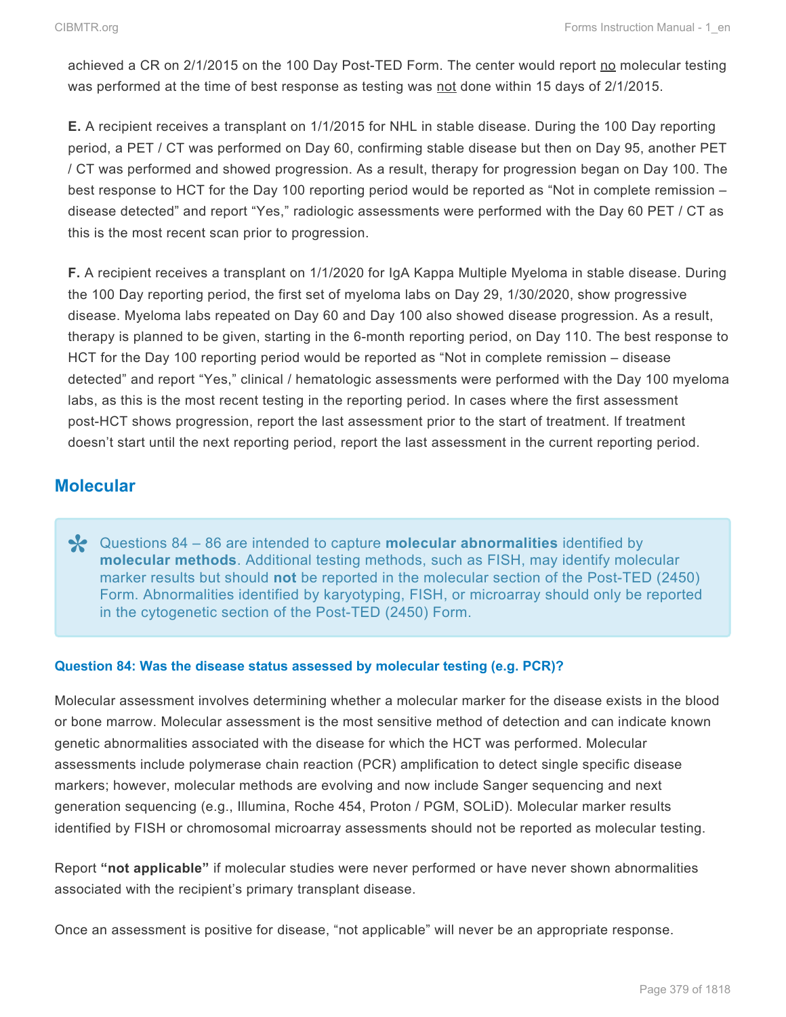achieved a CR on 2/1/2015 on the 100 Day Post-TED Form. The center would report no molecular testing was performed at the time of best response as testing was not done within 15 days of 2/1/2015.

**E.** A recipient receives a transplant on 1/1/2015 for NHL in stable disease. During the 100 Day reporting period, a PET / CT was performed on Day 60, confirming stable disease but then on Day 95, another PET / CT was performed and showed progression. As a result, therapy for progression began on Day 100. The best response to HCT for the Day 100 reporting period would be reported as "Not in complete remission – disease detected" and report "Yes," radiologic assessments were performed with the Day 60 PET / CT as this is the most recent scan prior to progression.

**F.** A recipient receives a transplant on 1/1/2020 for IgA Kappa Multiple Myeloma in stable disease. During the 100 Day reporting period, the first set of myeloma labs on Day 29, 1/30/2020, show progressive disease. Myeloma labs repeated on Day 60 and Day 100 also showed disease progression. As a result, therapy is planned to be given, starting in the 6-month reporting period, on Day 110. The best response to HCT for the Day 100 reporting period would be reported as "Not in complete remission – disease detected" and report "Yes," clinical / hematologic assessments were performed with the Day 100 myeloma labs, as this is the most recent testing in the reporting period. In cases where the first assessment post-HCT shows progression, report the last assessment prior to the start of treatment. If treatment doesn't start until the next reporting period, report the last assessment in the current reporting period.

## **Molecular**

Questions 84 – 86 are intended to capture **molecular abnormalities** identified by **\* molecular methods**. Additional testing methods, such as FISH, may identify molecular marker results but should **not** be reported in the molecular section of the Post-TED (2450) Form. Abnormalities identified by karyotyping, FISH, or microarray should only be reported in the cytogenetic section of the Post-TED (2450) Form.

#### **Question 84: Was the disease status assessed by molecular testing (e.g. PCR)?**

Molecular assessment involves determining whether a molecular marker for the disease exists in the blood or bone marrow. Molecular assessment is the most sensitive method of detection and can indicate known genetic abnormalities associated with the disease for which the HCT was performed. Molecular assessments include polymerase chain reaction (PCR) amplification to detect single specific disease markers; however, molecular methods are evolving and now include Sanger sequencing and next generation sequencing (e.g., Illumina, Roche 454, Proton / PGM, SOLiD). Molecular marker results identified by FISH or chromosomal microarray assessments should not be reported as molecular testing.

Report **"not applicable"** if molecular studies were never performed or have never shown abnormalities associated with the recipient's primary transplant disease.

Once an assessment is positive for disease, "not applicable" will never be an appropriate response.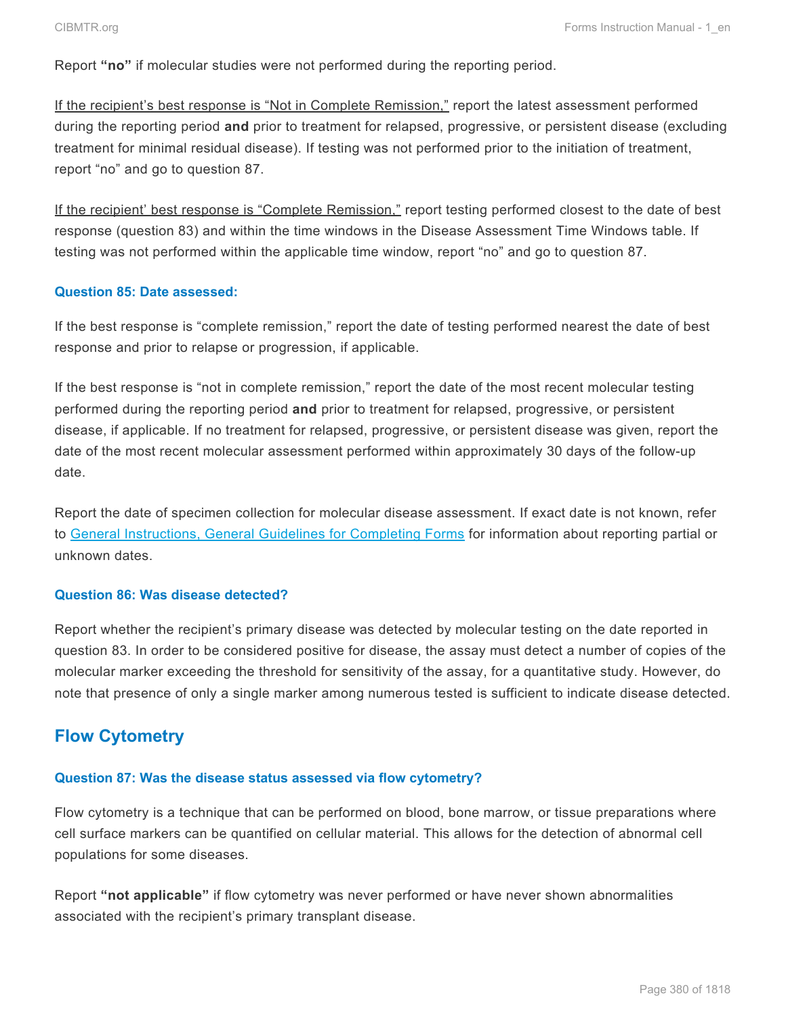Report **"no"** if molecular studies were not performed during the reporting period.

If the recipient's best response is "Not in Complete Remission," report the latest assessment performed during the reporting period **and** prior to treatment for relapsed, progressive, or persistent disease (excluding treatment for minimal residual disease). If testing was not performed prior to the initiation of treatment, report "no" and go to question 87.

If the recipient' best response is "Complete Remission," report testing performed closest to the date of best response (question 83) and within the time windows in the Disease Assessment Time Windows table. If testing was not performed within the applicable time window, report "no" and go to question 87.

#### **Question 85: Date assessed:**

If the best response is "complete remission," report the date of testing performed nearest the date of best response and prior to relapse or progression, if applicable.

If the best response is "not in complete remission," report the date of the most recent molecular testing performed during the reporting period **and** prior to treatment for relapsed, progressive, or persistent disease, if applicable. If no treatment for relapsed, progressive, or persistent disease was given, report the date of the most recent molecular assessment performed within approximately 30 days of the follow-up date.

Report the date of specimen collection for molecular disease assessment. If exact date is not known, refer to General Instructions, General Guidelines for Completing Forms for information about reporting partial or unknown dates.

#### **Question 86: Was disease detected?**

Report whether the recipient's primary disease was detected by molecular testing on the date reported in question 83. In order to be considered positive for disease, the assay must detect a number of copies of the molecular marker exceeding the threshold for sensitivity of the assay, for a quantitative study. However, do note that presence of only a single marker among numerous tested is sufficient to indicate disease detected.

## **Flow Cytometry**

#### **Question 87: Was the disease status assessed via flow cytometry?**

Flow cytometry is a technique that can be performed on blood, bone marrow, or tissue preparations where cell surface markers can be quantified on cellular material. This allows for the detection of abnormal cell populations for some diseases.

Report **"not applicable"** if flow cytometry was never performed or have never shown abnormalities associated with the recipient's primary transplant disease.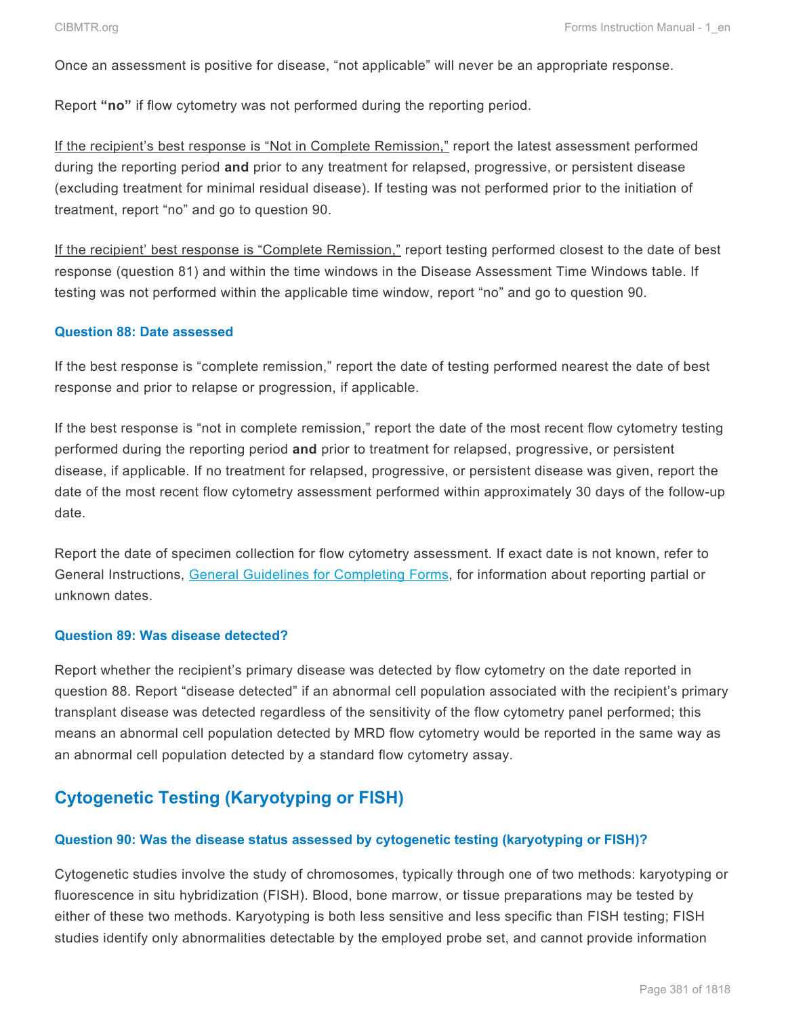Once an assessment is positive for disease, "not applicable" will never be an appropriate response.

Report **"no"** if flow cytometry was not performed during the reporting period.

If the recipient's best response is "Not in Complete Remission," report the latest assessment performed during the reporting period **and** prior to any treatment for relapsed, progressive, or persistent disease (excluding treatment for minimal residual disease). If testing was not performed prior to the initiation of treatment, report "no" and go to question 90.

If the recipient' best response is "Complete Remission," report testing performed closest to the date of best response (question 81) and within the time windows in the Disease Assessment Time Windows table. If testing was not performed within the applicable time window, report "no" and go to question 90.

#### **Question 88: Date assessed**

If the best response is "complete remission," report the date of testing performed nearest the date of best response and prior to relapse or progression, if applicable.

If the best response is "not in complete remission," report the date of the most recent flow cytometry testing performed during the reporting period **and** prior to treatment for relapsed, progressive, or persistent disease, if applicable. If no treatment for relapsed, progressive, or persistent disease was given, report the date of the most recent flow cytometry assessment performed within approximately 30 days of the follow-up date.

Report the date of specimen collection for flow cytometry assessment. If exact date is not known, refer to General Instructions, General Guidelines for Completing Forms, for information about reporting partial or unknown dates.

#### **Question 89: Was disease detected?**

Report whether the recipient's primary disease was detected by flow cytometry on the date reported in question 88. Report "disease detected" if an abnormal cell population associated with the recipient's primary transplant disease was detected regardless of the sensitivity of the flow cytometry panel performed; this means an abnormal cell population detected by MRD flow cytometry would be reported in the same way as an abnormal cell population detected by a standard flow cytometry assay.

# **Cytogenetic Testing (Karyotyping or FISH)**

#### **Question 90: Was the disease status assessed by cytogenetic testing (karyotyping or FISH)?**

Cytogenetic studies involve the study of chromosomes, typically through one of two methods: karyotyping or fluorescence in situ hybridization (FISH). Blood, bone marrow, or tissue preparations may be tested by either of these two methods. Karyotyping is both less sensitive and less specific than FISH testing; FISH studies identify only abnormalities detectable by the employed probe set, and cannot provide information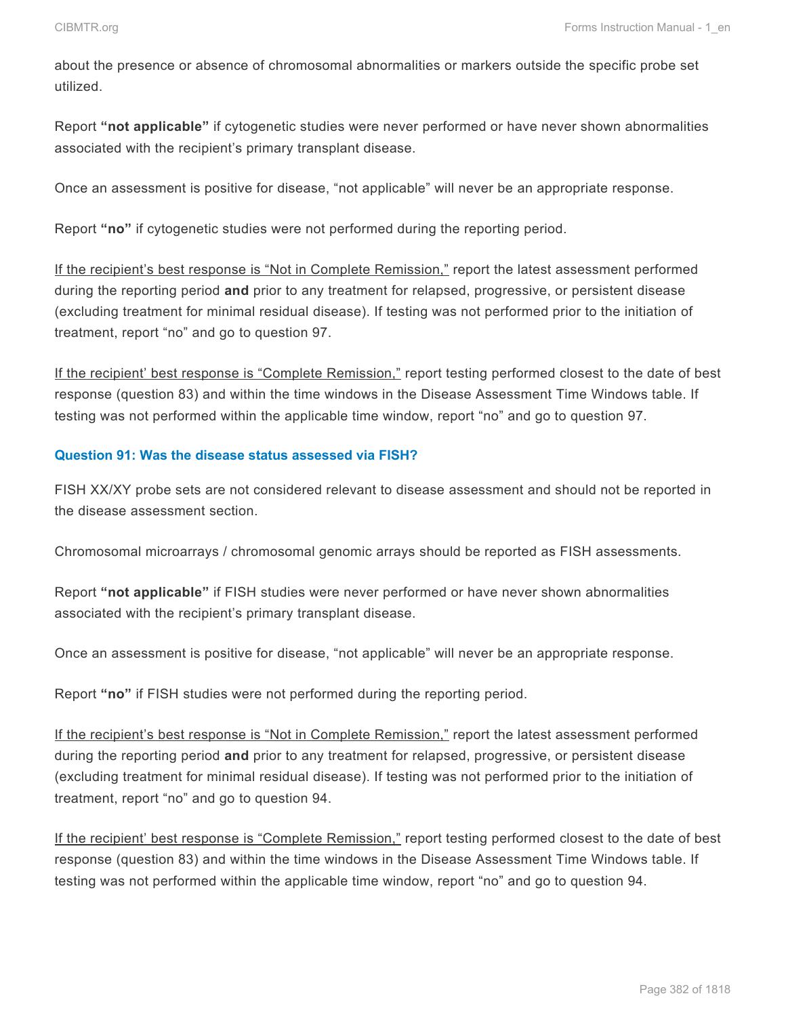about the presence or absence of chromosomal abnormalities or markers outside the specific probe set utilized.

Report **"not applicable"** if cytogenetic studies were never performed or have never shown abnormalities associated with the recipient's primary transplant disease.

Once an assessment is positive for disease, "not applicable" will never be an appropriate response.

Report **"no"** if cytogenetic studies were not performed during the reporting period.

If the recipient's best response is "Not in Complete Remission," report the latest assessment performed during the reporting period **and** prior to any treatment for relapsed, progressive, or persistent disease (excluding treatment for minimal residual disease). If testing was not performed prior to the initiation of treatment, report "no" and go to question 97.

If the recipient' best response is "Complete Remission," report testing performed closest to the date of best response (question 83) and within the time windows in the Disease Assessment Time Windows table. If testing was not performed within the applicable time window, report "no" and go to question 97.

#### **Question 91: Was the disease status assessed via FISH?**

FISH XX/XY probe sets are not considered relevant to disease assessment and should not be reported in the disease assessment section.

Chromosomal microarrays / chromosomal genomic arrays should be reported as FISH assessments.

Report **"not applicable"** if FISH studies were never performed or have never shown abnormalities associated with the recipient's primary transplant disease.

Once an assessment is positive for disease, "not applicable" will never be an appropriate response.

Report **"no"** if FISH studies were not performed during the reporting period.

If the recipient's best response is "Not in Complete Remission," report the latest assessment performed during the reporting period **and** prior to any treatment for relapsed, progressive, or persistent disease (excluding treatment for minimal residual disease). If testing was not performed prior to the initiation of treatment, report "no" and go to question 94.

If the recipient' best response is "Complete Remission," report testing performed closest to the date of best response (question 83) and within the time windows in the Disease Assessment Time Windows table. If testing was not performed within the applicable time window, report "no" and go to question 94.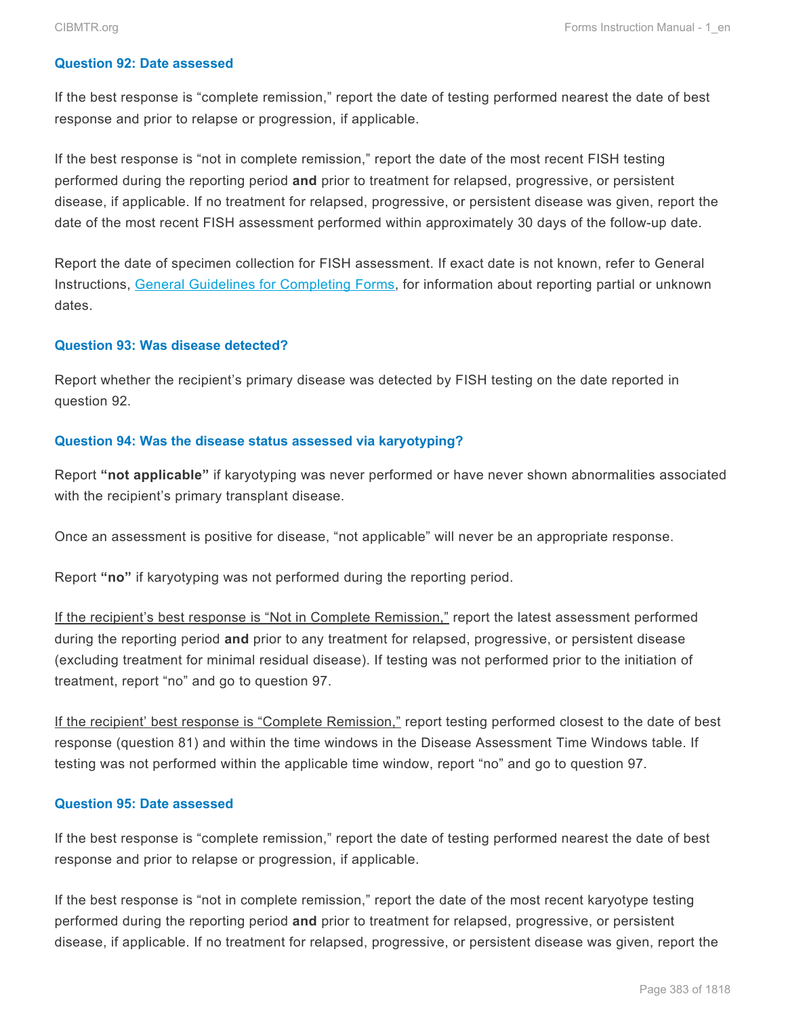#### **Question 92: Date assessed**

If the best response is "complete remission," report the date of testing performed nearest the date of best response and prior to relapse or progression, if applicable.

If the best response is "not in complete remission," report the date of the most recent FISH testing performed during the reporting period **and** prior to treatment for relapsed, progressive, or persistent disease, if applicable. If no treatment for relapsed, progressive, or persistent disease was given, report the date of the most recent FISH assessment performed within approximately 30 days of the follow-up date.

Report the date of specimen collection for FISH assessment. If exact date is not known, refer to General Instructions, General Guidelines for Completing Forms, for information about reporting partial or unknown dates.

#### **Question 93: Was disease detected?**

Report whether the recipient's primary disease was detected by FISH testing on the date reported in question 92.

#### **Question 94: Was the disease status assessed via karyotyping?**

Report **"not applicable"** if karyotyping was never performed or have never shown abnormalities associated with the recipient's primary transplant disease.

Once an assessment is positive for disease, "not applicable" will never be an appropriate response.

Report **"no"** if karyotyping was not performed during the reporting period.

If the recipient's best response is "Not in Complete Remission," report the latest assessment performed during the reporting period **and** prior to any treatment for relapsed, progressive, or persistent disease (excluding treatment for minimal residual disease). If testing was not performed prior to the initiation of treatment, report "no" and go to question 97.

If the recipient' best response is "Complete Remission," report testing performed closest to the date of best response (question 81) and within the time windows in the Disease Assessment Time Windows table. If testing was not performed within the applicable time window, report "no" and go to question 97.

#### **Question 95: Date assessed**

If the best response is "complete remission," report the date of testing performed nearest the date of best response and prior to relapse or progression, if applicable.

If the best response is "not in complete remission," report the date of the most recent karyotype testing performed during the reporting period **and** prior to treatment for relapsed, progressive, or persistent disease, if applicable. If no treatment for relapsed, progressive, or persistent disease was given, report the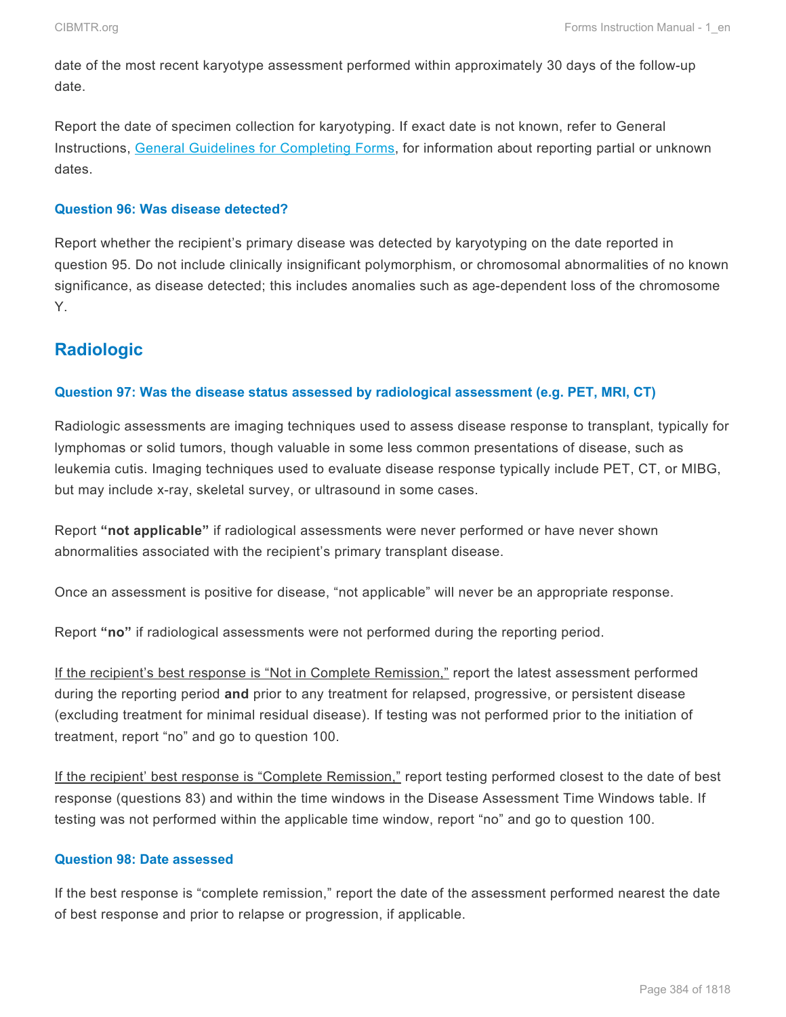date of the most recent karyotype assessment performed within approximately 30 days of the follow-up date.

Report the date of specimen collection for karyotyping. If exact date is not known, refer to General Instructions, General Guidelines for Completing Forms, for information about reporting partial or unknown dates.

#### **Question 96: Was disease detected?**

Report whether the recipient's primary disease was detected by karyotyping on the date reported in question 95. Do not include clinically insignificant polymorphism, or chromosomal abnormalities of no known significance, as disease detected; this includes anomalies such as age-dependent loss of the chromosome Y.

### **Radiologic**

#### **Question 97: Was the disease status assessed by radiological assessment (e.g. PET, MRI, CT)**

Radiologic assessments are imaging techniques used to assess disease response to transplant, typically for lymphomas or solid tumors, though valuable in some less common presentations of disease, such as leukemia cutis. Imaging techniques used to evaluate disease response typically include PET, CT, or MIBG, but may include x-ray, skeletal survey, or ultrasound in some cases.

Report **"not applicable"** if radiological assessments were never performed or have never shown abnormalities associated with the recipient's primary transplant disease.

Once an assessment is positive for disease, "not applicable" will never be an appropriate response.

Report **"no"** if radiological assessments were not performed during the reporting period.

If the recipient's best response is "Not in Complete Remission," report the latest assessment performed during the reporting period **and** prior to any treatment for relapsed, progressive, or persistent disease (excluding treatment for minimal residual disease). If testing was not performed prior to the initiation of treatment, report "no" and go to question 100.

If the recipient' best response is "Complete Remission," report testing performed closest to the date of best response (questions 83) and within the time windows in the Disease Assessment Time Windows table. If testing was not performed within the applicable time window, report "no" and go to question 100.

#### **Question 98: Date assessed**

If the best response is "complete remission," report the date of the assessment performed nearest the date of best response and prior to relapse or progression, if applicable.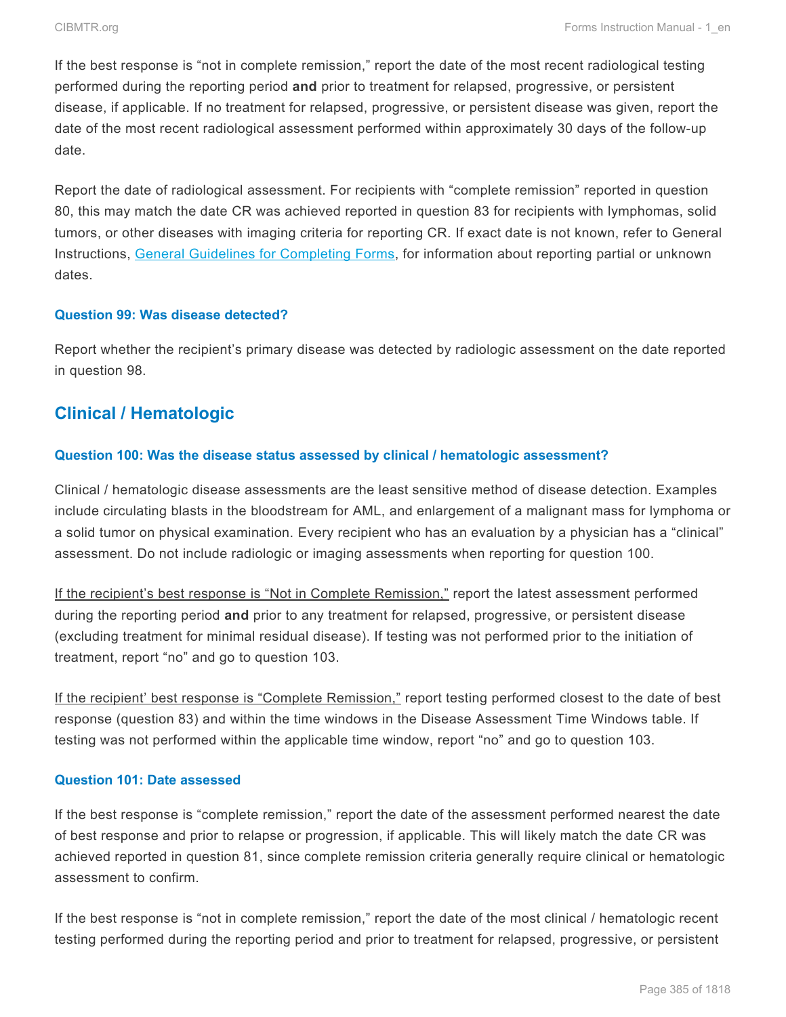If the best response is "not in complete remission," report the date of the most recent radiological testing performed during the reporting period **and** prior to treatment for relapsed, progressive, or persistent disease, if applicable. If no treatment for relapsed, progressive, or persistent disease was given, report the date of the most recent radiological assessment performed within approximately 30 days of the follow-up date.

Report the date of radiological assessment. For recipients with "complete remission" reported in question 80, this may match the date CR was achieved reported in question 83 for recipients with lymphomas, solid tumors, or other diseases with imaging criteria for reporting CR. If exact date is not known, refer to General Instructions, General Guidelines for Completing Forms, for information about reporting partial or unknown dates.

#### **Question 99: Was disease detected?**

Report whether the recipient's primary disease was detected by radiologic assessment on the date reported in question 98.

## **Clinical / Hematologic**

#### **Question 100: Was the disease status assessed by clinical / hematologic assessment?**

Clinical / hematologic disease assessments are the least sensitive method of disease detection. Examples include circulating blasts in the bloodstream for AML, and enlargement of a malignant mass for lymphoma or a solid tumor on physical examination. Every recipient who has an evaluation by a physician has a "clinical" assessment. Do not include radiologic or imaging assessments when reporting for question 100.

If the recipient's best response is "Not in Complete Remission," report the latest assessment performed during the reporting period **and** prior to any treatment for relapsed, progressive, or persistent disease (excluding treatment for minimal residual disease). If testing was not performed prior to the initiation of treatment, report "no" and go to question 103.

If the recipient' best response is "Complete Remission," report testing performed closest to the date of best response (question 83) and within the time windows in the Disease Assessment Time Windows table. If testing was not performed within the applicable time window, report "no" and go to question 103.

#### **Question 101: Date assessed**

If the best response is "complete remission," report the date of the assessment performed nearest the date of best response and prior to relapse or progression, if applicable. This will likely match the date CR was achieved reported in question 81, since complete remission criteria generally require clinical or hematologic assessment to confirm.

If the best response is "not in complete remission," report the date of the most clinical / hematologic recent testing performed during the reporting period and prior to treatment for relapsed, progressive, or persistent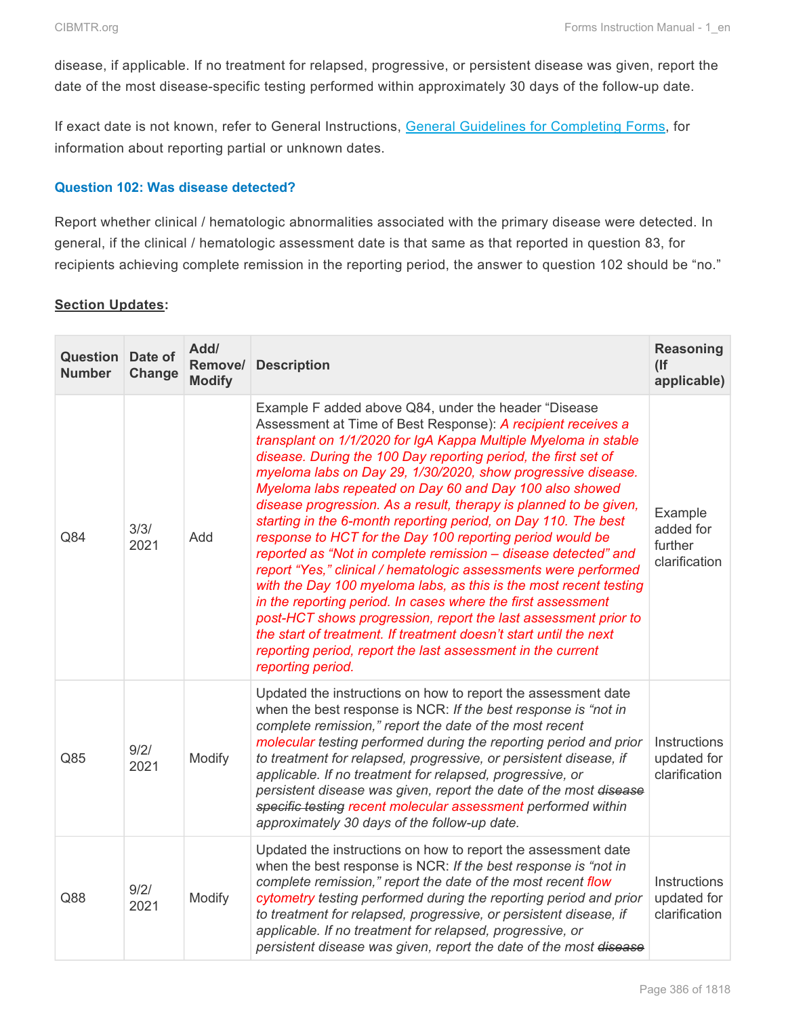disease, if applicable. If no treatment for relapsed, progressive, or persistent disease was given, report the date of the most disease-specific testing performed within approximately 30 days of the follow-up date.

If exact date is not known, refer to General Instructions, General Guidelines for Completing Forms, for information about reporting partial or unknown dates.

#### **Question 102: Was disease detected?**

Report whether clinical / hematologic abnormalities associated with the primary disease were detected. In general, if the clinical / hematologic assessment date is that same as that reported in question 83, for recipients achieving complete remission in the reporting period, the answer to question 102 should be "no."

#### **Section Updates:**

| <b>Question</b> Date of<br><b>Number</b> | Change       | Add/<br>Remove/<br><b>Modify</b> | <b>Description</b>                                                                                                                                                                                                                                                                                                                                                                                                                                                                                                                                                                                                                                                                                                                                                                                                                                                                                                                                                                                                                                                                             | Reasoning<br>(<br>applicable)                    |
|------------------------------------------|--------------|----------------------------------|------------------------------------------------------------------------------------------------------------------------------------------------------------------------------------------------------------------------------------------------------------------------------------------------------------------------------------------------------------------------------------------------------------------------------------------------------------------------------------------------------------------------------------------------------------------------------------------------------------------------------------------------------------------------------------------------------------------------------------------------------------------------------------------------------------------------------------------------------------------------------------------------------------------------------------------------------------------------------------------------------------------------------------------------------------------------------------------------|--------------------------------------------------|
| Q84                                      | 3/3/<br>2021 | Add                              | Example F added above Q84, under the header "Disease<br>Assessment at Time of Best Response): A recipient receives a<br>transplant on 1/1/2020 for IgA Kappa Multiple Myeloma in stable<br>disease. During the 100 Day reporting period, the first set of<br>myeloma labs on Day 29, 1/30/2020, show progressive disease.<br>Myeloma labs repeated on Day 60 and Day 100 also showed<br>disease progression. As a result, therapy is planned to be given,<br>starting in the 6-month reporting period, on Day 110. The best<br>response to HCT for the Day 100 reporting period would be<br>reported as "Not in complete remission - disease detected" and<br>report "Yes," clinical / hematologic assessments were performed<br>with the Day 100 myeloma labs, as this is the most recent testing<br>in the reporting period. In cases where the first assessment<br>post-HCT shows progression, report the last assessment prior to<br>the start of treatment. If treatment doesn't start until the next<br>reporting period, report the last assessment in the current<br>reporting period. | Example<br>added for<br>further<br>clarification |
| Q85                                      | 9/2/<br>2021 | Modify                           | Updated the instructions on how to report the assessment date<br>when the best response is NCR: If the best response is "not in<br>complete remission," report the date of the most recent<br>molecular testing performed during the reporting period and prior<br>to treatment for relapsed, progressive, or persistent disease, if<br>applicable. If no treatment for relapsed, progressive, or<br>persistent disease was given, report the date of the most disease<br>specific testing recent molecular assessment performed within<br>approximately 30 days of the follow-up date.                                                                                                                                                                                                                                                                                                                                                                                                                                                                                                        | Instructions<br>updated for<br>clarification     |
| Q88                                      | 9/2/<br>2021 | Modify                           | Updated the instructions on how to report the assessment date<br>when the best response is NCR: If the best response is "not in<br>complete remission," report the date of the most recent flow<br>cytometry testing performed during the reporting period and prior<br>to treatment for relapsed, progressive, or persistent disease, if<br>applicable. If no treatment for relapsed, progressive, or<br>persistent disease was given, report the date of the most disease                                                                                                                                                                                                                                                                                                                                                                                                                                                                                                                                                                                                                    | Instructions<br>updated for<br>clarification     |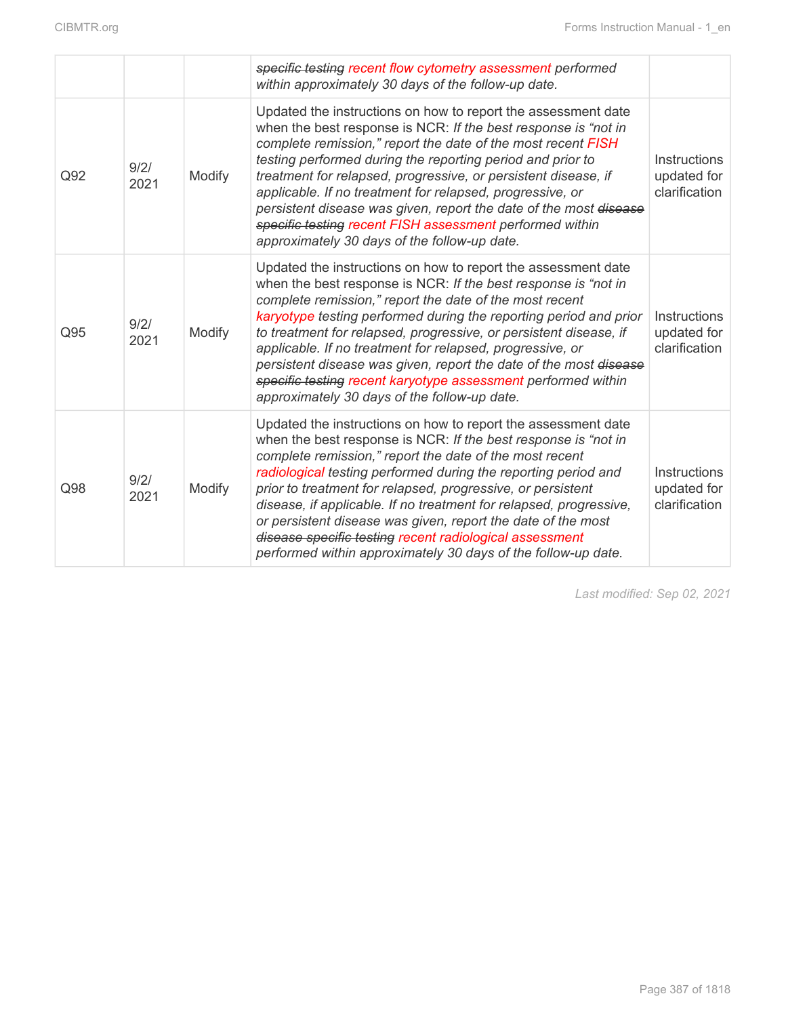|     |              |        | specific testing recent flow cytometry assessment performed<br>within approximately 30 days of the follow-up date.                                                                                                                                                                                                                                                                                                                                                                                                                                                                            |                                                     |
|-----|--------------|--------|-----------------------------------------------------------------------------------------------------------------------------------------------------------------------------------------------------------------------------------------------------------------------------------------------------------------------------------------------------------------------------------------------------------------------------------------------------------------------------------------------------------------------------------------------------------------------------------------------|-----------------------------------------------------|
| Q92 | 9/2/<br>2021 | Modify | Updated the instructions on how to report the assessment date<br>when the best response is NCR: If the best response is "not in<br>complete remission," report the date of the most recent FISH<br>testing performed during the reporting period and prior to<br>treatment for relapsed, progressive, or persistent disease, if<br>applicable. If no treatment for relapsed, progressive, or<br>persistent disease was given, report the date of the most disease<br>specific testing recent FISH assessment performed within<br>approximately 30 days of the follow-up date.                 | <b>Instructions</b><br>updated for<br>clarification |
| Q95 | 9/2/<br>2021 | Modify | Updated the instructions on how to report the assessment date<br>when the best response is NCR: If the best response is "not in<br>complete remission," report the date of the most recent<br>karyotype testing performed during the reporting period and prior<br>to treatment for relapsed, progressive, or persistent disease, if<br>applicable. If no treatment for relapsed, progressive, or<br>persistent disease was given, report the date of the most disease<br>specific testing recent karyotype assessment performed within<br>approximately 30 days of the follow-up date.       | Instructions<br>updated for<br>clarification        |
| Q98 | 9/2/<br>2021 | Modify | Updated the instructions on how to report the assessment date<br>when the best response is NCR: If the best response is "not in<br>complete remission," report the date of the most recent<br>radiological testing performed during the reporting period and<br>prior to treatment for relapsed, progressive, or persistent<br>disease, if applicable. If no treatment for relapsed, progressive,<br>or persistent disease was given, report the date of the most<br>disease specific testing recent radiological assessment<br>performed within approximately 30 days of the follow-up date. | Instructions<br>updated for<br>clarification        |

*Last modified: Sep 02, 2021*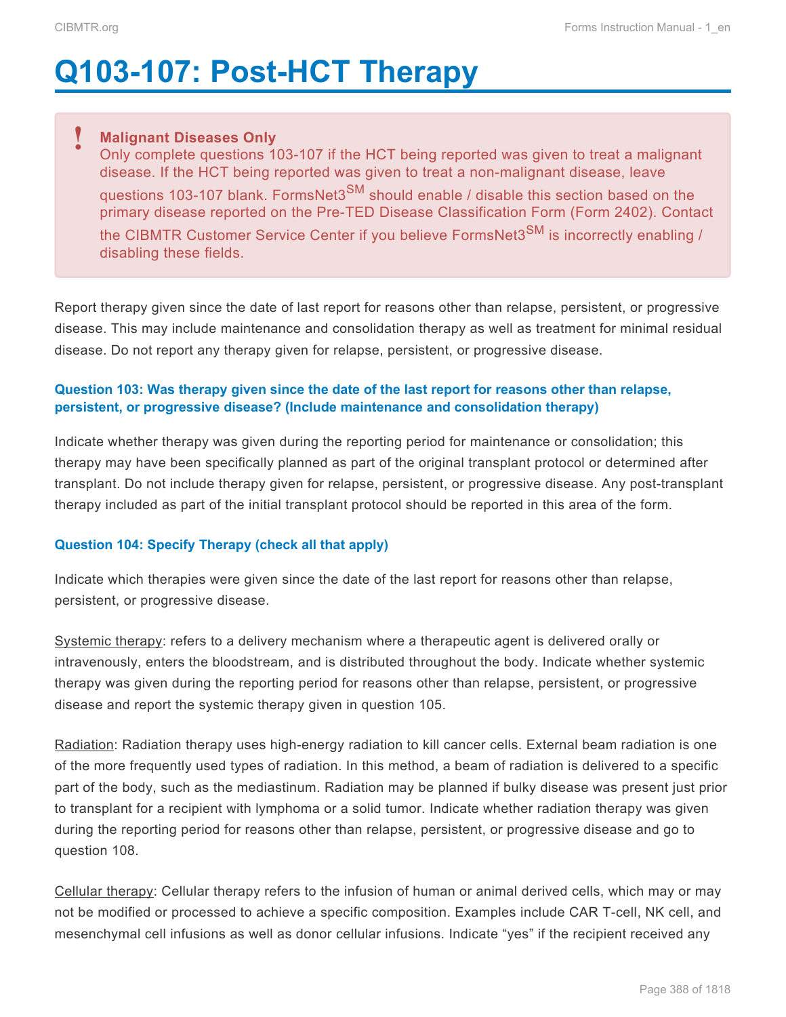# **Q103-107: Post-HCT Therapy**

#### **Malignant Diseases Only !**

Only complete questions 103-107 if the HCT being reported was given to treat a malignant disease. If the HCT being reported was given to treat a non-malignant disease, leave questions 103-107 blank. FormsNet3<sup>SM</sup> should enable / disable this section based on the primary disease reported on the Pre-TED Disease Classification Form (Form 2402). Contact the CIBMTR Customer Service Center if you believe FormsNet3<sup>SM</sup> is incorrectly enabling / disabling these fields.

Report therapy given since the date of last report for reasons other than relapse, persistent, or progressive disease. This may include maintenance and consolidation therapy as well as treatment for minimal residual disease. Do not report any therapy given for relapse, persistent, or progressive disease.

#### **Question 103: Was therapy given since the date of the last report for reasons other than relapse, persistent, or progressive disease? (Include maintenance and consolidation therapy)**

Indicate whether therapy was given during the reporting period for maintenance or consolidation; this therapy may have been specifically planned as part of the original transplant protocol or determined after transplant. Do not include therapy given for relapse, persistent, or progressive disease. Any post-transplant therapy included as part of the initial transplant protocol should be reported in this area of the form.

#### **Question 104: Specify Therapy (check all that apply)**

Indicate which therapies were given since the date of the last report for reasons other than relapse, persistent, or progressive disease.

Systemic therapy: refers to a delivery mechanism where a therapeutic agent is delivered orally or intravenously, enters the bloodstream, and is distributed throughout the body. Indicate whether systemic therapy was given during the reporting period for reasons other than relapse, persistent, or progressive disease and report the systemic therapy given in question 105.

Radiation: Radiation therapy uses high-energy radiation to kill cancer cells. External beam radiation is one of the more frequently used types of radiation. In this method, a beam of radiation is delivered to a specific part of the body, such as the mediastinum. Radiation may be planned if bulky disease was present just prior to transplant for a recipient with lymphoma or a solid tumor. Indicate whether radiation therapy was given during the reporting period for reasons other than relapse, persistent, or progressive disease and go to question 108.

Cellular therapy: Cellular therapy refers to the infusion of human or animal derived cells, which may or may not be modified or processed to achieve a specific composition. Examples include CAR T-cell, NK cell, and mesenchymal cell infusions as well as donor cellular infusions. Indicate "yes" if the recipient received any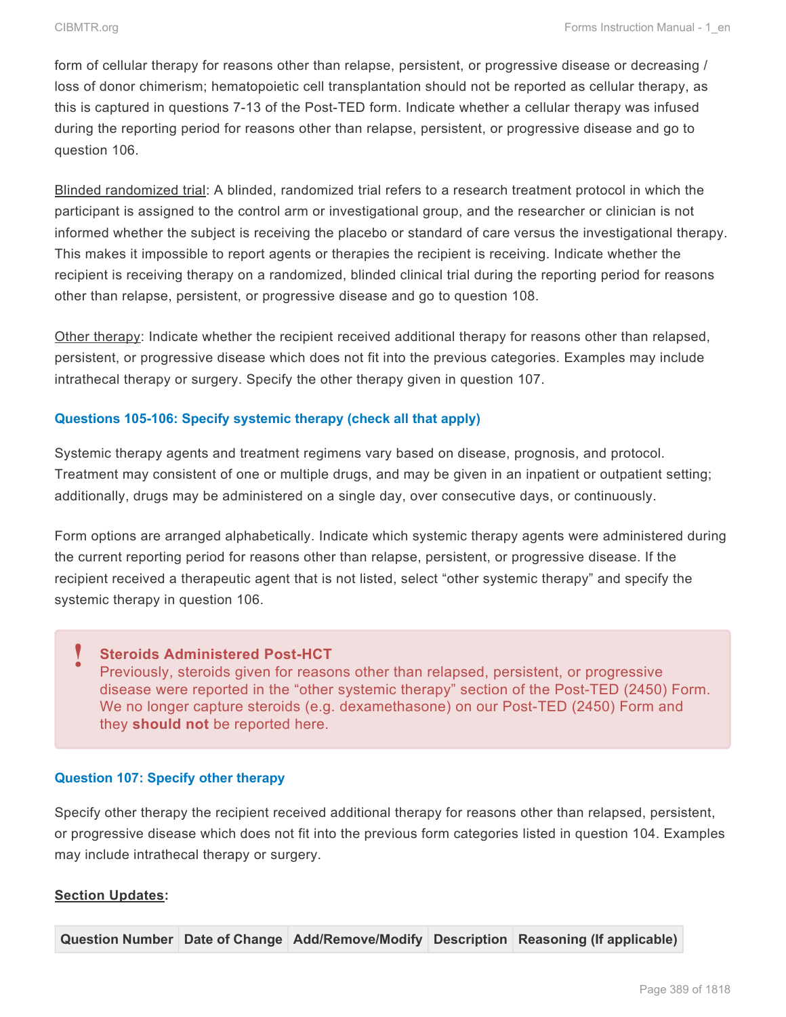form of cellular therapy for reasons other than relapse, persistent, or progressive disease or decreasing / loss of donor chimerism; hematopoietic cell transplantation should not be reported as cellular therapy, as this is captured in questions 7-13 of the Post-TED form. Indicate whether a cellular therapy was infused during the reporting period for reasons other than relapse, persistent, or progressive disease and go to question 106.

Blinded randomized trial: A blinded, randomized trial refers to a research treatment protocol in which the participant is assigned to the control arm or investigational group, and the researcher or clinician is not informed whether the subject is receiving the placebo or standard of care versus the investigational therapy. This makes it impossible to report agents or therapies the recipient is receiving. Indicate whether the recipient is receiving therapy on a randomized, blinded clinical trial during the reporting period for reasons other than relapse, persistent, or progressive disease and go to question 108.

Other therapy: Indicate whether the recipient received additional therapy for reasons other than relapsed, persistent, or progressive disease which does not fit into the previous categories. Examples may include intrathecal therapy or surgery. Specify the other therapy given in question 107.

#### **Questions 105-106: Specify systemic therapy (check all that apply)**

Systemic therapy agents and treatment regimens vary based on disease, prognosis, and protocol. Treatment may consistent of one or multiple drugs, and may be given in an inpatient or outpatient setting; additionally, drugs may be administered on a single day, over consecutive days, or continuously.

Form options are arranged alphabetically. Indicate which systemic therapy agents were administered during the current reporting period for reasons other than relapse, persistent, or progressive disease. If the recipient received a therapeutic agent that is not listed, select "other systemic therapy" and specify the systemic therapy in question 106.

#### **Steroids Administered Post-HCT** Previously, steroids given for reasons other than relapsed, persistent, or progressive disease were reported in the "other systemic therapy" section of the Post-TED (2450) Form. We no longer capture steroids (e.g. dexamethasone) on our Post-TED (2450) Form and they **should not** be reported here. **!**

#### **Question 107: Specify other therapy**

Specify other therapy the recipient received additional therapy for reasons other than relapsed, persistent, or progressive disease which does not fit into the previous form categories listed in question 104. Examples may include intrathecal therapy or surgery.

#### **Section Updates:**

**Question Number Date of Change Add/Remove/Modify Description Reasoning (If applicable)**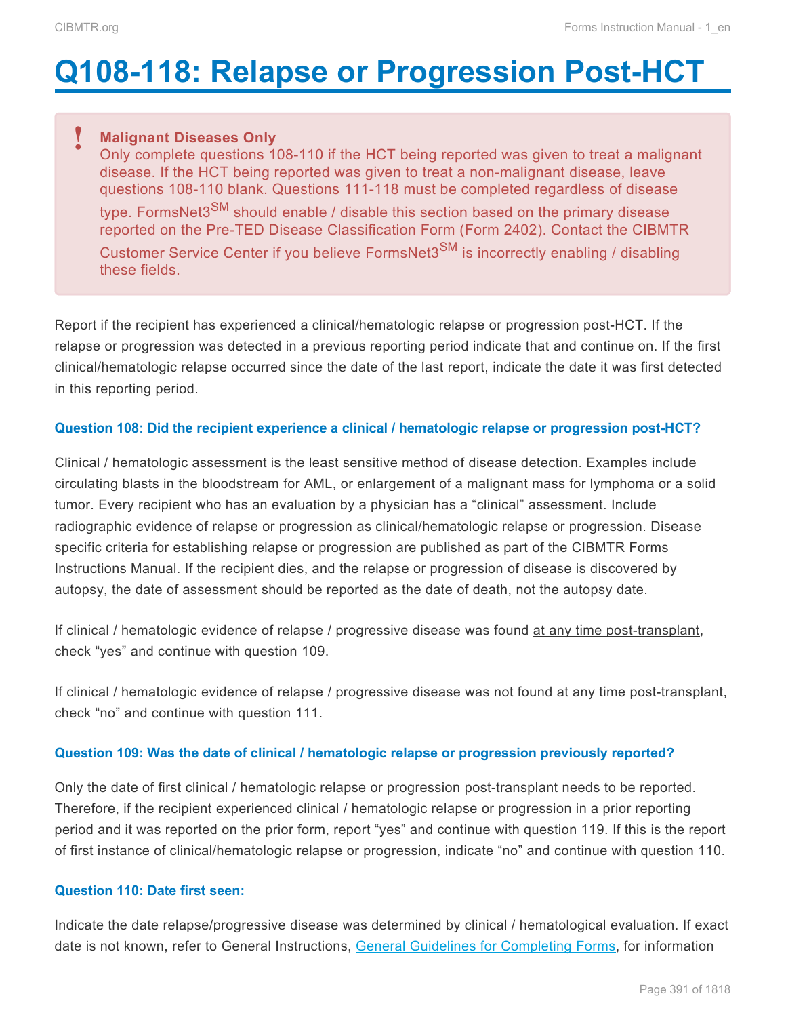# <span id="page-72-0"></span>**Q108-118: Relapse or Progression Post-HCT**

# **Malignant Diseases Only !**

Only complete questions 108-110 if the HCT being reported was given to treat a malignant disease. If the HCT being reported was given to treat a non-malignant disease, leave questions 108-110 blank. Questions 111-118 must be completed regardless of disease type. FormsNet3<sup>SM</sup> should enable / disable this section based on the primary disease reported on the Pre-TED Disease Classification Form (Form 2402). Contact the CIBMTR Customer Service Center if you believe FormsNet3 $\text{SM}$  is incorrectly enabling / disabling these fields.

Report if the recipient has experienced a clinical/hematologic relapse or progression post-HCT. If the relapse or progression was detected in a previous reporting period indicate that and continue on. If the first clinical/hematologic relapse occurred since the date of the last report, indicate the date it was first detected in this reporting period.

#### **Question 108: Did the recipient experience a clinical / hematologic relapse or progression post-HCT?**

Clinical / hematologic assessment is the least sensitive method of disease detection. Examples include circulating blasts in the bloodstream for AML, or enlargement of a malignant mass for lymphoma or a solid tumor. Every recipient who has an evaluation by a physician has a "clinical" assessment. Include radiographic evidence of relapse or progression as clinical/hematologic relapse or progression. Disease specific criteria for establishing relapse or progression are published as part of the CIBMTR Forms Instructions Manual. If the recipient dies, and the relapse or progression of disease is discovered by autopsy, the date of assessment should be reported as the date of death, not the autopsy date.

If clinical / hematologic evidence of relapse / progressive disease was found at any time post-transplant, check "yes" and continue with question 109.

If clinical / hematologic evidence of relapse / progressive disease was not found at any time post-transplant, check "no" and continue with question 111.

# **Question 109: Was the date of clinical / hematologic relapse or progression previously reported?**

Only the date of first clinical / hematologic relapse or progression post-transplant needs to be reported. Therefore, if the recipient experienced clinical / hematologic relapse or progression in a prior reporting period and it was reported on the prior form, report "yes" and continue with question 119. If this is the report of first instance of clinical/hematologic relapse or progression, indicate "no" and continue with question 110.

#### **Question 110: Date first seen:**

Indicate the date relapse/progressive disease was determined by clinical / hematological evaluation. If exact date is not known, refer to General Instructions, General Guidelines for Completing Forms, for information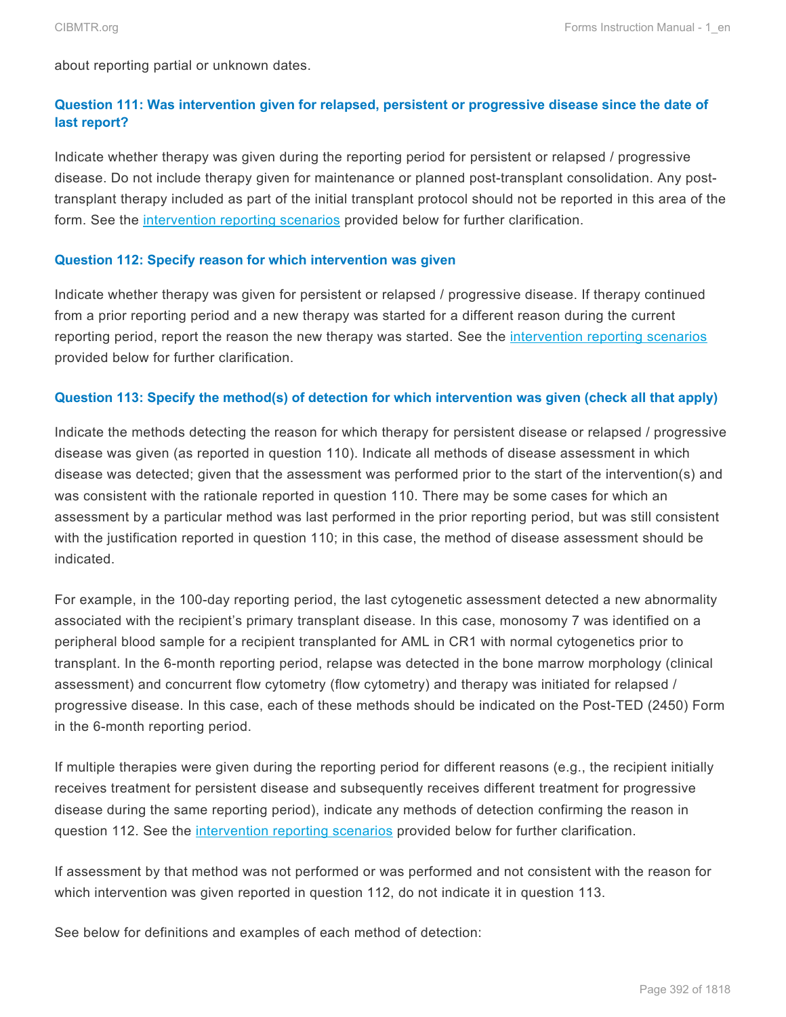about reporting partial or unknown dates.

# **Question 111: Was intervention given for relapsed, persistent or progressive disease since the date of last report?**

Indicate whether therapy was given during the reporting period for persistent or relapsed / progressive disease. Do not include therapy given for maintenance or planned post-transplant consolidation. Any posttransplant therapy included as part of the initial transplant protocol should not be reported in this area of the form. See the [intervention reporting scenarios](#page-72-0) provided below for further clarification.

#### **Question 112: Specify reason for which intervention was given**

Indicate whether therapy was given for persistent or relapsed / progressive disease. If therapy continued from a prior reporting period and a new therapy was started for a different reason during the current reporting period, report the reason the new therapy was started. See the *[intervention reporting scenarios](#page-72-0)* provided below for further clarification.

#### **Question 113: Specify the method(s) of detection for which intervention was given (check all that apply)**

Indicate the methods detecting the reason for which therapy for persistent disease or relapsed / progressive disease was given (as reported in question 110). Indicate all methods of disease assessment in which disease was detected; given that the assessment was performed prior to the start of the intervention(s) and was consistent with the rationale reported in question 110. There may be some cases for which an assessment by a particular method was last performed in the prior reporting period, but was still consistent with the justification reported in question 110; in this case, the method of disease assessment should be indicated.

For example, in the 100-day reporting period, the last cytogenetic assessment detected a new abnormality associated with the recipient's primary transplant disease. In this case, monosomy 7 was identified on a peripheral blood sample for a recipient transplanted for AML in CR1 with normal cytogenetics prior to transplant. In the 6-month reporting period, relapse was detected in the bone marrow morphology (clinical assessment) and concurrent flow cytometry (flow cytometry) and therapy was initiated for relapsed / progressive disease. In this case, each of these methods should be indicated on the Post-TED (2450) Form in the 6-month reporting period.

If multiple therapies were given during the reporting period for different reasons (e.g., the recipient initially receives treatment for persistent disease and subsequently receives different treatment for progressive disease during the same reporting period), indicate any methods of detection confirming the reason in question 112. See the [intervention reporting scenarios](#page-72-0) provided below for further clarification.

If assessment by that method was not performed or was performed and not consistent with the reason for which intervention was given reported in question 112, do not indicate it in question 113.

See below for definitions and examples of each method of detection: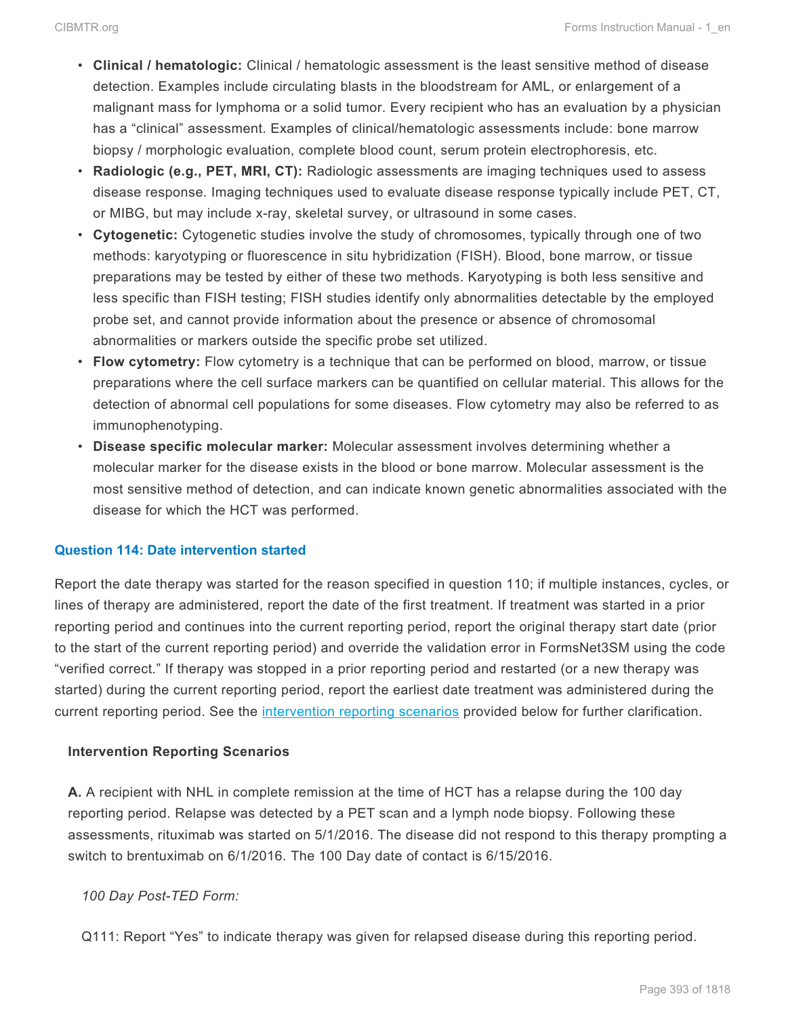- **Clinical / hematologic:** Clinical / hematologic assessment is the least sensitive method of disease detection. Examples include circulating blasts in the bloodstream for AML, or enlargement of a malignant mass for lymphoma or a solid tumor. Every recipient who has an evaluation by a physician has a "clinical" assessment. Examples of clinical/hematologic assessments include: bone marrow biopsy / morphologic evaluation, complete blood count, serum protein electrophoresis, etc.
- **Radiologic (e.g., PET, MRI, CT):** Radiologic assessments are imaging techniques used to assess disease response. Imaging techniques used to evaluate disease response typically include PET, CT, or MIBG, but may include x-ray, skeletal survey, or ultrasound in some cases.
- **Cytogenetic:** Cytogenetic studies involve the study of chromosomes, typically through one of two methods: karyotyping or fluorescence in situ hybridization (FISH). Blood, bone marrow, or tissue preparations may be tested by either of these two methods. Karyotyping is both less sensitive and less specific than FISH testing; FISH studies identify only abnormalities detectable by the employed probe set, and cannot provide information about the presence or absence of chromosomal abnormalities or markers outside the specific probe set utilized.
- **Flow cytometry:** Flow cytometry is a technique that can be performed on blood, marrow, or tissue preparations where the cell surface markers can be quantified on cellular material. This allows for the detection of abnormal cell populations for some diseases. Flow cytometry may also be referred to as immunophenotyping.
- **Disease specific molecular marker:** Molecular assessment involves determining whether a molecular marker for the disease exists in the blood or bone marrow. Molecular assessment is the most sensitive method of detection, and can indicate known genetic abnormalities associated with the disease for which the HCT was performed.

# **Question 114: Date intervention started**

Report the date therapy was started for the reason specified in question 110; if multiple instances, cycles, or lines of therapy are administered, report the date of the first treatment. If treatment was started in a prior reporting period and continues into the current reporting period, report the original therapy start date (prior to the start of the current reporting period) and override the validation error in FormsNet3SM using the code "verified correct." If therapy was stopped in a prior reporting period and restarted (or a new therapy was started) during the current reporting period, report the earliest date treatment was administered during the current reporting period. See the [intervention reporting scenarios](#page-72-0) provided below for further clarification.

# **Intervention Reporting Scenarios**

**A.** A recipient with NHL in complete remission at the time of HCT has a relapse during the 100 day reporting period. Relapse was detected by a PET scan and a lymph node biopsy. Following these assessments, rituximab was started on 5/1/2016. The disease did not respond to this therapy prompting a switch to brentuximab on 6/1/2016. The 100 Day date of contact is 6/15/2016.

# *100 Day Post-TED Form:*

Q111: Report "Yes" to indicate therapy was given for relapsed disease during this reporting period.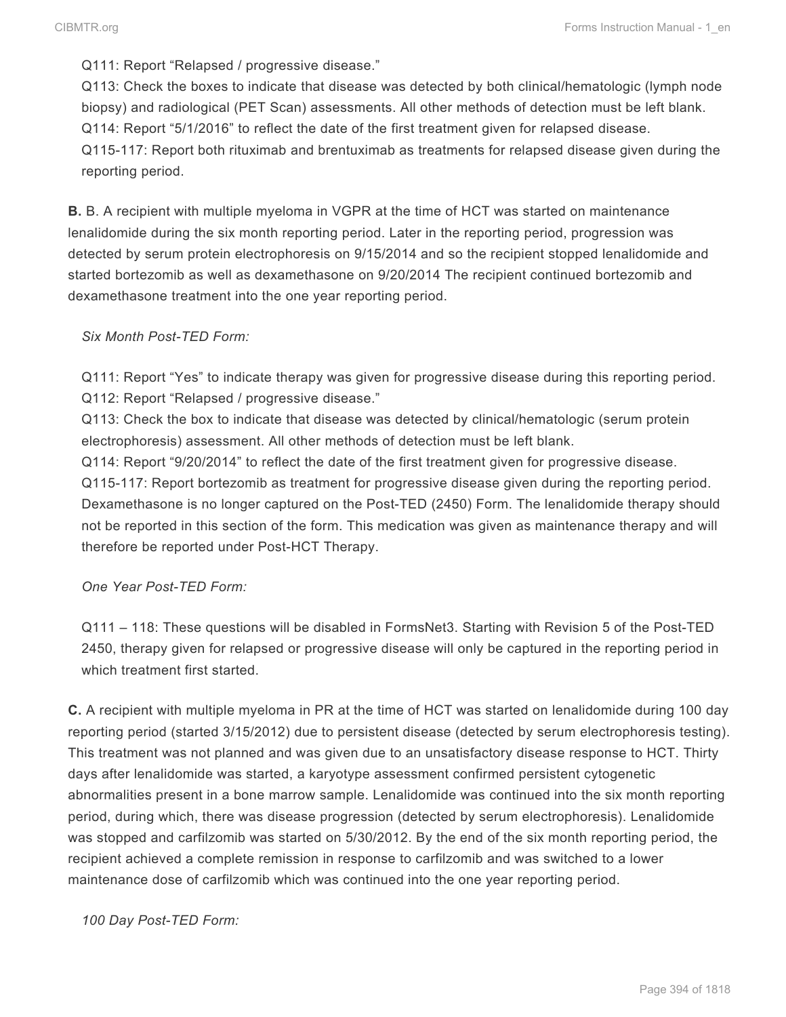Q111: Report "Relapsed / progressive disease."

Q113: Check the boxes to indicate that disease was detected by both clinical/hematologic (lymph node biopsy) and radiological (PET Scan) assessments. All other methods of detection must be left blank. Q114: Report "5/1/2016" to reflect the date of the first treatment given for relapsed disease. Q115-117: Report both rituximab and brentuximab as treatments for relapsed disease given during the reporting period.

**B.** B. A recipient with multiple myeloma in VGPR at the time of HCT was started on maintenance lenalidomide during the six month reporting period. Later in the reporting period, progression was detected by serum protein electrophoresis on 9/15/2014 and so the recipient stopped lenalidomide and started bortezomib as well as dexamethasone on 9/20/2014 The recipient continued bortezomib and dexamethasone treatment into the one year reporting period.

# *Six Month Post-TED Form:*

Q111: Report "Yes" to indicate therapy was given for progressive disease during this reporting period. Q112: Report "Relapsed / progressive disease."

Q113: Check the box to indicate that disease was detected by clinical/hematologic (serum protein electrophoresis) assessment. All other methods of detection must be left blank.

Q114: Report "9/20/2014" to reflect the date of the first treatment given for progressive disease. Q115-117: Report bortezomib as treatment for progressive disease given during the reporting period. Dexamethasone is no longer captured on the Post-TED (2450) Form. The lenalidomide therapy should not be reported in this section of the form. This medication was given as maintenance therapy and will therefore be reported under Post-HCT Therapy.

*One Year Post-TED Form:*

Q111 – 118: These questions will be disabled in FormsNet3. Starting with Revision 5 of the Post-TED 2450, therapy given for relapsed or progressive disease will only be captured in the reporting period in which treatment first started.

**C.** A recipient with multiple myeloma in PR at the time of HCT was started on lenalidomide during 100 day reporting period (started 3/15/2012) due to persistent disease (detected by serum electrophoresis testing). This treatment was not planned and was given due to an unsatisfactory disease response to HCT. Thirty days after lenalidomide was started, a karyotype assessment confirmed persistent cytogenetic abnormalities present in a bone marrow sample. Lenalidomide was continued into the six month reporting period, during which, there was disease progression (detected by serum electrophoresis). Lenalidomide was stopped and carfilzomib was started on 5/30/2012. By the end of the six month reporting period, the recipient achieved a complete remission in response to carfilzomib and was switched to a lower maintenance dose of carfilzomib which was continued into the one year reporting period.

*100 Day Post-TED Form:*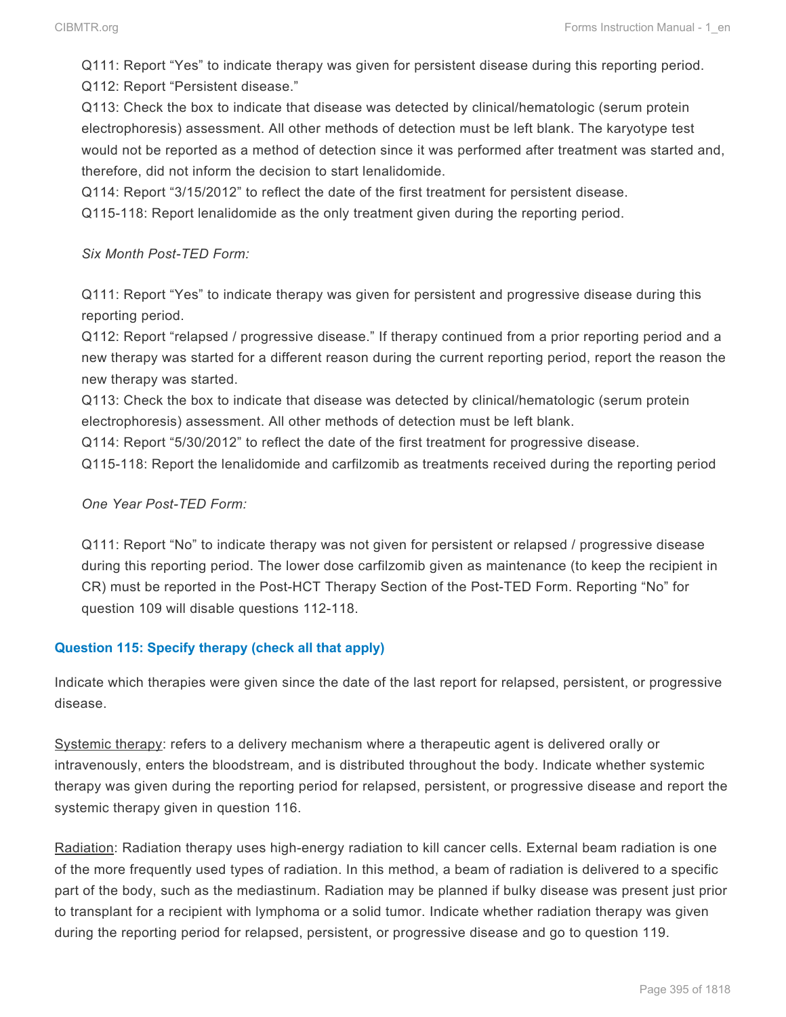Q111: Report "Yes" to indicate therapy was given for persistent disease during this reporting period. Q112: Report "Persistent disease."

Q113: Check the box to indicate that disease was detected by clinical/hematologic (serum protein electrophoresis) assessment. All other methods of detection must be left blank. The karyotype test would not be reported as a method of detection since it was performed after treatment was started and, therefore, did not inform the decision to start lenalidomide.

Q114: Report "3/15/2012" to reflect the date of the first treatment for persistent disease.

Q115-118: Report lenalidomide as the only treatment given during the reporting period.

#### *Six Month Post-TED Form:*

Q111: Report "Yes" to indicate therapy was given for persistent and progressive disease during this reporting period.

Q112: Report "relapsed / progressive disease." If therapy continued from a prior reporting period and a new therapy was started for a different reason during the current reporting period, report the reason the new therapy was started.

Q113: Check the box to indicate that disease was detected by clinical/hematologic (serum protein electrophoresis) assessment. All other methods of detection must be left blank.

Q114: Report "5/30/2012" to reflect the date of the first treatment for progressive disease.

Q115-118: Report the lenalidomide and carfilzomib as treatments received during the reporting period

# *One Year Post-TED Form:*

Q111: Report "No" to indicate therapy was not given for persistent or relapsed / progressive disease during this reporting period. The lower dose carfilzomib given as maintenance (to keep the recipient in CR) must be reported in the Post-HCT Therapy Section of the Post-TED Form. Reporting "No" for question 109 will disable questions 112-118.

# **Question 115: Specify therapy (check all that apply)**

Indicate which therapies were given since the date of the last report for relapsed, persistent, or progressive disease.

Systemic therapy: refers to a delivery mechanism where a therapeutic agent is delivered orally or intravenously, enters the bloodstream, and is distributed throughout the body. Indicate whether systemic therapy was given during the reporting period for relapsed, persistent, or progressive disease and report the systemic therapy given in question 116.

Radiation: Radiation therapy uses high-energy radiation to kill cancer cells. External beam radiation is one of the more frequently used types of radiation. In this method, a beam of radiation is delivered to a specific part of the body, such as the mediastinum. Radiation may be planned if bulky disease was present just prior to transplant for a recipient with lymphoma or a solid tumor. Indicate whether radiation therapy was given during the reporting period for relapsed, persistent, or progressive disease and go to question 119.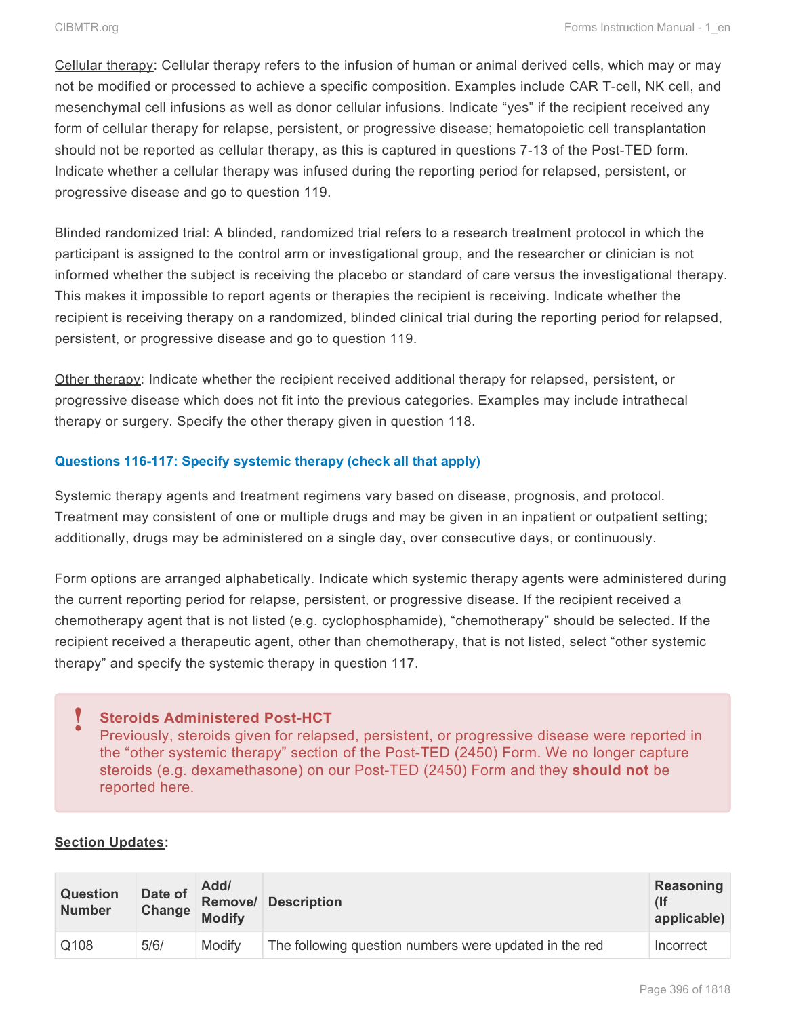Cellular therapy: Cellular therapy refers to the infusion of human or animal derived cells, which may or may not be modified or processed to achieve a specific composition. Examples include CAR T-cell, NK cell, and mesenchymal cell infusions as well as donor cellular infusions. Indicate "yes" if the recipient received any form of cellular therapy for relapse, persistent, or progressive disease; hematopoietic cell transplantation should not be reported as cellular therapy, as this is captured in questions 7-13 of the Post-TED form. Indicate whether a cellular therapy was infused during the reporting period for relapsed, persistent, or progressive disease and go to question 119.

Blinded randomized trial: A blinded, randomized trial refers to a research treatment protocol in which the participant is assigned to the control arm or investigational group, and the researcher or clinician is not informed whether the subject is receiving the placebo or standard of care versus the investigational therapy. This makes it impossible to report agents or therapies the recipient is receiving. Indicate whether the recipient is receiving therapy on a randomized, blinded clinical trial during the reporting period for relapsed, persistent, or progressive disease and go to question 119.

Other therapy: Indicate whether the recipient received additional therapy for relapsed, persistent, or progressive disease which does not fit into the previous categories. Examples may include intrathecal therapy or surgery. Specify the other therapy given in question 118.

# **Questions 116-117: Specify systemic therapy (check all that apply)**

Systemic therapy agents and treatment regimens vary based on disease, prognosis, and protocol. Treatment may consistent of one or multiple drugs and may be given in an inpatient or outpatient setting; additionally, drugs may be administered on a single day, over consecutive days, or continuously.

Form options are arranged alphabetically. Indicate which systemic therapy agents were administered during the current reporting period for relapse, persistent, or progressive disease. If the recipient received a chemotherapy agent that is not listed (e.g. cyclophosphamide), "chemotherapy" should be selected. If the recipient received a therapeutic agent, other than chemotherapy, that is not listed, select "other systemic therapy" and specify the systemic therapy in question 117.

# **Steroids Administered Post-HCT !**

Previously, steroids given for relapsed, persistent, or progressive disease were reported in the "other systemic therapy" section of the Post-TED (2450) Form. We no longer capture steroids (e.g. dexamethasone) on our Post-TED (2450) Form and they **should not** be reported here.

# **Section Updates:**

| <b>Question</b> | Date of | Add/          | Remove/ Description                                    | Reasoning   |
|-----------------|---------|---------------|--------------------------------------------------------|-------------|
| <b>Number</b>   | Change  | <b>Modify</b> |                                                        | applicable) |
| Q108            | 5/6/    | Modify        | The following question numbers were updated in the red | Incorrect   |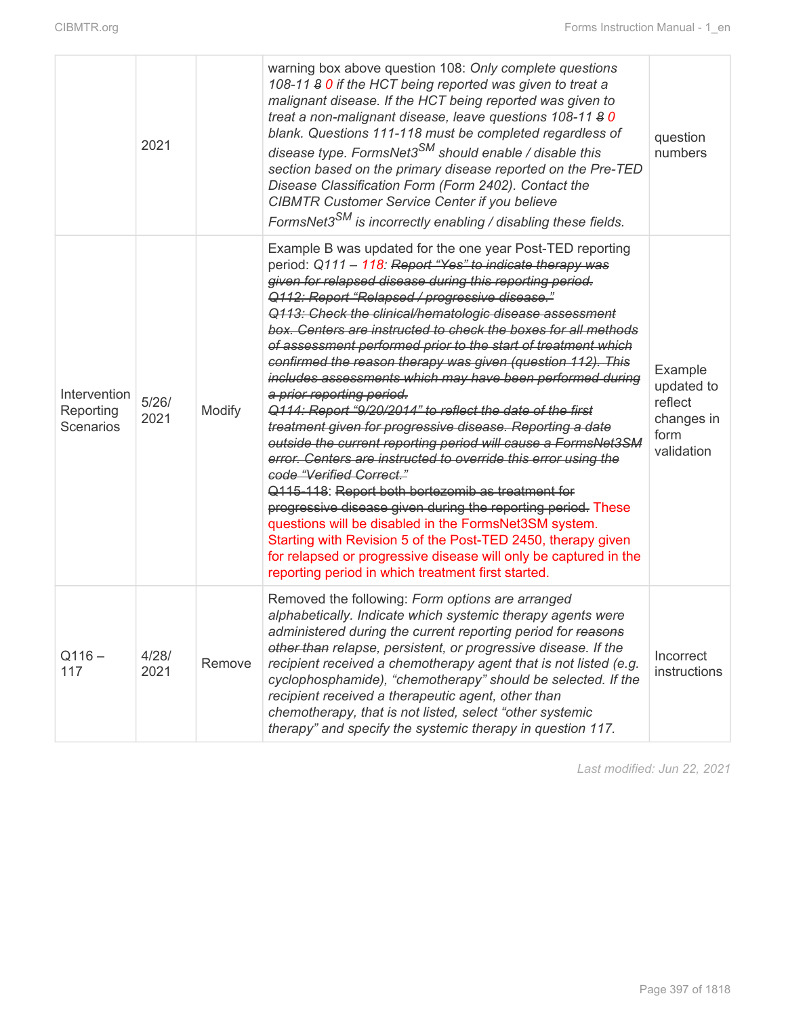|                                               | 2021          |        | warning box above question 108: Only complete questions<br>108-11 8 0 if the HCT being reported was given to treat a<br>malignant disease. If the HCT being reported was given to<br>treat a non-malignant disease, leave questions 108-11 8 0<br>blank. Questions 111-118 must be completed regardless of<br>disease type. FormsNet3 <sup>SM</sup> should enable / disable this<br>section based on the primary disease reported on the Pre-TED<br>Disease Classification Form (Form 2402). Contact the<br><b>CIBMTR Customer Service Center if you believe</b><br>FormsNet3 <sup>SM</sup> is incorrectly enabling / disabling these fields.                                                                                                                                                                                                                                                                                                                                                                                                                                                                                                                                                                                                               | question<br>numbers                                                  |
|-----------------------------------------------|---------------|--------|-------------------------------------------------------------------------------------------------------------------------------------------------------------------------------------------------------------------------------------------------------------------------------------------------------------------------------------------------------------------------------------------------------------------------------------------------------------------------------------------------------------------------------------------------------------------------------------------------------------------------------------------------------------------------------------------------------------------------------------------------------------------------------------------------------------------------------------------------------------------------------------------------------------------------------------------------------------------------------------------------------------------------------------------------------------------------------------------------------------------------------------------------------------------------------------------------------------------------------------------------------------|----------------------------------------------------------------------|
| Intervention<br>Reporting<br><b>Scenarios</b> | 5/26/<br>2021 | Modify | Example B was updated for the one year Post-TED reporting<br>period: Q111 - 118: Report "Yes" to indicate therapy was<br>given for relapsed disease during this reporting period.<br>Q112: Report "Relapsed / progressive disease."<br>Q113: Check the clinical/hematologic disease assessment<br>box. Centers are instructed to check the boxes for all methods<br>of assessment performed prior to the start of treatment which<br>confirmed the reason therapy was given (question 112). This<br>includes assessments which may have been performed during<br>a prior reporting period.<br>Q114: Report "9/20/2014" to reflect the date of the first<br>treatment given for progressive disease. Reporting a date<br>outside the current reporting period will cause a FormsNet3SM<br>error. Centers are instructed to override this error using the<br>code "Verified Correct."<br>Q115-118: Report both bortezomib as treatment for<br>progressive disease given during the reporting period. These<br>questions will be disabled in the FormsNet3SM system.<br>Starting with Revision 5 of the Post-TED 2450, therapy given<br>for relapsed or progressive disease will only be captured in the<br>reporting period in which treatment first started. | Example<br>updated to<br>reflect<br>changes in<br>form<br>validation |
| $Q116 -$<br>117                               | 4/28/<br>2021 | Remove | Removed the following: Form options are arranged<br>alphabetically. Indicate which systemic therapy agents were<br>administered during the current reporting period for reasons<br>other than relapse, persistent, or progressive disease. If the<br>recipient received a chemotherapy agent that is not listed (e.g.<br>cyclophosphamide), "chemotherapy" should be selected. If the<br>recipient received a therapeutic agent, other than<br>chemotherapy, that is not listed, select "other systemic<br>therapy" and specify the systemic therapy in question 117.                                                                                                                                                                                                                                                                                                                                                                                                                                                                                                                                                                                                                                                                                       | Incorrect<br>instructions                                            |

*Last modified: Jun 22, 2021*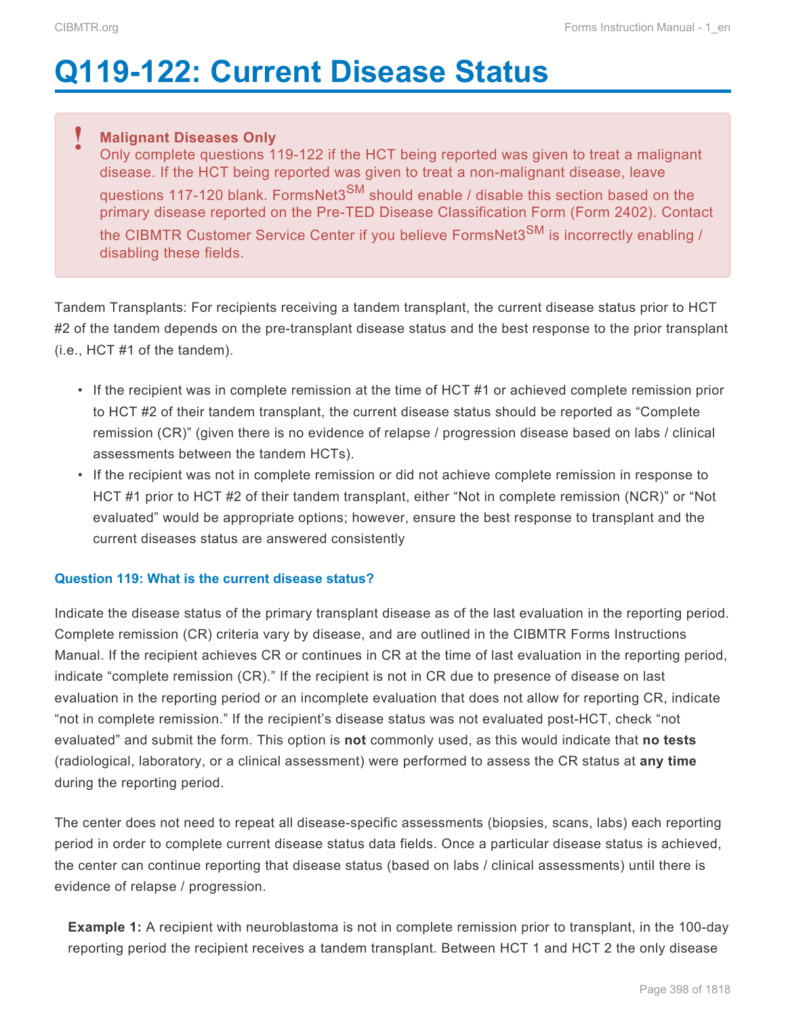# **Q119-122: Current Disease Status**

# **Malignant Diseases Only !**

Only complete questions 119-122 if the HCT being reported was given to treat a malignant disease. If the HCT being reported was given to treat a non-malignant disease, leave questions 117-120 blank. FormsNet3<sup>SM</sup> should enable / disable this section based on the primary disease reported on the Pre-TED Disease Classification Form (Form 2402). Contact the CIBMTR Customer Service Center if you believe FormsNet3<sup>SM</sup> is incorrectly enabling / disabling these fields.

Tandem Transplants: For recipients receiving a tandem transplant, the current disease status prior to HCT #2 of the tandem depends on the pre-transplant disease status and the best response to the prior transplant (i.e., HCT #1 of the tandem).

- If the recipient was in complete remission at the time of HCT #1 or achieved complete remission prior to HCT #2 of their tandem transplant, the current disease status should be reported as "Complete remission (CR)" (given there is no evidence of relapse / progression disease based on labs / clinical assessments between the tandem HCTs).
- If the recipient was not in complete remission or did not achieve complete remission in response to HCT #1 prior to HCT #2 of their tandem transplant, either "Not in complete remission (NCR)" or "Not evaluated" would be appropriate options; however, ensure the best response to transplant and the current diseases status are answered consistently

# **Question 119: What is the current disease status?**

Indicate the disease status of the primary transplant disease as of the last evaluation in the reporting period. Complete remission (CR) criteria vary by disease, and are outlined in the CIBMTR Forms Instructions Manual. If the recipient achieves CR or continues in CR at the time of last evaluation in the reporting period, indicate "complete remission (CR)." If the recipient is not in CR due to presence of disease on last evaluation in the reporting period or an incomplete evaluation that does not allow for reporting CR, indicate "not in complete remission." If the recipient's disease status was not evaluated post-HCT, check "not evaluated" and submit the form. This option is **not** commonly used, as this would indicate that **no tests** (radiological, laboratory, or a clinical assessment) were performed to assess the CR status at **any time** during the reporting period.

The center does not need to repeat all disease-specific assessments (biopsies, scans, labs) each reporting period in order to complete current disease status data fields. Once a particular disease status is achieved, the center can continue reporting that disease status (based on labs / clinical assessments) until there is evidence of relapse / progression.

**Example 1:** A recipient with neuroblastoma is not in complete remission prior to transplant, in the 100-day reporting period the recipient receives a tandem transplant. Between HCT 1 and HCT 2 the only disease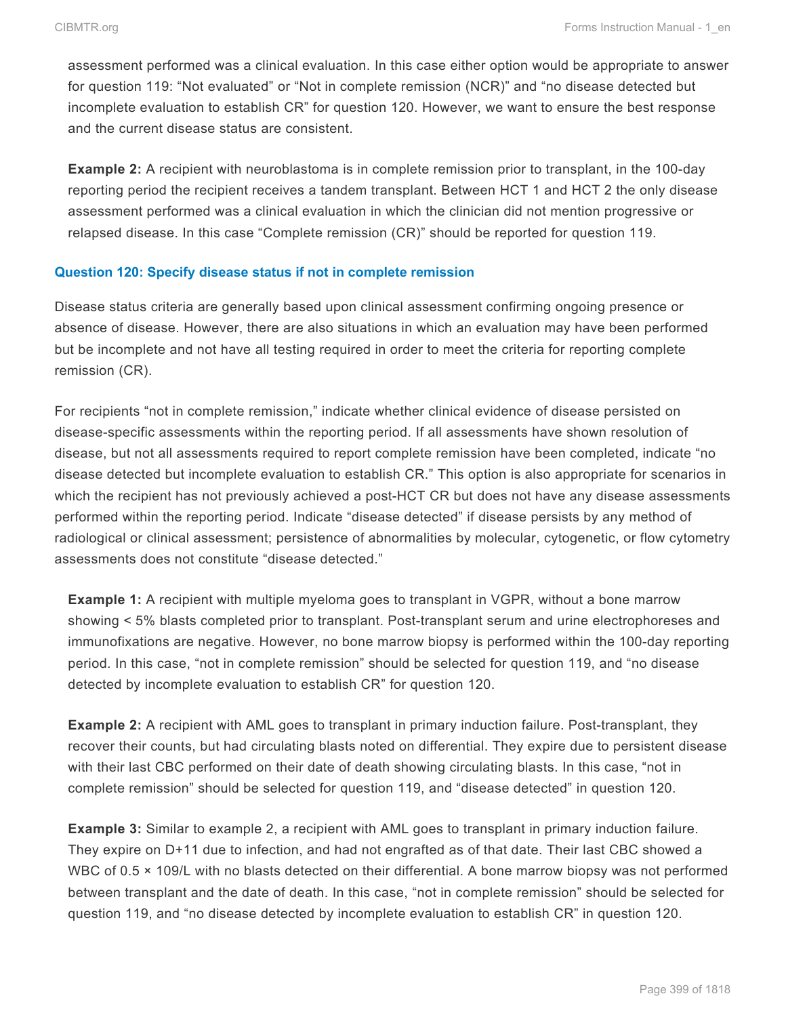assessment performed was a clinical evaluation. In this case either option would be appropriate to answer for question 119: "Not evaluated" or "Not in complete remission (NCR)" and "no disease detected but incomplete evaluation to establish CR" for question 120. However, we want to ensure the best response and the current disease status are consistent.

**Example 2:** A recipient with neuroblastoma is in complete remission prior to transplant, in the 100-day reporting period the recipient receives a tandem transplant. Between HCT 1 and HCT 2 the only disease assessment performed was a clinical evaluation in which the clinician did not mention progressive or relapsed disease. In this case "Complete remission (CR)" should be reported for question 119.

#### **Question 120: Specify disease status if not in complete remission**

Disease status criteria are generally based upon clinical assessment confirming ongoing presence or absence of disease. However, there are also situations in which an evaluation may have been performed but be incomplete and not have all testing required in order to meet the criteria for reporting complete remission (CR).

For recipients "not in complete remission," indicate whether clinical evidence of disease persisted on disease-specific assessments within the reporting period. If all assessments have shown resolution of disease, but not all assessments required to report complete remission have been completed, indicate "no disease detected but incomplete evaluation to establish CR." This option is also appropriate for scenarios in which the recipient has not previously achieved a post-HCT CR but does not have any disease assessments performed within the reporting period. Indicate "disease detected" if disease persists by any method of radiological or clinical assessment; persistence of abnormalities by molecular, cytogenetic, or flow cytometry assessments does not constitute "disease detected."

**Example 1:** A recipient with multiple myeloma goes to transplant in VGPR, without a bone marrow showing < 5% blasts completed prior to transplant. Post-transplant serum and urine electrophoreses and immunofixations are negative. However, no bone marrow biopsy is performed within the 100-day reporting period. In this case, "not in complete remission" should be selected for question 119, and "no disease detected by incomplete evaluation to establish CR" for question 120.

**Example 2:** A recipient with AML goes to transplant in primary induction failure. Post-transplant, they recover their counts, but had circulating blasts noted on differential. They expire due to persistent disease with their last CBC performed on their date of death showing circulating blasts. In this case, "not in complete remission" should be selected for question 119, and "disease detected" in question 120.

**Example 3:** Similar to example 2, a recipient with AML goes to transplant in primary induction failure. They expire on D+11 due to infection, and had not engrafted as of that date. Their last CBC showed a WBC of 0.5  $\times$  109/L with no blasts detected on their differential. A bone marrow biopsy was not performed between transplant and the date of death. In this case, "not in complete remission" should be selected for question 119, and "no disease detected by incomplete evaluation to establish CR" in question 120.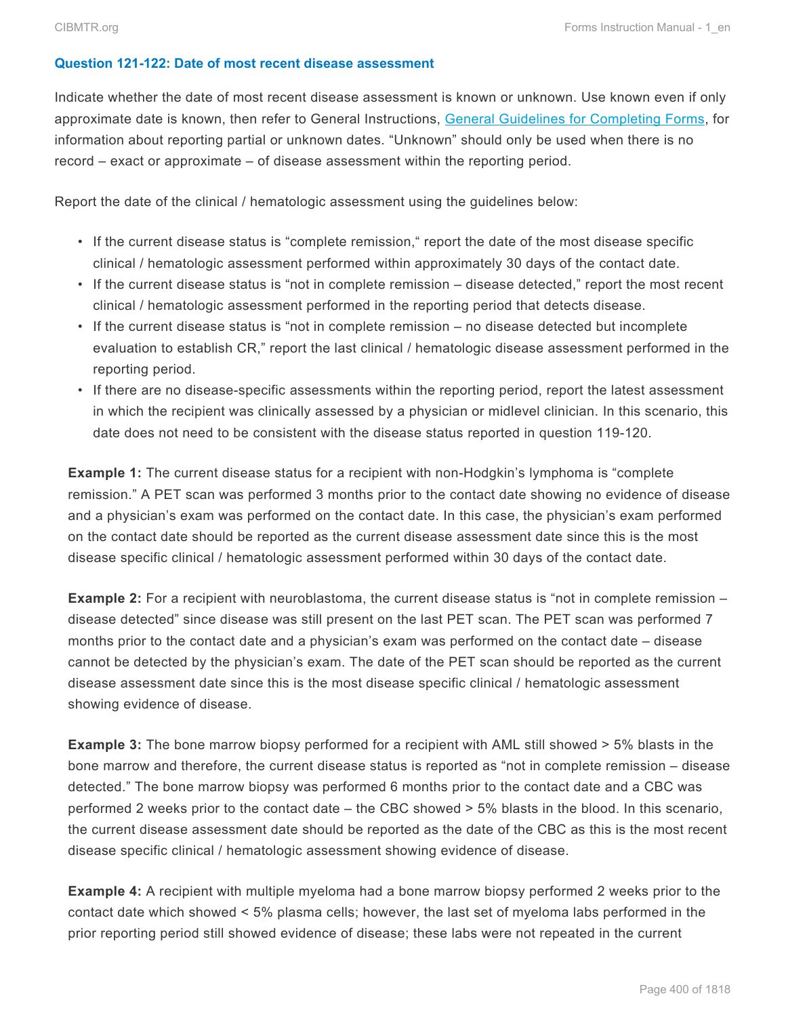#### **Question 121-122: Date of most recent disease assessment**

Indicate whether the date of most recent disease assessment is known or unknown. Use known even if only approximate date is known, then refer to General Instructions, General Guidelines for Completing Forms, for information about reporting partial or unknown dates. "Unknown" should only be used when there is no record – exact or approximate – of disease assessment within the reporting period.

Report the date of the clinical / hematologic assessment using the guidelines below:

- If the current disease status is "complete remission," report the date of the most disease specific clinical / hematologic assessment performed within approximately 30 days of the contact date.
- If the current disease status is "not in complete remission disease detected," report the most recent clinical / hematologic assessment performed in the reporting period that detects disease.
- If the current disease status is "not in complete remission no disease detected but incomplete evaluation to establish CR," report the last clinical / hematologic disease assessment performed in the reporting period.
- If there are no disease-specific assessments within the reporting period, report the latest assessment in which the recipient was clinically assessed by a physician or midlevel clinician. In this scenario, this date does not need to be consistent with the disease status reported in question 119-120.

**Example 1:** The current disease status for a recipient with non-Hodgkin's lymphoma is "complete remission." A PET scan was performed 3 months prior to the contact date showing no evidence of disease and a physician's exam was performed on the contact date. In this case, the physician's exam performed on the contact date should be reported as the current disease assessment date since this is the most disease specific clinical / hematologic assessment performed within 30 days of the contact date.

**Example 2:** For a recipient with neuroblastoma, the current disease status is "not in complete remission – disease detected" since disease was still present on the last PET scan. The PET scan was performed 7 months prior to the contact date and a physician's exam was performed on the contact date – disease cannot be detected by the physician's exam. The date of the PET scan should be reported as the current disease assessment date since this is the most disease specific clinical / hematologic assessment showing evidence of disease.

**Example 3:** The bone marrow biopsy performed for a recipient with AML still showed  $> 5\%$  blasts in the bone marrow and therefore, the current disease status is reported as "not in complete remission – disease detected." The bone marrow biopsy was performed 6 months prior to the contact date and a CBC was performed 2 weeks prior to the contact date – the CBC showed > 5% blasts in the blood. In this scenario, the current disease assessment date should be reported as the date of the CBC as this is the most recent disease specific clinical / hematologic assessment showing evidence of disease.

**Example 4:** A recipient with multiple myeloma had a bone marrow biopsy performed 2 weeks prior to the contact date which showed < 5% plasma cells; however, the last set of myeloma labs performed in the prior reporting period still showed evidence of disease; these labs were not repeated in the current